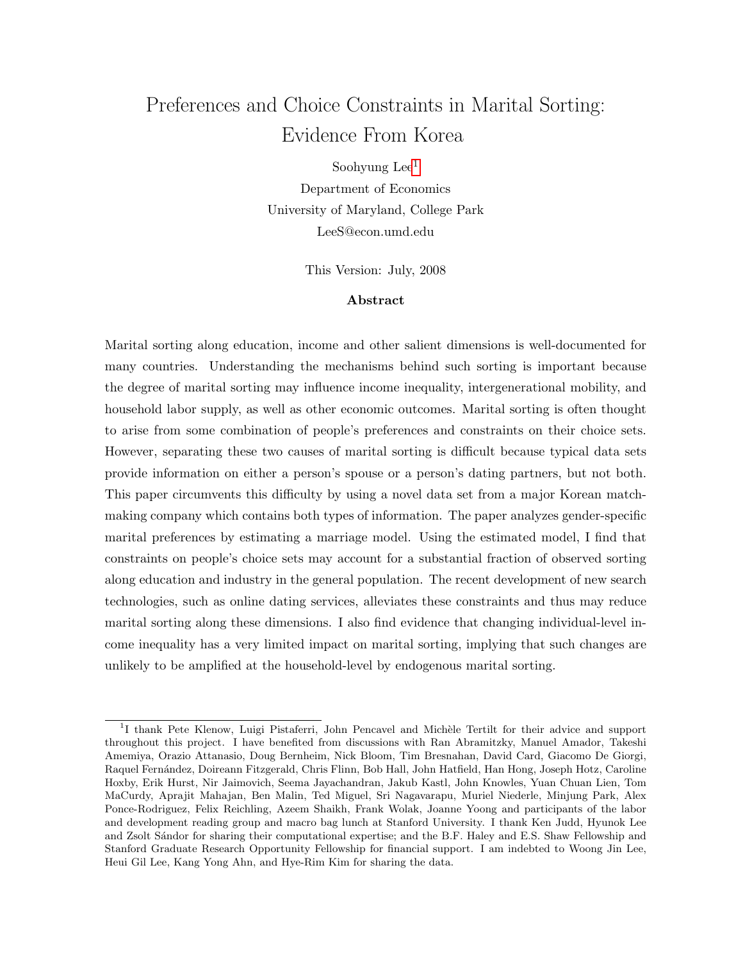# Preferences and Choice Constraints in Marital Sorting: Evidence From Korea

Soohyung  $Lee<sup>1</sup>$  $Lee<sup>1</sup>$  $Lee<sup>1</sup>$ 

Department of Economics University of Maryland, College Park LeeS@econ.umd.edu

This Version: July, 2008

### Abstract

Marital sorting along education, income and other salient dimensions is well-documented for many countries. Understanding the mechanisms behind such sorting is important because the degree of marital sorting may influence income inequality, intergenerational mobility, and household labor supply, as well as other economic outcomes. Marital sorting is often thought to arise from some combination of people's preferences and constraints on their choice sets. However, separating these two causes of marital sorting is difficult because typical data sets provide information on either a person's spouse or a person's dating partners, but not both. This paper circumvents this difficulty by using a novel data set from a major Korean matchmaking company which contains both types of information. The paper analyzes gender-specific marital preferences by estimating a marriage model. Using the estimated model, I find that constraints on people's choice sets may account for a substantial fraction of observed sorting along education and industry in the general population. The recent development of new search technologies, such as online dating services, alleviates these constraints and thus may reduce marital sorting along these dimensions. I also find evidence that changing individual-level income inequality has a very limited impact on marital sorting, implying that such changes are unlikely to be amplified at the household-level by endogenous marital sorting.

<span id="page-0-0"></span><sup>&</sup>lt;sup>1</sup>I thank Pete Klenow, Luigi Pistaferri, John Pencavel and Michèle Tertilt for their advice and support throughout this project. I have benefited from discussions with Ran Abramitzky, Manuel Amador, Takeshi Amemiya, Orazio Attanasio, Doug Bernheim, Nick Bloom, Tim Bresnahan, David Card, Giacomo De Giorgi, Raquel Fernández, Doireann Fitzgerald, Chris Flinn, Bob Hall, John Hatfield, Han Hong, Joseph Hotz, Caroline Hoxby, Erik Hurst, Nir Jaimovich, Seema Jayachandran, Jakub Kastl, John Knowles, Yuan Chuan Lien, Tom MaCurdy, Aprajit Mahajan, Ben Malin, Ted Miguel, Sri Nagavarapu, Muriel Niederle, Minjung Park, Alex Ponce-Rodriguez, Felix Reichling, Azeem Shaikh, Frank Wolak, Joanne Yoong and participants of the labor and development reading group and macro bag lunch at Stanford University. I thank Ken Judd, Hyunok Lee and Zsolt Sándor for sharing their computational expertise; and the B.F. Haley and E.S. Shaw Fellowship and Stanford Graduate Research Opportunity Fellowship for financial support. I am indebted to Woong Jin Lee, Heui Gil Lee, Kang Yong Ahn, and Hye-Rim Kim for sharing the data.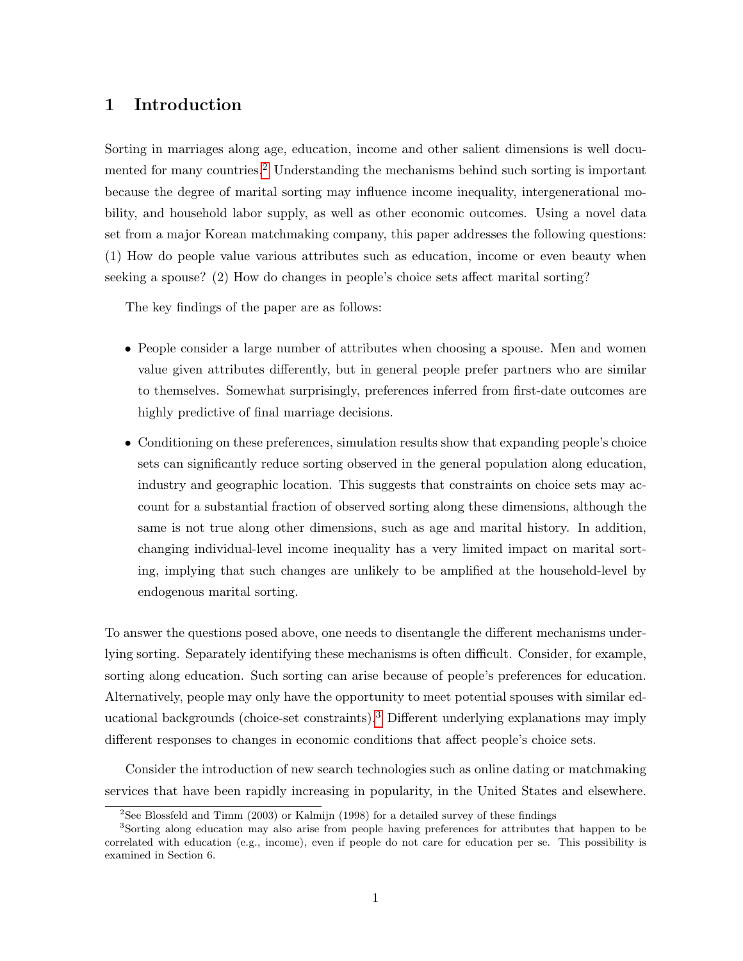## 1 Introduction

Sorting in marriages along age, education, income and other salient dimensions is well documented for many countries.[2](#page-0-0) Understanding the mechanisms behind such sorting is important because the degree of marital sorting may influence income inequality, intergenerational mobility, and household labor supply, as well as other economic outcomes. Using a novel data set from a major Korean matchmaking company, this paper addresses the following questions: (1) How do people value various attributes such as education, income or even beauty when seeking a spouse? (2) How do changes in people's choice sets affect marital sorting?

The key findings of the paper are as follows:

- People consider a large number of attributes when choosing a spouse. Men and women value given attributes differently, but in general people prefer partners who are similar to themselves. Somewhat surprisingly, preferences inferred from first-date outcomes are highly predictive of final marriage decisions.
- Conditioning on these preferences, simulation results show that expanding people's choice sets can significantly reduce sorting observed in the general population along education, industry and geographic location. This suggests that constraints on choice sets may account for a substantial fraction of observed sorting along these dimensions, although the same is not true along other dimensions, such as age and marital history. In addition, changing individual-level income inequality has a very limited impact on marital sorting, implying that such changes are unlikely to be amplified at the household-level by endogenous marital sorting.

To answer the questions posed above, one needs to disentangle the different mechanisms underlying sorting. Separately identifying these mechanisms is often difficult. Consider, for example, sorting along education. Such sorting can arise because of people's preferences for education. Alternatively, people may only have the opportunity to meet potential spouses with similar educational backgrounds (choice-set constraints).[3](#page-0-0) Different underlying explanations may imply different responses to changes in economic conditions that affect people's choice sets.

Consider the introduction of new search technologies such as online dating or matchmaking services that have been rapidly increasing in popularity, in the United States and elsewhere.

 $2$ See Blossfeld and Timm (2003) or Kalmijn (1998) for a detailed survey of these findings

<sup>3</sup>Sorting along education may also arise from people having preferences for attributes that happen to be correlated with education (e.g., income), even if people do not care for education per se. This possibility is examined in Section 6.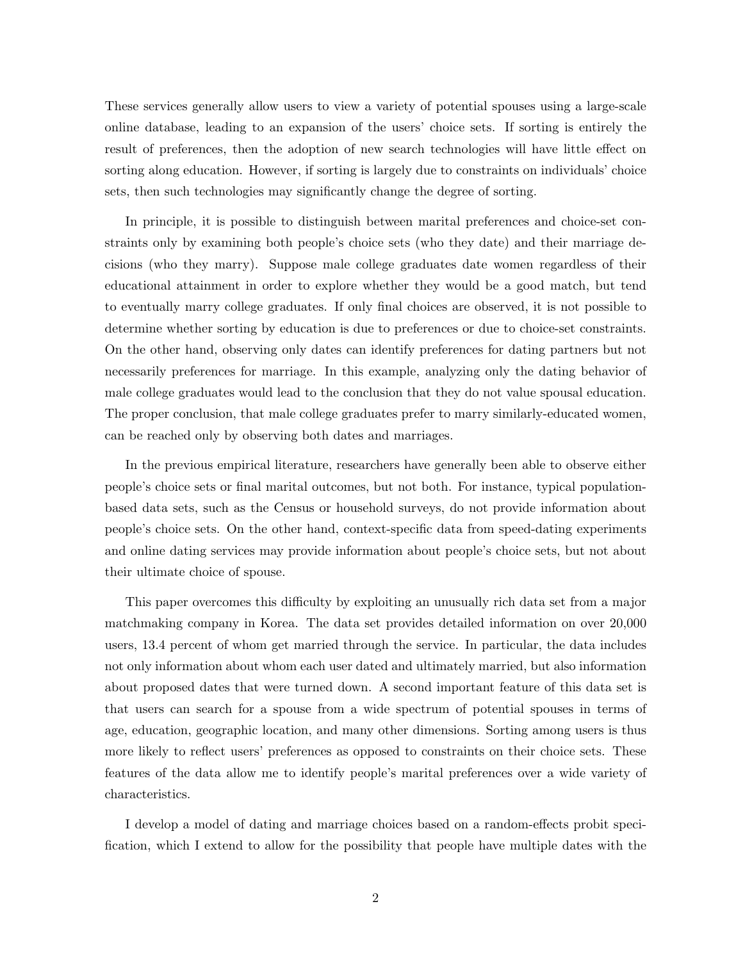These services generally allow users to view a variety of potential spouses using a large-scale online database, leading to an expansion of the users' choice sets. If sorting is entirely the result of preferences, then the adoption of new search technologies will have little effect on sorting along education. However, if sorting is largely due to constraints on individuals' choice sets, then such technologies may significantly change the degree of sorting.

In principle, it is possible to distinguish between marital preferences and choice-set constraints only by examining both people's choice sets (who they date) and their marriage decisions (who they marry). Suppose male college graduates date women regardless of their educational attainment in order to explore whether they would be a good match, but tend to eventually marry college graduates. If only final choices are observed, it is not possible to determine whether sorting by education is due to preferences or due to choice-set constraints. On the other hand, observing only dates can identify preferences for dating partners but not necessarily preferences for marriage. In this example, analyzing only the dating behavior of male college graduates would lead to the conclusion that they do not value spousal education. The proper conclusion, that male college graduates prefer to marry similarly-educated women, can be reached only by observing both dates and marriages.

In the previous empirical literature, researchers have generally been able to observe either people's choice sets or final marital outcomes, but not both. For instance, typical populationbased data sets, such as the Census or household surveys, do not provide information about people's choice sets. On the other hand, context-specific data from speed-dating experiments and online dating services may provide information about people's choice sets, but not about their ultimate choice of spouse.

This paper overcomes this difficulty by exploiting an unusually rich data set from a major matchmaking company in Korea. The data set provides detailed information on over 20,000 users, 13.4 percent of whom get married through the service. In particular, the data includes not only information about whom each user dated and ultimately married, but also information about proposed dates that were turned down. A second important feature of this data set is that users can search for a spouse from a wide spectrum of potential spouses in terms of age, education, geographic location, and many other dimensions. Sorting among users is thus more likely to reflect users' preferences as opposed to constraints on their choice sets. These features of the data allow me to identify people's marital preferences over a wide variety of characteristics.

I develop a model of dating and marriage choices based on a random-effects probit specification, which I extend to allow for the possibility that people have multiple dates with the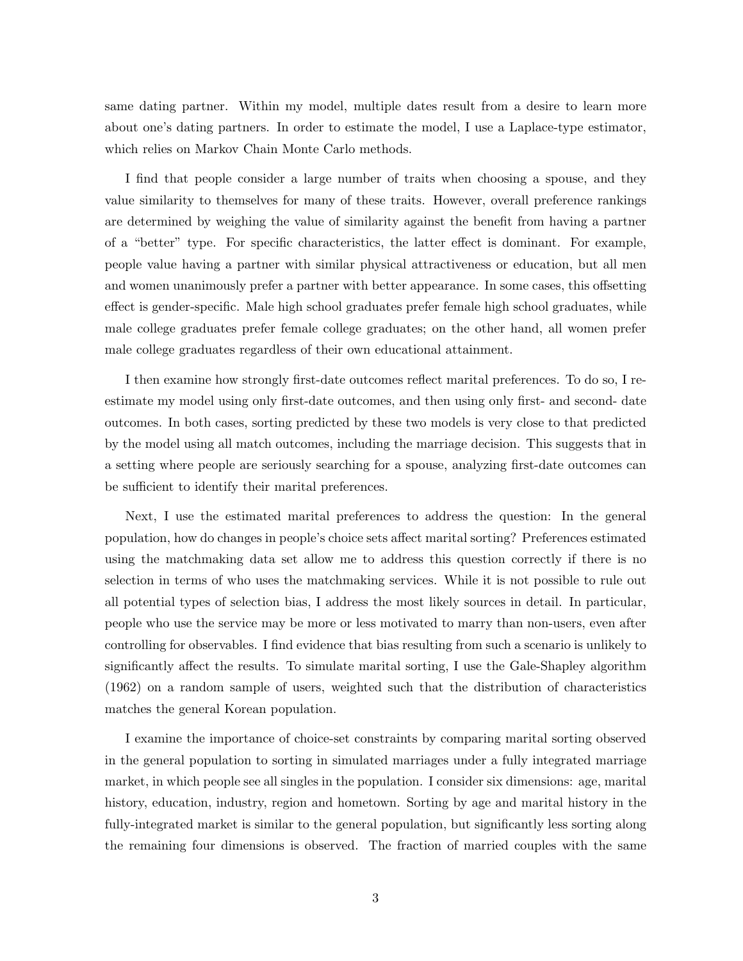same dating partner. Within my model, multiple dates result from a desire to learn more about one's dating partners. In order to estimate the model, I use a Laplace-type estimator, which relies on Markov Chain Monte Carlo methods.

I find that people consider a large number of traits when choosing a spouse, and they value similarity to themselves for many of these traits. However, overall preference rankings are determined by weighing the value of similarity against the benefit from having a partner of a "better" type. For specific characteristics, the latter effect is dominant. For example, people value having a partner with similar physical attractiveness or education, but all men and women unanimously prefer a partner with better appearance. In some cases, this offsetting effect is gender-specific. Male high school graduates prefer female high school graduates, while male college graduates prefer female college graduates; on the other hand, all women prefer male college graduates regardless of their own educational attainment.

I then examine how strongly first-date outcomes reflect marital preferences. To do so, I reestimate my model using only first-date outcomes, and then using only first- and second- date outcomes. In both cases, sorting predicted by these two models is very close to that predicted by the model using all match outcomes, including the marriage decision. This suggests that in a setting where people are seriously searching for a spouse, analyzing first-date outcomes can be sufficient to identify their marital preferences.

Next, I use the estimated marital preferences to address the question: In the general population, how do changes in people's choice sets affect marital sorting? Preferences estimated using the matchmaking data set allow me to address this question correctly if there is no selection in terms of who uses the matchmaking services. While it is not possible to rule out all potential types of selection bias, I address the most likely sources in detail. In particular, people who use the service may be more or less motivated to marry than non-users, even after controlling for observables. I find evidence that bias resulting from such a scenario is unlikely to significantly affect the results. To simulate marital sorting, I use the Gale-Shapley algorithm (1962) on a random sample of users, weighted such that the distribution of characteristics matches the general Korean population.

I examine the importance of choice-set constraints by comparing marital sorting observed in the general population to sorting in simulated marriages under a fully integrated marriage market, in which people see all singles in the population. I consider six dimensions: age, marital history, education, industry, region and hometown. Sorting by age and marital history in the fully-integrated market is similar to the general population, but significantly less sorting along the remaining four dimensions is observed. The fraction of married couples with the same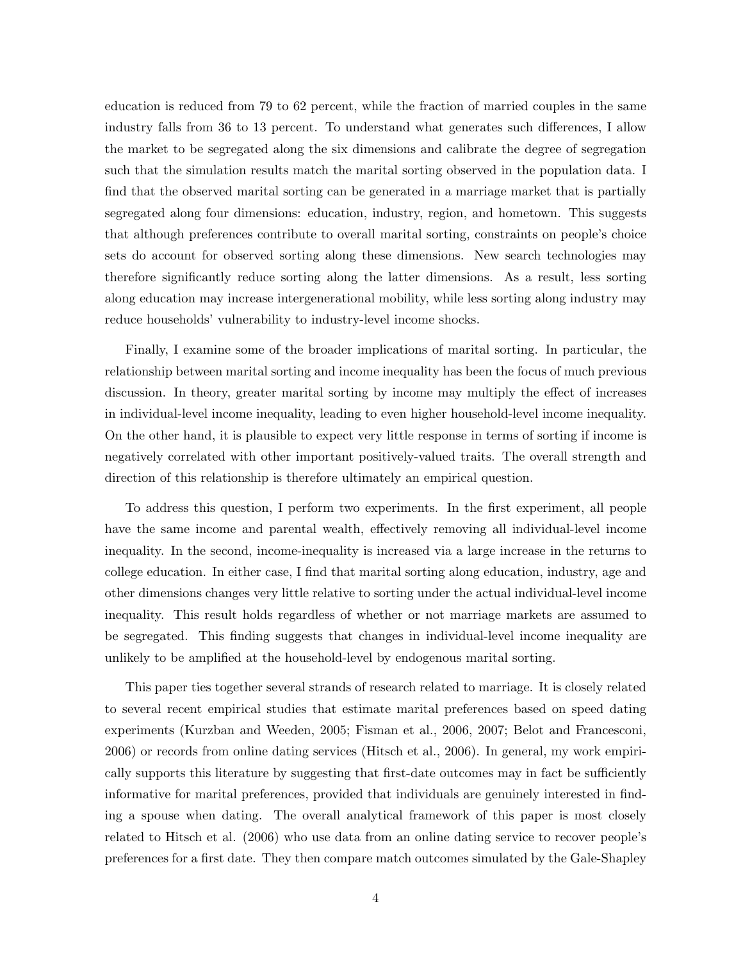education is reduced from 79 to 62 percent, while the fraction of married couples in the same industry falls from 36 to 13 percent. To understand what generates such differences, I allow the market to be segregated along the six dimensions and calibrate the degree of segregation such that the simulation results match the marital sorting observed in the population data. I find that the observed marital sorting can be generated in a marriage market that is partially segregated along four dimensions: education, industry, region, and hometown. This suggests that although preferences contribute to overall marital sorting, constraints on people's choice sets do account for observed sorting along these dimensions. New search technologies may therefore significantly reduce sorting along the latter dimensions. As a result, less sorting along education may increase intergenerational mobility, while less sorting along industry may reduce households' vulnerability to industry-level income shocks.

Finally, I examine some of the broader implications of marital sorting. In particular, the relationship between marital sorting and income inequality has been the focus of much previous discussion. In theory, greater marital sorting by income may multiply the effect of increases in individual-level income inequality, leading to even higher household-level income inequality. On the other hand, it is plausible to expect very little response in terms of sorting if income is negatively correlated with other important positively-valued traits. The overall strength and direction of this relationship is therefore ultimately an empirical question.

To address this question, I perform two experiments. In the first experiment, all people have the same income and parental wealth, effectively removing all individual-level income inequality. In the second, income-inequality is increased via a large increase in the returns to college education. In either case, I find that marital sorting along education, industry, age and other dimensions changes very little relative to sorting under the actual individual-level income inequality. This result holds regardless of whether or not marriage markets are assumed to be segregated. This finding suggests that changes in individual-level income inequality are unlikely to be amplified at the household-level by endogenous marital sorting.

This paper ties together several strands of research related to marriage. It is closely related to several recent empirical studies that estimate marital preferences based on speed dating experiments (Kurzban and Weeden, 2005; Fisman et al., 2006, 2007; Belot and Francesconi, 2006) or records from online dating services (Hitsch et al., 2006). In general, my work empirically supports this literature by suggesting that first-date outcomes may in fact be sufficiently informative for marital preferences, provided that individuals are genuinely interested in finding a spouse when dating. The overall analytical framework of this paper is most closely related to Hitsch et al. (2006) who use data from an online dating service to recover people's preferences for a first date. They then compare match outcomes simulated by the Gale-Shapley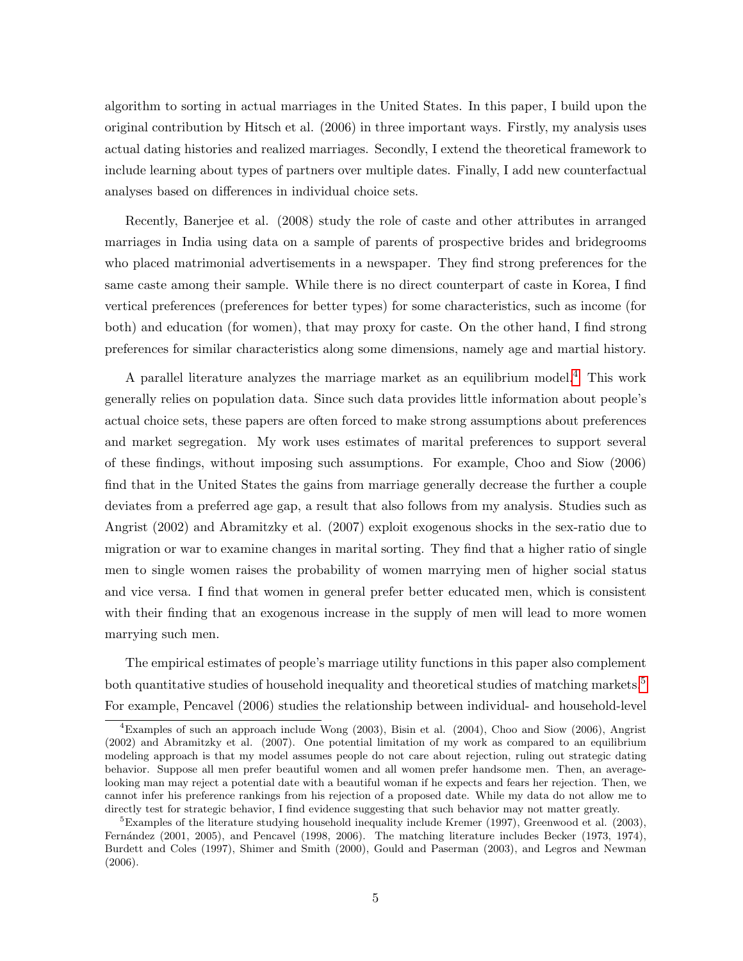algorithm to sorting in actual marriages in the United States. In this paper, I build upon the original contribution by Hitsch et al. (2006) in three important ways. Firstly, my analysis uses actual dating histories and realized marriages. Secondly, I extend the theoretical framework to include learning about types of partners over multiple dates. Finally, I add new counterfactual analyses based on differences in individual choice sets.

Recently, Banerjee et al. (2008) study the role of caste and other attributes in arranged marriages in India using data on a sample of parents of prospective brides and bridegrooms who placed matrimonial advertisements in a newspaper. They find strong preferences for the same caste among their sample. While there is no direct counterpart of caste in Korea, I find vertical preferences (preferences for better types) for some characteristics, such as income (for both) and education (for women), that may proxy for caste. On the other hand, I find strong preferences for similar characteristics along some dimensions, namely age and martial history.

A parallel literature analyzes the marriage market as an equilibrium model.[4](#page-0-0) This work generally relies on population data. Since such data provides little information about people's actual choice sets, these papers are often forced to make strong assumptions about preferences and market segregation. My work uses estimates of marital preferences to support several of these findings, without imposing such assumptions. For example, Choo and Siow (2006) find that in the United States the gains from marriage generally decrease the further a couple deviates from a preferred age gap, a result that also follows from my analysis. Studies such as Angrist (2002) and Abramitzky et al. (2007) exploit exogenous shocks in the sex-ratio due to migration or war to examine changes in marital sorting. They find that a higher ratio of single men to single women raises the probability of women marrying men of higher social status and vice versa. I find that women in general prefer better educated men, which is consistent with their finding that an exogenous increase in the supply of men will lead to more women marrying such men.

The empirical estimates of people's marriage utility functions in this paper also complement both quantitative studies of household inequality and theoretical studies of matching markets.<sup>[5](#page-0-0)</sup> For example, Pencavel (2006) studies the relationship between individual- and household-level

<sup>&</sup>lt;sup>4</sup>Examples of such an approach include Wong (2003), Bisin et al. (2004), Choo and Siow (2006), Angrist (2002) and Abramitzky et al. (2007). One potential limitation of my work as compared to an equilibrium modeling approach is that my model assumes people do not care about rejection, ruling out strategic dating behavior. Suppose all men prefer beautiful women and all women prefer handsome men. Then, an averagelooking man may reject a potential date with a beautiful woman if he expects and fears her rejection. Then, we cannot infer his preference rankings from his rejection of a proposed date. While my data do not allow me to directly test for strategic behavior, I find evidence suggesting that such behavior may not matter greatly.

<sup>5</sup>Examples of the literature studying household inequality include Kremer (1997), Greenwood et al. (2003), Fernández (2001, 2005), and Pencavel (1998, 2006). The matching literature includes Becker (1973, 1974), Burdett and Coles (1997), Shimer and Smith (2000), Gould and Paserman (2003), and Legros and Newman (2006).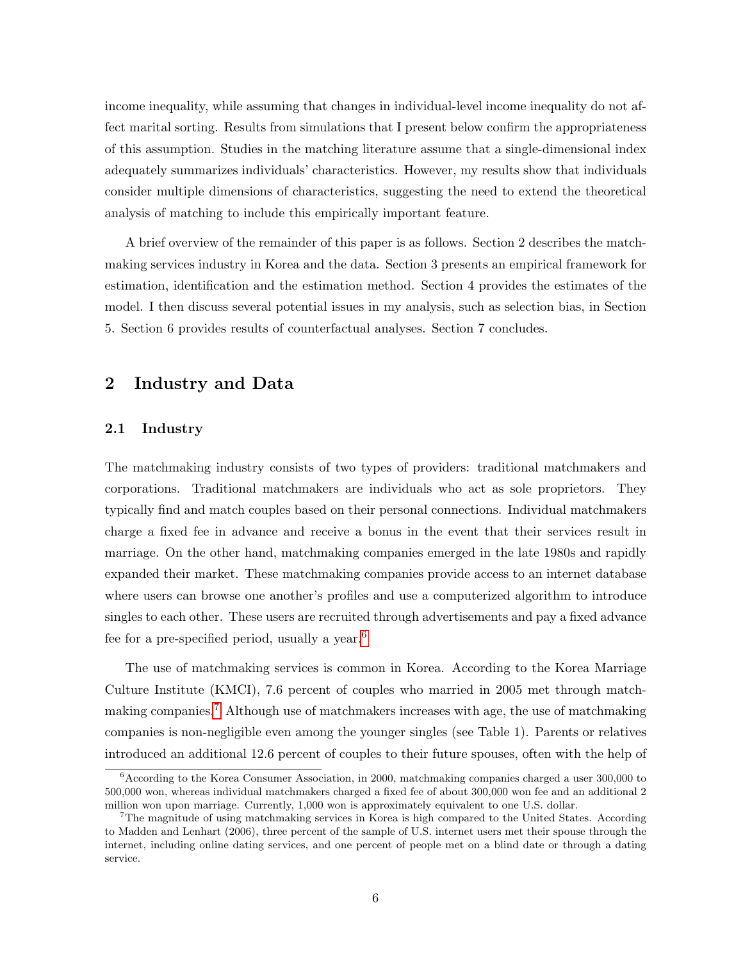income inequality, while assuming that changes in individual-level income inequality do not affect marital sorting. Results from simulations that I present below confirm the appropriateness of this assumption. Studies in the matching literature assume that a single-dimensional index adequately summarizes individuals' characteristics. However, my results show that individuals consider multiple dimensions of characteristics, suggesting the need to extend the theoretical analysis of matching to include this empirically important feature.

A brief overview of the remainder of this paper is as follows. Section 2 describes the matchmaking services industry in Korea and the data. Section 3 presents an empirical framework for estimation, identification and the estimation method. Section 4 provides the estimates of the model. I then discuss several potential issues in my analysis, such as selection bias, in Section 5. Section 6 provides results of counterfactual analyses. Section 7 concludes.

# 2 Industry and Data

### 2.1 Industry

The matchmaking industry consists of two types of providers: traditional matchmakers and corporations. Traditional matchmakers are individuals who act as sole proprietors. They typically find and match couples based on their personal connections. Individual matchmakers charge a fixed fee in advance and receive a bonus in the event that their services result in marriage. On the other hand, matchmaking companies emerged in the late 1980s and rapidly expanded their market. These matchmaking companies provide access to an internet database where users can browse one another's profiles and use a computerized algorithm to introduce singles to each other. These users are recruited through advertisements and pay a fixed advance fee for a pre-specified period, usually a year.[6](#page-0-0)

The use of matchmaking services is common in Korea. According to the Korea Marriage Culture Institute (KMCI), 7.6 percent of couples who married in 2005 met through matchmaking companies.[7](#page-0-0) Although use of matchmakers increases with age, the use of matchmaking companies is non-negligible even among the younger singles (see Table 1). Parents or relatives introduced an additional 12.6 percent of couples to their future spouses, often with the help of

 ${}^{6}$ According to the Korea Consumer Association, in 2000, matchmaking companies charged a user 300,000 to 500,000 won, whereas individual matchmakers charged a fixed fee of about 300,000 won fee and an additional 2 million won upon marriage. Currently, 1,000 won is approximately equivalent to one U.S. dollar.

<sup>7</sup>The magnitude of using matchmaking services in Korea is high compared to the United States. According to Madden and Lenhart (2006), three percent of the sample of U.S. internet users met their spouse through the internet, including online dating services, and one percent of people met on a blind date or through a dating service.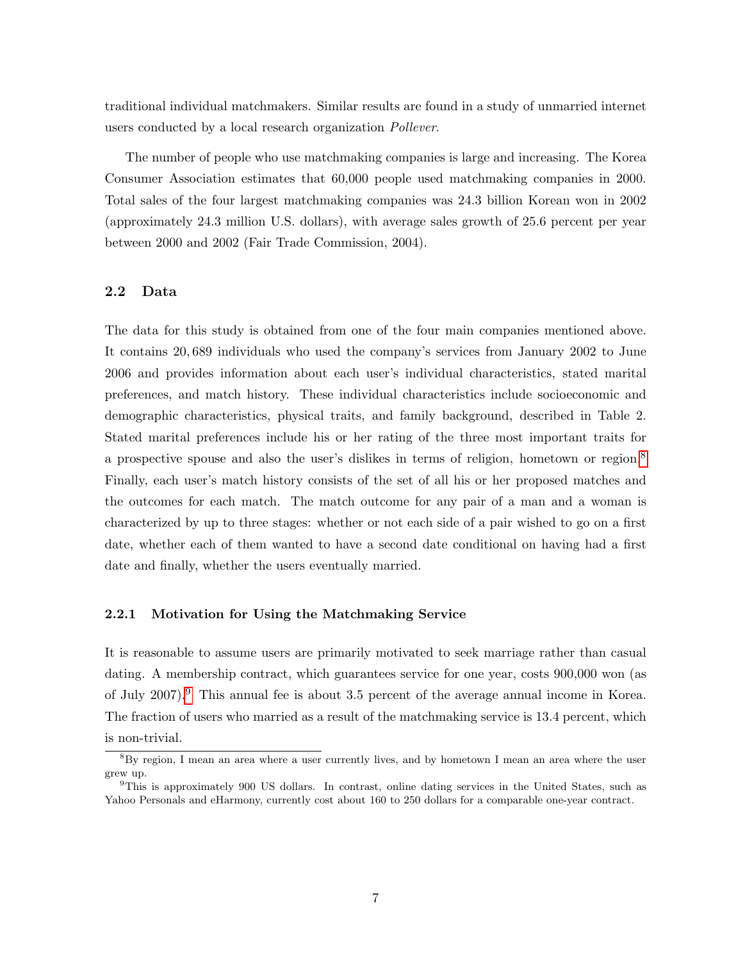traditional individual matchmakers. Similar results are found in a study of unmarried internet users conducted by a local research organization *Pollever*.

The number of people who use matchmaking companies is large and increasing. The Korea Consumer Association estimates that 60,000 people used matchmaking companies in 2000. Total sales of the four largest matchmaking companies was 24.3 billion Korean won in 2002 (approximately 24.3 million U.S. dollars), with average sales growth of 25.6 percent per year between 2000 and 2002 (Fair Trade Commission, 2004).

### 2.2 Data

The data for this study is obtained from one of the four main companies mentioned above. It contains 20, 689 individuals who used the company's services from January 2002 to June 2006 and provides information about each user's individual characteristics, stated marital preferences, and match history. These individual characteristics include socioeconomic and demographic characteristics, physical traits, and family background, described in Table 2. Stated marital preferences include his or her rating of the three most important traits for a prospective spouse and also the user's dislikes in terms of religion, hometown or region.<sup>[8](#page-0-0)</sup> Finally, each user's match history consists of the set of all his or her proposed matches and the outcomes for each match. The match outcome for any pair of a man and a woman is characterized by up to three stages: whether or not each side of a pair wished to go on a first date, whether each of them wanted to have a second date conditional on having had a first date and finally, whether the users eventually married.

### 2.2.1 Motivation for Using the Matchmaking Service

It is reasonable to assume users are primarily motivated to seek marriage rather than casual dating. A membership contract, which guarantees service for one year, costs 900,000 won (as of July 2007).[9](#page-0-0) This annual fee is about 3.5 percent of the average annual income in Korea. The fraction of users who married as a result of the matchmaking service is 13.4 percent, which

is non-trivial.

<sup>8</sup>By region, I mean an area where a user currently lives, and by hometown I mean an area where the user grew up.

<sup>9</sup>This is approximately 900 US dollars. In contrast, online dating services in the United States, such as Yahoo Personals and eHarmony, currently cost about 160 to 250 dollars for a comparable one-year contract.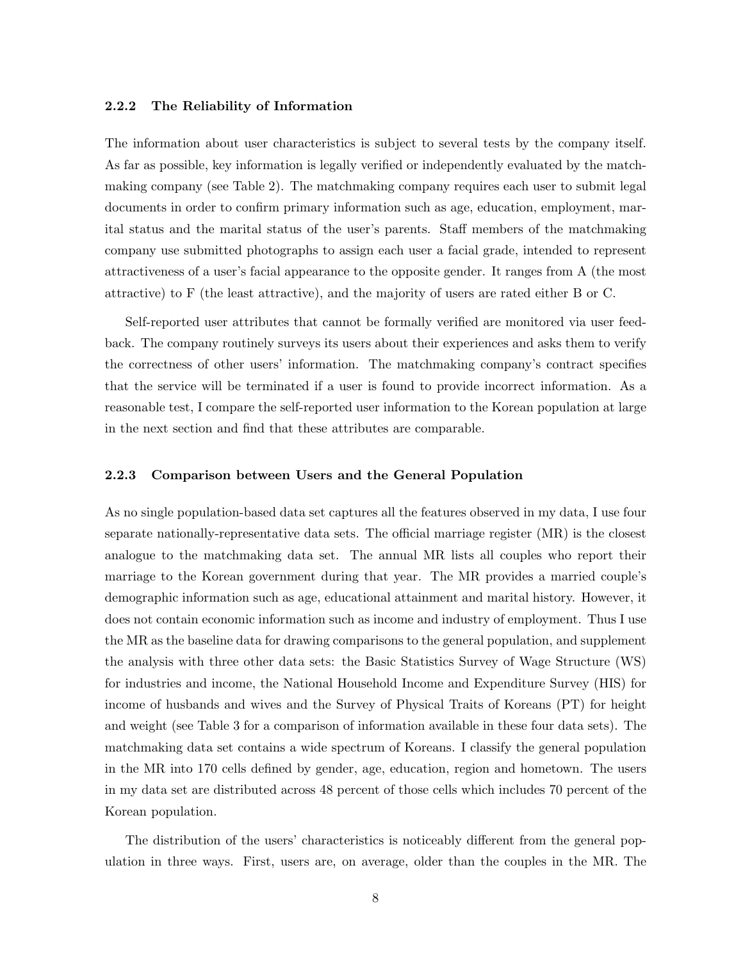### 2.2.2 The Reliability of Information

The information about user characteristics is subject to several tests by the company itself. As far as possible, key information is legally verified or independently evaluated by the matchmaking company (see Table 2). The matchmaking company requires each user to submit legal documents in order to confirm primary information such as age, education, employment, marital status and the marital status of the user's parents. Staff members of the matchmaking company use submitted photographs to assign each user a facial grade, intended to represent attractiveness of a user's facial appearance to the opposite gender. It ranges from A (the most attractive) to F (the least attractive), and the majority of users are rated either B or C.

Self-reported user attributes that cannot be formally verified are monitored via user feedback. The company routinely surveys its users about their experiences and asks them to verify the correctness of other users' information. The matchmaking company's contract specifies that the service will be terminated if a user is found to provide incorrect information. As a reasonable test, I compare the self-reported user information to the Korean population at large in the next section and find that these attributes are comparable.

### 2.2.3 Comparison between Users and the General Population

As no single population-based data set captures all the features observed in my data, I use four separate nationally-representative data sets. The official marriage register (MR) is the closest analogue to the matchmaking data set. The annual MR lists all couples who report their marriage to the Korean government during that year. The MR provides a married couple's demographic information such as age, educational attainment and marital history. However, it does not contain economic information such as income and industry of employment. Thus I use the MR as the baseline data for drawing comparisons to the general population, and supplement the analysis with three other data sets: the Basic Statistics Survey of Wage Structure (WS) for industries and income, the National Household Income and Expenditure Survey (HIS) for income of husbands and wives and the Survey of Physical Traits of Koreans (PT) for height and weight (see Table 3 for a comparison of information available in these four data sets). The matchmaking data set contains a wide spectrum of Koreans. I classify the general population in the MR into 170 cells defined by gender, age, education, region and hometown. The users in my data set are distributed across 48 percent of those cells which includes 70 percent of the Korean population.

The distribution of the users' characteristics is noticeably different from the general population in three ways. First, users are, on average, older than the couples in the MR. The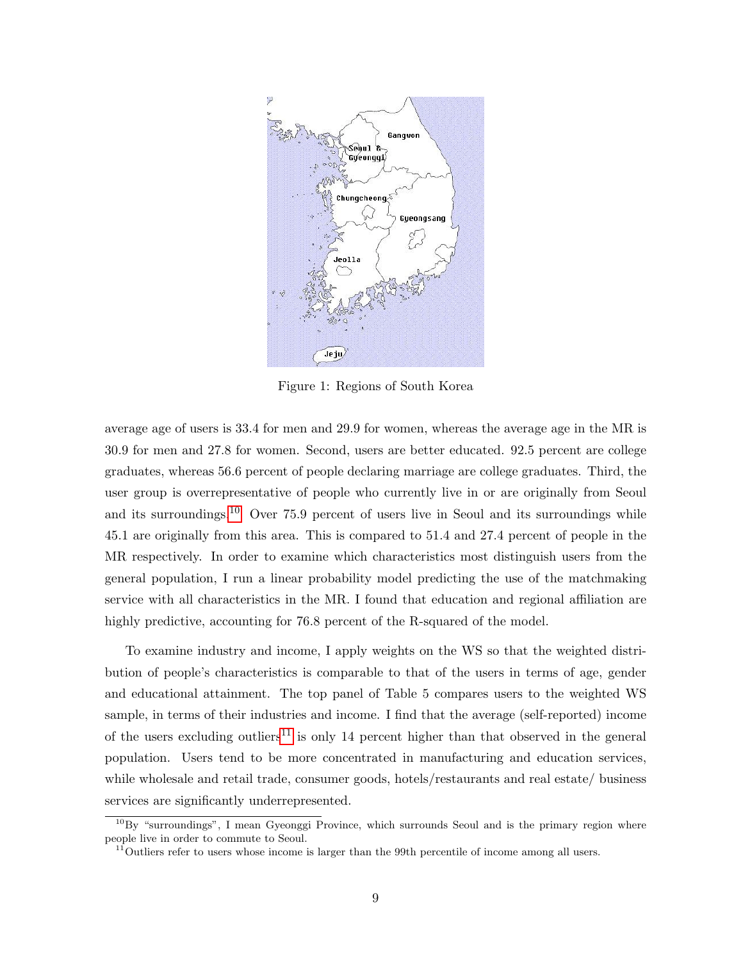

Figure 1: Regions of South Korea

average age of users is 33.4 for men and 29.9 for women, whereas the average age in the MR is 30.9 for men and 27.8 for women. Second, users are better educated. 92.5 percent are college graduates, whereas 56.6 percent of people declaring marriage are college graduates. Third, the user group is overrepresentative of people who currently live in or are originally from Seoul and its surroundings.[10](#page-0-0) Over 75.9 percent of users live in Seoul and its surroundings while 45.1 are originally from this area. This is compared to 51.4 and 27.4 percent of people in the MR respectively. In order to examine which characteristics most distinguish users from the general population, I run a linear probability model predicting the use of the matchmaking service with all characteristics in the MR. I found that education and regional affiliation are highly predictive, accounting for 76.8 percent of the R-squared of the model.

To examine industry and income, I apply weights on the WS so that the weighted distribution of people's characteristics is comparable to that of the users in terms of age, gender and educational attainment. The top panel of Table 5 compares users to the weighted WS sample, in terms of their industries and income. I find that the average (self-reported) income of the users excluding outliers<sup>[11](#page-0-0)</sup> is only 14 percent higher than that observed in the general population. Users tend to be more concentrated in manufacturing and education services, while wholesale and retail trade, consumer goods, hotels/restaurants and real estate/ business services are significantly underrepresented.

 $10By$  "surroundings", I mean Gyeonggi Province, which surrounds Seoul and is the primary region where people live in order to commute to Seoul.

 $11$ <sup>Outliers refer to users whose income is larger than the 99th percentile of income among all users.</sup>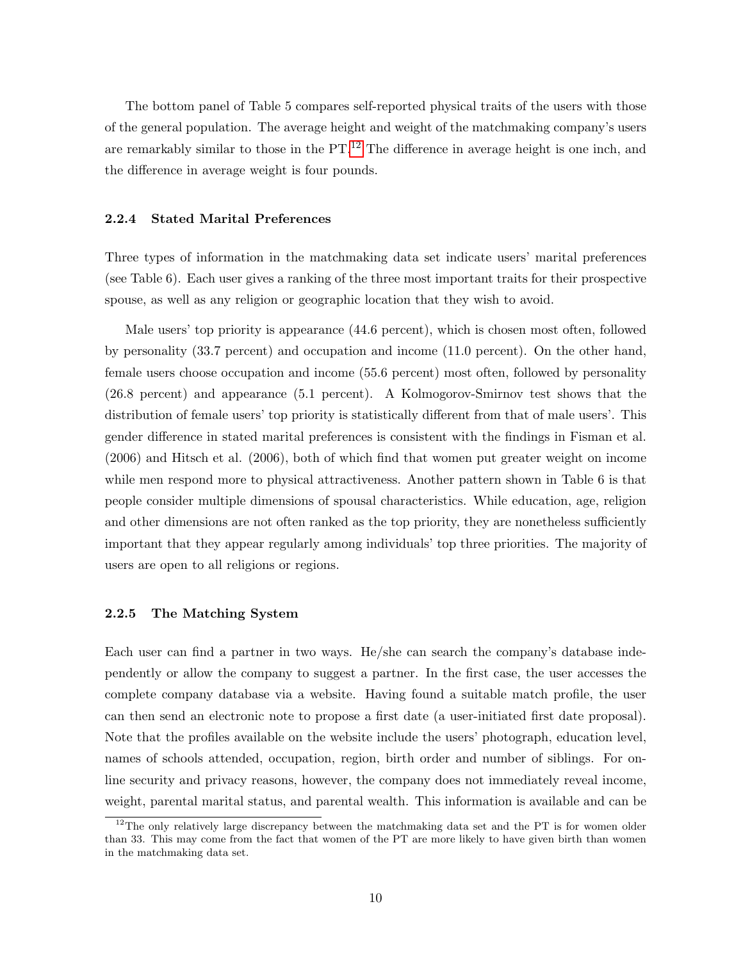The bottom panel of Table 5 compares self-reported physical traits of the users with those of the general population. The average height and weight of the matchmaking company's users are remarkably similar to those in the  $PT<sup>12</sup>$  $PT<sup>12</sup>$  $PT<sup>12</sup>$ . The difference in average height is one inch, and the difference in average weight is four pounds.

### 2.2.4 Stated Marital Preferences

Three types of information in the matchmaking data set indicate users' marital preferences (see Table 6). Each user gives a ranking of the three most important traits for their prospective spouse, as well as any religion or geographic location that they wish to avoid.

Male users' top priority is appearance (44.6 percent), which is chosen most often, followed by personality (33.7 percent) and occupation and income (11.0 percent). On the other hand, female users choose occupation and income (55.6 percent) most often, followed by personality (26.8 percent) and appearance (5.1 percent). A Kolmogorov-Smirnov test shows that the distribution of female users' top priority is statistically different from that of male users'. This gender difference in stated marital preferences is consistent with the findings in Fisman et al. (2006) and Hitsch et al. (2006), both of which find that women put greater weight on income while men respond more to physical attractiveness. Another pattern shown in Table 6 is that people consider multiple dimensions of spousal characteristics. While education, age, religion and other dimensions are not often ranked as the top priority, they are nonetheless sufficiently important that they appear regularly among individuals' top three priorities. The majority of users are open to all religions or regions.

### 2.2.5 The Matching System

Each user can find a partner in two ways. He/she can search the company's database independently or allow the company to suggest a partner. In the first case, the user accesses the complete company database via a website. Having found a suitable match profile, the user can then send an electronic note to propose a first date (a user-initiated first date proposal). Note that the profiles available on the website include the users' photograph, education level, names of schools attended, occupation, region, birth order and number of siblings. For online security and privacy reasons, however, the company does not immediately reveal income, weight, parental marital status, and parental wealth. This information is available and can be

<sup>&</sup>lt;sup>12</sup>The only relatively large discrepancy between the matchmaking data set and the PT is for women older than 33. This may come from the fact that women of the PT are more likely to have given birth than women in the matchmaking data set.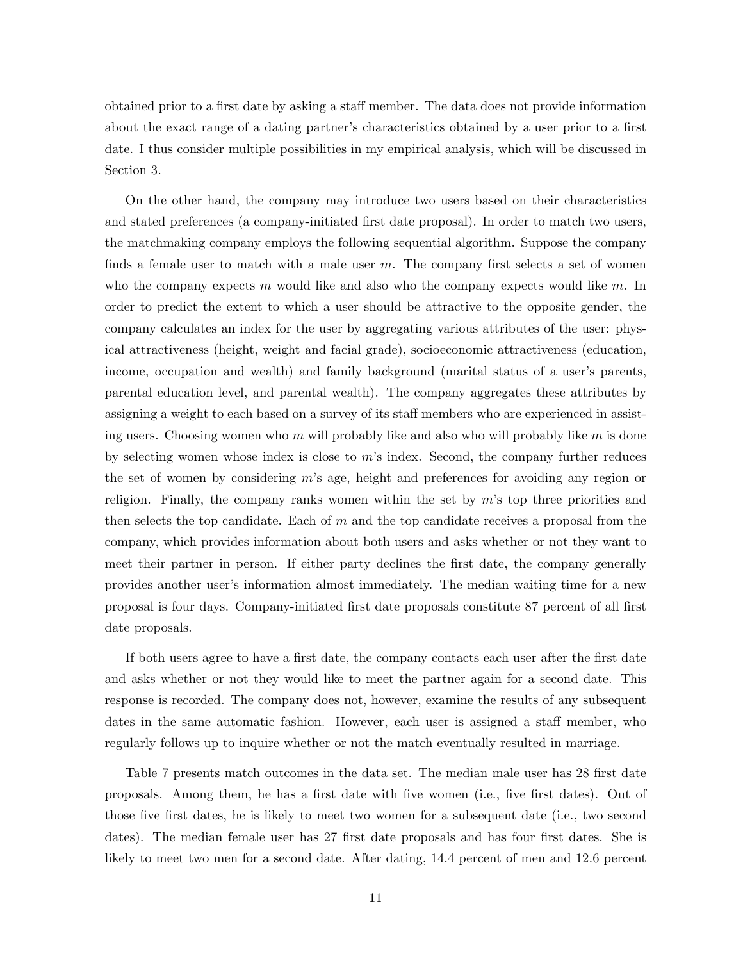obtained prior to a first date by asking a staff member. The data does not provide information about the exact range of a dating partner's characteristics obtained by a user prior to a first date. I thus consider multiple possibilities in my empirical analysis, which will be discussed in Section 3.

On the other hand, the company may introduce two users based on their characteristics and stated preferences (a company-initiated first date proposal). In order to match two users, the matchmaking company employs the following sequential algorithm. Suppose the company finds a female user to match with a male user  $m$ . The company first selects a set of women who the company expects  $m$  would like and also who the company expects would like  $m$ . In order to predict the extent to which a user should be attractive to the opposite gender, the company calculates an index for the user by aggregating various attributes of the user: physical attractiveness (height, weight and facial grade), socioeconomic attractiveness (education, income, occupation and wealth) and family background (marital status of a user's parents, parental education level, and parental wealth). The company aggregates these attributes by assigning a weight to each based on a survey of its staff members who are experienced in assisting users. Choosing women who m will probably like and also who will probably like m is done by selecting women whose index is close to m's index. Second, the company further reduces the set of women by considering m's age, height and preferences for avoiding any region or religion. Finally, the company ranks women within the set by  $m$ 's top three priorities and then selects the top candidate. Each of m and the top candidate receives a proposal from the company, which provides information about both users and asks whether or not they want to meet their partner in person. If either party declines the first date, the company generally provides another user's information almost immediately. The median waiting time for a new proposal is four days. Company-initiated first date proposals constitute 87 percent of all first date proposals.

If both users agree to have a first date, the company contacts each user after the first date and asks whether or not they would like to meet the partner again for a second date. This response is recorded. The company does not, however, examine the results of any subsequent dates in the same automatic fashion. However, each user is assigned a staff member, who regularly follows up to inquire whether or not the match eventually resulted in marriage.

Table 7 presents match outcomes in the data set. The median male user has 28 first date proposals. Among them, he has a first date with five women (i.e., five first dates). Out of those five first dates, he is likely to meet two women for a subsequent date (i.e., two second dates). The median female user has 27 first date proposals and has four first dates. She is likely to meet two men for a second date. After dating, 14.4 percent of men and 12.6 percent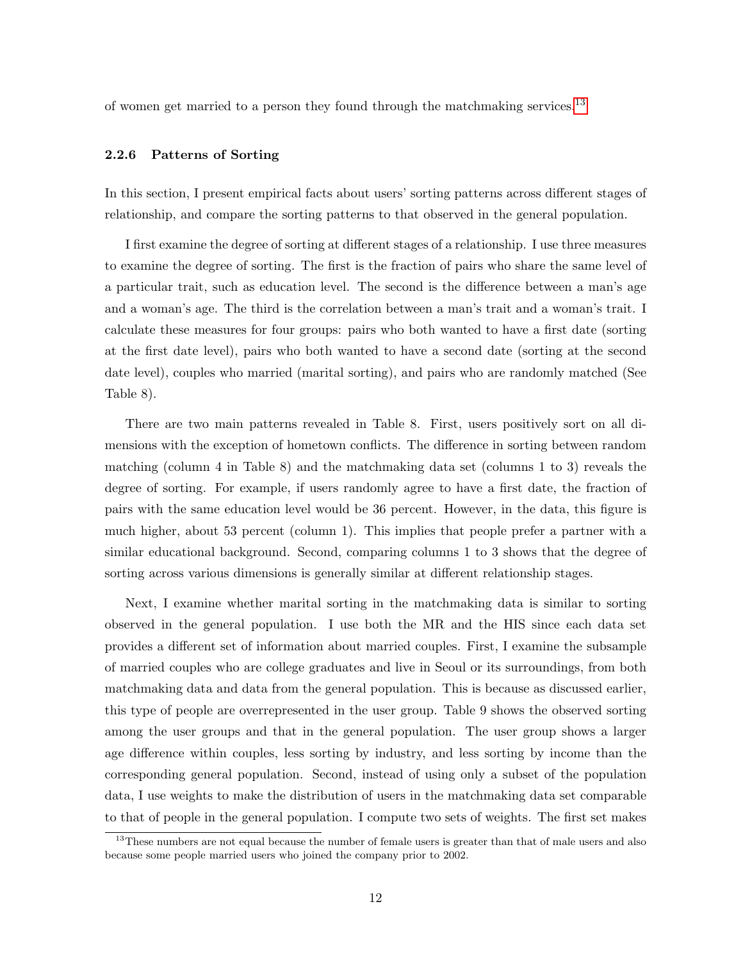of women get married to a person they found through the matchmaking services.<sup>[13](#page-0-0)</sup>

### 2.2.6 Patterns of Sorting

In this section, I present empirical facts about users' sorting patterns across different stages of relationship, and compare the sorting patterns to that observed in the general population.

I first examine the degree of sorting at different stages of a relationship. I use three measures to examine the degree of sorting. The first is the fraction of pairs who share the same level of a particular trait, such as education level. The second is the difference between a man's age and a woman's age. The third is the correlation between a man's trait and a woman's trait. I calculate these measures for four groups: pairs who both wanted to have a first date (sorting at the first date level), pairs who both wanted to have a second date (sorting at the second date level), couples who married (marital sorting), and pairs who are randomly matched (See Table 8).

There are two main patterns revealed in Table 8. First, users positively sort on all dimensions with the exception of hometown conflicts. The difference in sorting between random matching (column 4 in Table 8) and the matchmaking data set (columns 1 to 3) reveals the degree of sorting. For example, if users randomly agree to have a first date, the fraction of pairs with the same education level would be 36 percent. However, in the data, this figure is much higher, about 53 percent (column 1). This implies that people prefer a partner with a similar educational background. Second, comparing columns 1 to 3 shows that the degree of sorting across various dimensions is generally similar at different relationship stages.

Next, I examine whether marital sorting in the matchmaking data is similar to sorting observed in the general population. I use both the MR and the HIS since each data set provides a different set of information about married couples. First, I examine the subsample of married couples who are college graduates and live in Seoul or its surroundings, from both matchmaking data and data from the general population. This is because as discussed earlier, this type of people are overrepresented in the user group. Table 9 shows the observed sorting among the user groups and that in the general population. The user group shows a larger age difference within couples, less sorting by industry, and less sorting by income than the corresponding general population. Second, instead of using only a subset of the population data, I use weights to make the distribution of users in the matchmaking data set comparable to that of people in the general population. I compute two sets of weights. The first set makes

<sup>&</sup>lt;sup>13</sup>These numbers are not equal because the number of female users is greater than that of male users and also because some people married users who joined the company prior to 2002.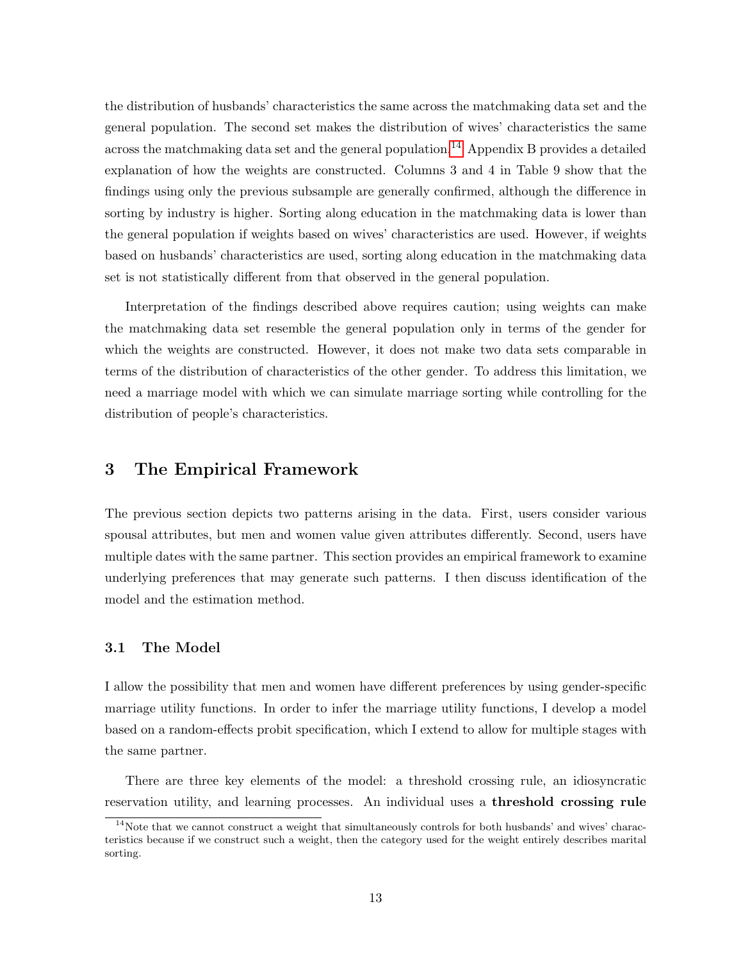the distribution of husbands' characteristics the same across the matchmaking data set and the general population. The second set makes the distribution of wives' characteristics the same across the matchmaking data set and the general population.<sup>[14](#page-0-0)</sup> Appendix B provides a detailed explanation of how the weights are constructed. Columns 3 and 4 in Table 9 show that the findings using only the previous subsample are generally confirmed, although the difference in sorting by industry is higher. Sorting along education in the matchmaking data is lower than the general population if weights based on wives' characteristics are used. However, if weights based on husbands' characteristics are used, sorting along education in the matchmaking data set is not statistically different from that observed in the general population.

Interpretation of the findings described above requires caution; using weights can make the matchmaking data set resemble the general population only in terms of the gender for which the weights are constructed. However, it does not make two data sets comparable in terms of the distribution of characteristics of the other gender. To address this limitation, we need a marriage model with which we can simulate marriage sorting while controlling for the distribution of people's characteristics.

# 3 The Empirical Framework

The previous section depicts two patterns arising in the data. First, users consider various spousal attributes, but men and women value given attributes differently. Second, users have multiple dates with the same partner. This section provides an empirical framework to examine underlying preferences that may generate such patterns. I then discuss identification of the model and the estimation method.

### 3.1 The Model

I allow the possibility that men and women have different preferences by using gender-specific marriage utility functions. In order to infer the marriage utility functions, I develop a model based on a random-effects probit specification, which I extend to allow for multiple stages with the same partner.

There are three key elements of the model: a threshold crossing rule, an idiosyncratic reservation utility, and learning processes. An individual uses a threshold crossing rule

 $14$ Note that we cannot construct a weight that simultaneously controls for both husbands' and wives' characteristics because if we construct such a weight, then the category used for the weight entirely describes marital sorting.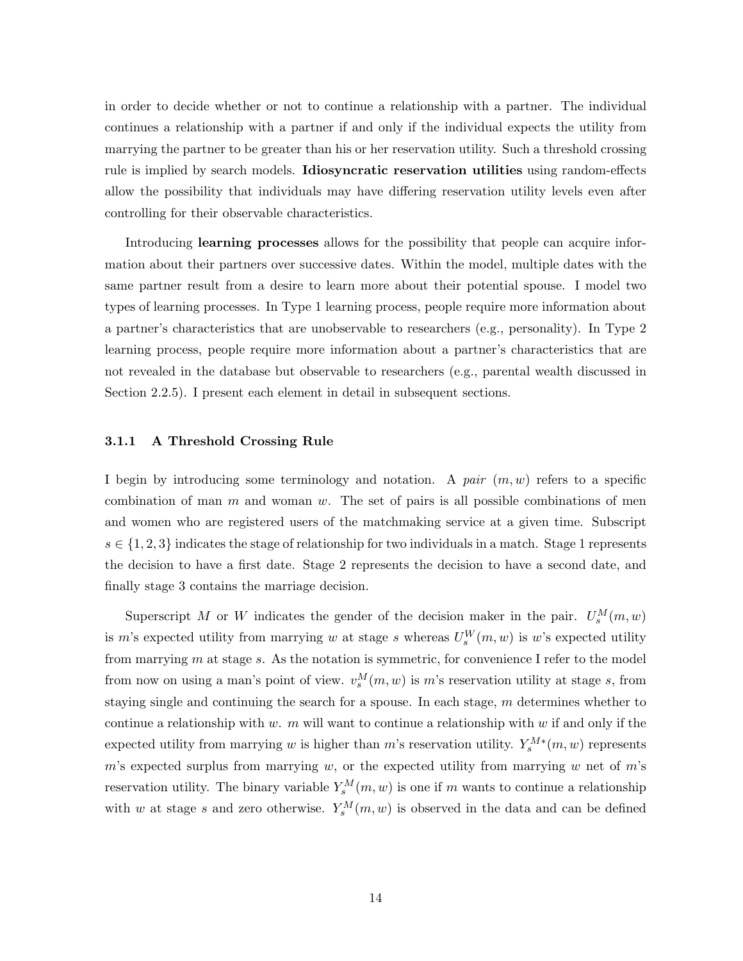in order to decide whether or not to continue a relationship with a partner. The individual continues a relationship with a partner if and only if the individual expects the utility from marrying the partner to be greater than his or her reservation utility. Such a threshold crossing rule is implied by search models. Idiosyncratic reservation utilities using random-effects allow the possibility that individuals may have differing reservation utility levels even after controlling for their observable characteristics.

Introducing **learning processes** allows for the possibility that people can acquire information about their partners over successive dates. Within the model, multiple dates with the same partner result from a desire to learn more about their potential spouse. I model two types of learning processes. In Type 1 learning process, people require more information about a partner's characteristics that are unobservable to researchers (e.g., personality). In Type 2 learning process, people require more information about a partner's characteristics that are not revealed in the database but observable to researchers (e.g., parental wealth discussed in Section 2.2.5). I present each element in detail in subsequent sections.

### 3.1.1 A Threshold Crossing Rule

I begin by introducing some terminology and notation. A *pair* (m, w) refers to a specific combination of man  $m$  and woman  $w$ . The set of pairs is all possible combinations of men and women who are registered users of the matchmaking service at a given time. Subscript  $s \in \{1, 2, 3\}$  indicates the stage of relationship for two individuals in a match. Stage 1 represents the decision to have a first date. Stage 2 represents the decision to have a second date, and finally stage 3 contains the marriage decision.

Superscript M or W indicates the gender of the decision maker in the pair.  $U_s^M(m, w)$ is m's expected utility from marrying w at stage s whereas  $U_s^W(m, w)$  is w's expected utility from marrying m at stage s. As the notation is symmetric, for convenience I refer to the model from now on using a man's point of view.  $v_s^M(m, w)$  is m's reservation utility at stage s, from staying single and continuing the search for a spouse. In each stage, m determines whether to continue a relationship with w. m will want to continue a relationship with w if and only if the expected utility from marrying w is higher than m's reservation utility.  $Y_s^{M*}(m, w)$  represents m's expected surplus from marrying w, or the expected utility from marrying w net of  $m$ 's reservation utility. The binary variable  $Y_s^M(m, w)$  is one if m wants to continue a relationship with w at stage s and zero otherwise.  $Y_s^M(m, w)$  is observed in the data and can be defined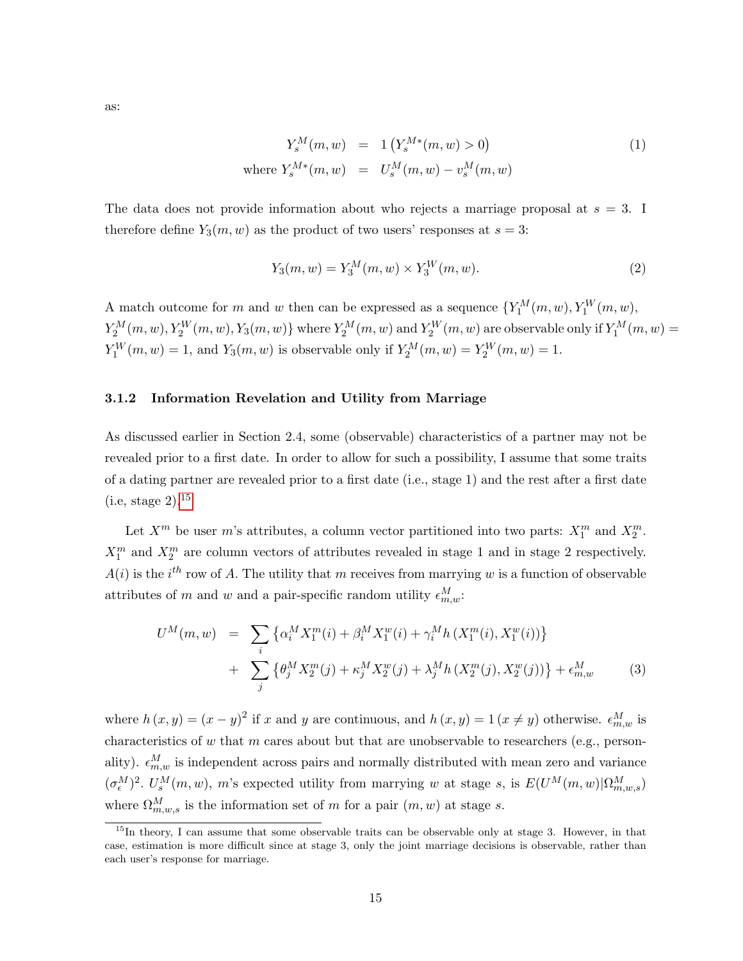as:

<span id="page-15-1"></span>
$$
Y_s^M(m, w) = 1 (Y_s^{M*}(m, w) > 0)
$$
  
where  $Y_s^{M*}(m, w) = U_s^M(m, w) - v_s^M(m, w)$  (1)

The data does not provide information about who rejects a marriage proposal at  $s = 3$ . I therefore define  $Y_3(m, w)$  as the product of two users' responses at  $s = 3$ :

<span id="page-15-0"></span>
$$
Y_3(m, w) = Y_3^M(m, w) \times Y_3^W(m, w).
$$
 (2)

A match outcome for m and w then can be expressed as a sequence  $\{Y_1^M(m, w), Y_1^W(m, w),\}$  $Y_2^M(m, w), Y_2^W(m, w), Y_3(m, w) \}$  where  $Y_2^M(m, w)$  and  $Y_2^W(m, w)$  are observable only if  $Y_1^M(m, w) =$  $Y_1^W(m, w) = 1$ , and  $Y_3(m, w)$  is observable only if  $Y_2^M(m, w) = Y_2^W(m, w) = 1$ .

### 3.1.2 Information Revelation and Utility from Marriage

As discussed earlier in Section 2.4, some (observable) characteristics of a partner may not be revealed prior to a first date. In order to allow for such a possibility, I assume that some traits of a dating partner are revealed prior to a first date (i.e., stage 1) and the rest after a first date (i.e, stage 2).[15](#page-0-0)

Let  $X^m$  be user m's attributes, a column vector partitioned into two parts:  $X_1^m$  and  $X_2^m$ .  $X_1^m$  and  $X_2^m$  are column vectors of attributes revealed in stage 1 and in stage 2 respectively.  $A(i)$  is the i<sup>th</sup> row of A. The utility that m receives from marrying w is a function of observable attributes of m and w and a pair-specific random utility  $\epsilon_{m,w}^M$ :

$$
U^{M}(m, w) = \sum_{i} \{ \alpha_{i}^{M} X_{1}^{m}(i) + \beta_{i}^{M} X_{1}^{w}(i) + \gamma_{i}^{M} h \left( X_{1}^{m}(i), X_{1}^{w}(i) \right) \} + \sum_{j} \{ \theta_{j}^{M} X_{2}^{m}(j) + \kappa_{j}^{M} X_{2}^{w}(j) + \lambda_{j}^{M} h \left( X_{2}^{m}(j), X_{2}^{w}(j) \right) \} + \epsilon_{m, w}^{M} \tag{3}
$$

where  $h(x, y) = (x - y)^2$  if x and y are continuous, and  $h(x, y) = 1$   $(x \neq y)$  otherwise.  $\epsilon_{m,w}^M$  is characteristics of  $w$  that  $m$  cares about but that are unobservable to researchers (e.g., personality).  $\epsilon_{m,w}^M$  is independent across pairs and normally distributed with mean zero and variance  $(\sigma_{\epsilon}^{M})^{2}$ .  $U_{s}^{M}(m, w)$ , m's expected utility from marrying w at stage s, is  $E(U^{M}(m, w)|\Omega_{m,w,s}^{M})$ where  $\Omega_{m,w,s}^M$  is the information set of m for a pair  $(m, w)$  at stage s.

<sup>&</sup>lt;sup>15</sup>In theory, I can assume that some observable traits can be observable only at stage 3. However, in that case, estimation is more difficult since at stage 3, only the joint marriage decisions is observable, rather than each user's response for marriage.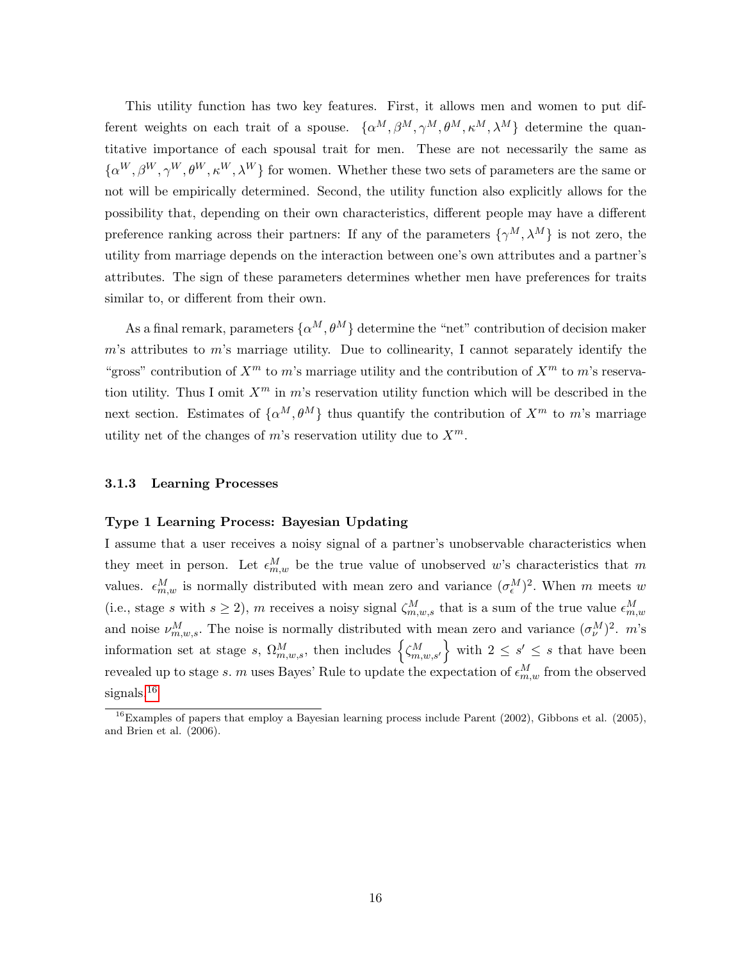This utility function has two key features. First, it allows men and women to put different weights on each trait of a spouse.  $\{\alpha^M, \beta^M, \gamma^M, \theta^M, \kappa^M, \lambda^M\}$  determine the quantitative importance of each spousal trait for men. These are not necessarily the same as  $\{\alpha^{W}, \beta^{W}, \gamma^{W}, \theta^{W}, \kappa^{W}, \lambda^{W}\}\$ for women. Whether these two sets of parameters are the same or not will be empirically determined. Second, the utility function also explicitly allows for the possibility that, depending on their own characteristics, different people may have a different preference ranking across their partners: If any of the parameters  $\{\gamma^M, \lambda^M\}$  is not zero, the utility from marriage depends on the interaction between one's own attributes and a partner's attributes. The sign of these parameters determines whether men have preferences for traits similar to, or different from their own.

As a final remark, parameters  $\{\alpha^M, \theta^M\}$  determine the "net" contribution of decision maker  $m$ 's attributes to  $m$ 's marriage utility. Due to collinearity, I cannot separately identify the "gross" contribution of  $X^m$  to m's marriage utility and the contribution of  $X^m$  to m's reservation utility. Thus I omit  $X^m$  in m's reservation utility function which will be described in the next section. Estimates of  $\{\alpha^M, \theta^M\}$  thus quantify the contribution of  $X^m$  to m's marriage utility net of the changes of m's reservation utility due to  $X^m$ .

### 3.1.3 Learning Processes

#### Type 1 Learning Process: Bayesian Updating

I assume that a user receives a noisy signal of a partner's unobservable characteristics when they meet in person. Let  $\epsilon_{m,w}^M$  be the true value of unobserved w's characteristics that m values.  $\epsilon_{m,w}^M$  is normally distributed with mean zero and variance  $(\sigma_{\epsilon}^M)^2$ . When m meets w (i.e., stage s with  $s \ge 2$ ), m receives a noisy signal  $\zeta_{m,w,s}^M$  that is a sum of the true value  $\epsilon_{m,w}^M$ and noise  $\nu_{m,w,s}^M$ . The noise is normally distributed with mean zero and variance  $(\sigma_{\nu}^M)^2$ . m's information set at stage s,  $\Omega_{m,w,s}^M$ , then includes  $\left\{\zeta_{m,w,s'}^M\right\}$  with  $2 \leq s' \leq s$  that have been revealed up to stage s. m uses Bayes' Rule to update the expectation of  $\epsilon_{m,w}^M$  from the observed signals.<sup>[16](#page-0-0)</sup>

 $^{16}$ Examples of papers that employ a Bayesian learning process include Parent (2002), Gibbons et al. (2005), and Brien et al. (2006).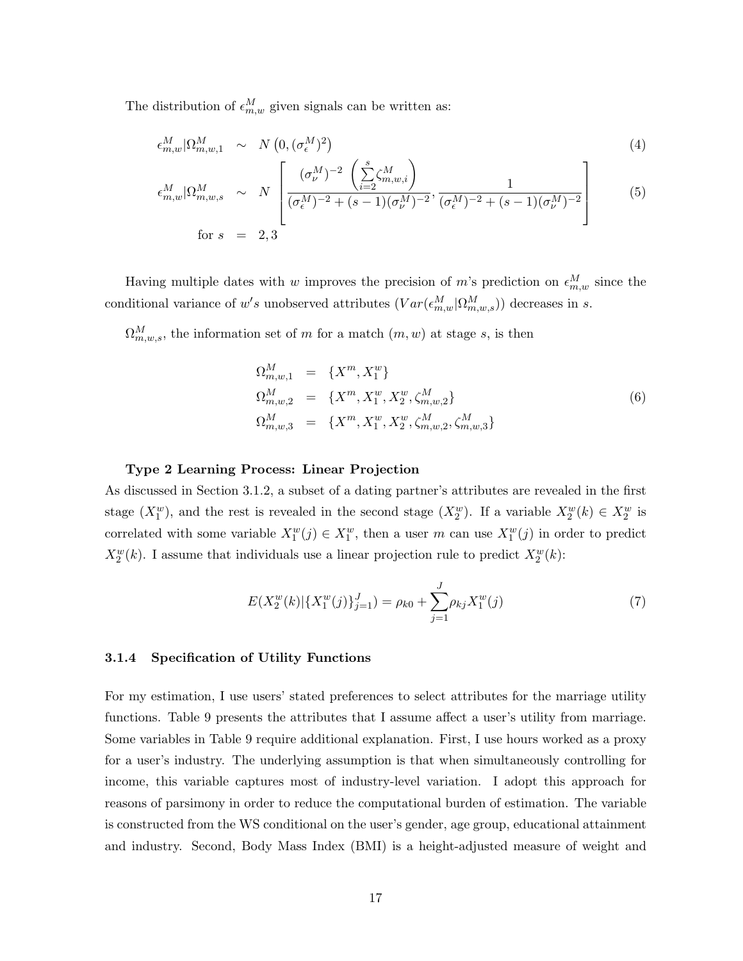The distribution of  $\epsilon_{m,w}^M$  given signals can be written as:

$$
\epsilon_{m,w}^M |\Omega_{m,w,1}^M \sim N\left(0, (\sigma_\epsilon^M)^2\right) \tag{4}
$$

<span id="page-17-0"></span>
$$
\epsilon_{m,w}^M |\Omega_{m,w,s}^M \sim N \left[ \frac{(\sigma_{\nu}^M)^{-2} \left( \sum_{i=2}^s \zeta_{m,w,i}^M \right)}{(\sigma_{\epsilon}^M)^{-2} + (s-1)(\sigma_{\nu}^M)^{-2}}, \frac{1}{(\sigma_{\epsilon}^M)^{-2} + (s-1)(\sigma_{\nu}^M)^{-2}} \right]
$$
(5)

Having multiple dates with w improves the precision of m's prediction on  $\epsilon_{m,w}^M$  since the conditional variance of w's unobserved attributes  $(Var(\epsilon_{m,w}^M | \Omega_{m,w,s}^M))$  decreases in s.

 $\Omega_{m,w,s}^M$ , the information set of m for a match  $(m, w)$  at stage s, is then

$$
\Omega_{m,w,1}^M = \{X^m, X_1^w\}
$$
\n
$$
\Omega_{m,w,2}^M = \{X^m, X_1^w, X_2^w, \zeta_{m,w,2}^M\}
$$
\n
$$
\Omega_{m,w,3}^M = \{X^m, X_1^w, X_2^w, \zeta_{m,w,2}^M, \zeta_{m,w,3}^M\}
$$
\n(6)

#### Type 2 Learning Process: Linear Projection

As discussed in Section 3.1.2, a subset of a dating partner's attributes are revealed in the first stage  $(X_1^w)$ , and the rest is revealed in the second stage  $(X_2^w)$ . If a variable  $X_2^w(k) \in X_2^w$  is correlated with some variable  $X_1^w(j) \in X_1^w$ , then a user m can use  $X_1^w(j)$  in order to predict  $X_2^w(k)$ . I assume that individuals use a linear projection rule to predict  $X_2^w(k)$ :

$$
E(X_2^w(k)|\{X_1^w(j)\}_{j=1}^J) = \rho_{k0} + \sum_{j=1}^J \rho_{kj} X_1^w(j)
$$
\n(7)

#### 3.1.4 Specification of Utility Functions

For my estimation, I use users' stated preferences to select attributes for the marriage utility functions. Table 9 presents the attributes that I assume affect a user's utility from marriage. Some variables in Table 9 require additional explanation. First, I use hours worked as a proxy for a user's industry. The underlying assumption is that when simultaneously controlling for income, this variable captures most of industry-level variation. I adopt this approach for reasons of parsimony in order to reduce the computational burden of estimation. The variable is constructed from the WS conditional on the user's gender, age group, educational attainment and industry. Second, Body Mass Index (BMI) is a height-adjusted measure of weight and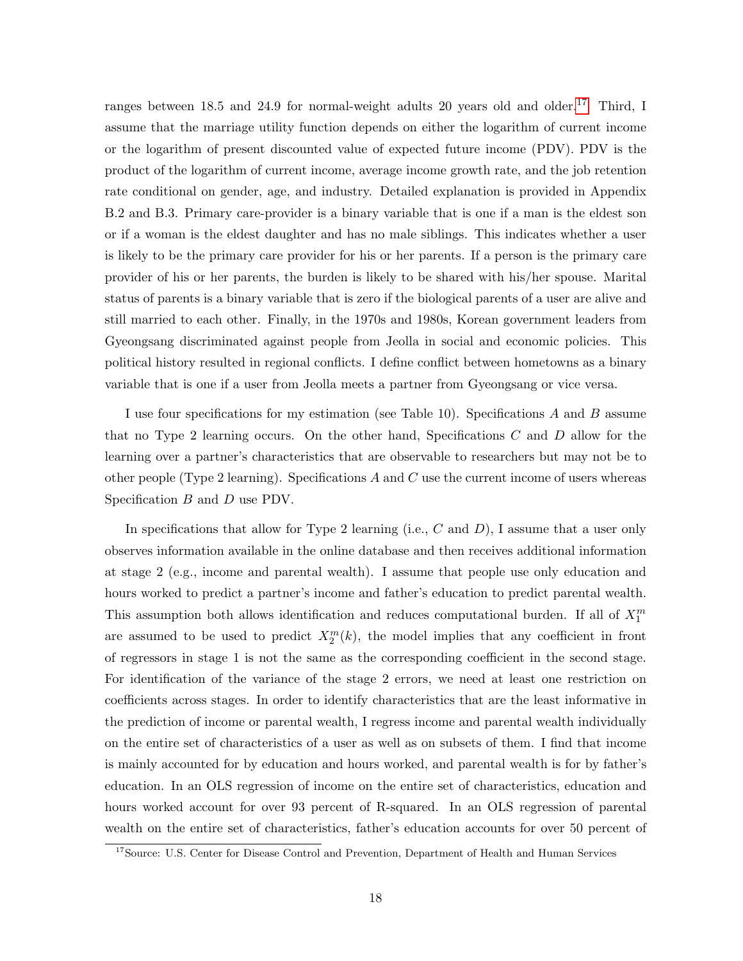ranges between 18.5 and 24.9 for normal-weight adults 20 years old and older.<sup>[17](#page-0-0)</sup> Third, I assume that the marriage utility function depends on either the logarithm of current income or the logarithm of present discounted value of expected future income (PDV). PDV is the product of the logarithm of current income, average income growth rate, and the job retention rate conditional on gender, age, and industry. Detailed explanation is provided in Appendix B.2 and B.3. Primary care-provider is a binary variable that is one if a man is the eldest son or if a woman is the eldest daughter and has no male siblings. This indicates whether a user is likely to be the primary care provider for his or her parents. If a person is the primary care provider of his or her parents, the burden is likely to be shared with his/her spouse. Marital status of parents is a binary variable that is zero if the biological parents of a user are alive and still married to each other. Finally, in the 1970s and 1980s, Korean government leaders from Gyeongsang discriminated against people from Jeolla in social and economic policies. This political history resulted in regional conflicts. I define conflict between hometowns as a binary variable that is one if a user from Jeolla meets a partner from Gyeongsang or vice versa.

I use four specifications for my estimation (see Table 10). Specifications A and B assume that no Type 2 learning occurs. On the other hand, Specifications  $C$  and  $D$  allow for the learning over a partner's characteristics that are observable to researchers but may not be to other people (Type 2 learning). Specifications  $A$  and  $C$  use the current income of users whereas Specification B and D use PDV.

In specifications that allow for Type 2 learning (i.e.,  $C$  and  $D$ ), I assume that a user only observes information available in the online database and then receives additional information at stage 2 (e.g., income and parental wealth). I assume that people use only education and hours worked to predict a partner's income and father's education to predict parental wealth. This assumption both allows identification and reduces computational burden. If all of  $X_1^m$ are assumed to be used to predict  $X_2^m(k)$ , the model implies that any coefficient in front of regressors in stage 1 is not the same as the corresponding coefficient in the second stage. For identification of the variance of the stage 2 errors, we need at least one restriction on coefficients across stages. In order to identify characteristics that are the least informative in the prediction of income or parental wealth, I regress income and parental wealth individually on the entire set of characteristics of a user as well as on subsets of them. I find that income is mainly accounted for by education and hours worked, and parental wealth is for by father's education. In an OLS regression of income on the entire set of characteristics, education and hours worked account for over 93 percent of R-squared. In an OLS regression of parental wealth on the entire set of characteristics, father's education accounts for over 50 percent of

<sup>&</sup>lt;sup>17</sup>Source: U.S. Center for Disease Control and Prevention, Department of Health and Human Services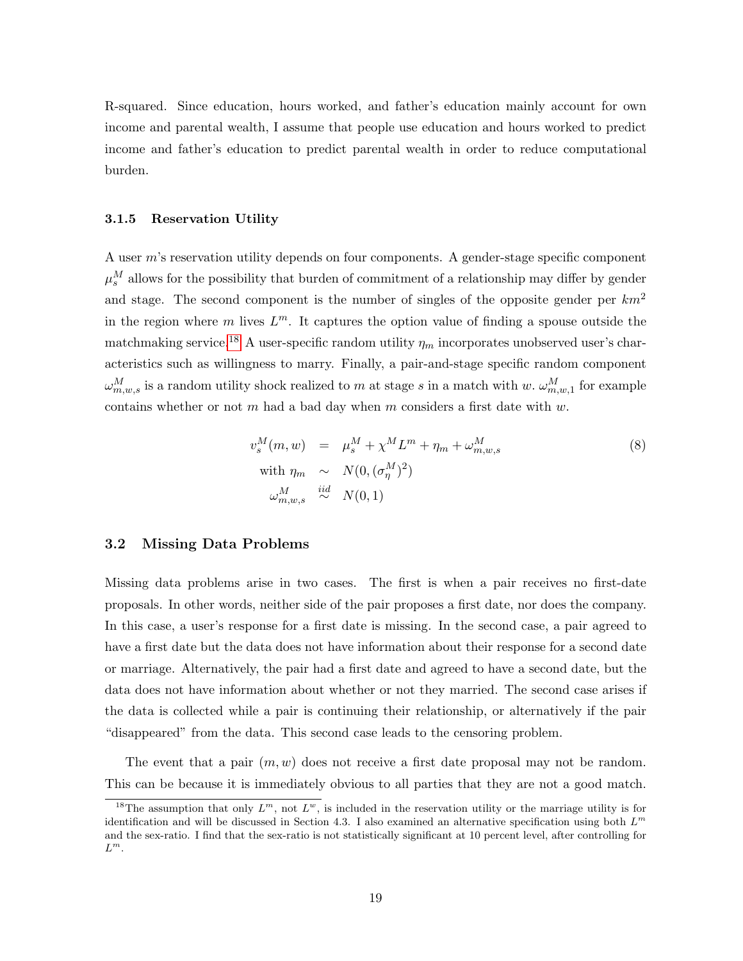R-squared. Since education, hours worked, and father's education mainly account for own income and parental wealth, I assume that people use education and hours worked to predict income and father's education to predict parental wealth in order to reduce computational burden.

### 3.1.5 Reservation Utility

A user m's reservation utility depends on four components. A gender-stage specific component  $\mu_s^M$  allows for the possibility that burden of commitment of a relationship may differ by gender and stage. The second component is the number of singles of the opposite gender per  $km^2$ in the region where m lives  $L^m$ . It captures the option value of finding a spouse outside the matchmaking service.<sup>[18](#page-0-0)</sup> A user-specific random utility  $\eta_m$  incorporates unobserved user's characteristics such as willingness to marry. Finally, a pair-and-stage specific random component  $\omega_{m,w,s}^M$  is a random utility shock realized to m at stage s in a match with w.  $\omega_{m,w,1}^M$  for example contains whether or not  $m$  had a bad day when  $m$  considers a first date with  $w$ .

<span id="page-19-0"></span>
$$
v_s^M(m, w) = \mu_s^M + \chi^M L^m + \eta_m + \omega_{m, w, s}^M
$$
  
\nwith  $\eta_m \sim N(0, (\sigma_\eta^M)^2)$   
\n
$$
\omega_{m, w, s}^M \stackrel{iid}{\sim} N(0, 1)
$$
\n(8)

### 3.2 Missing Data Problems

Missing data problems arise in two cases. The first is when a pair receives no first-date proposals. In other words, neither side of the pair proposes a first date, nor does the company. In this case, a user's response for a first date is missing. In the second case, a pair agreed to have a first date but the data does not have information about their response for a second date or marriage. Alternatively, the pair had a first date and agreed to have a second date, but the data does not have information about whether or not they married. The second case arises if the data is collected while a pair is continuing their relationship, or alternatively if the pair "disappeared" from the data. This second case leads to the censoring problem.

The event that a pair  $(m, w)$  does not receive a first date proposal may not be random. This can be because it is immediately obvious to all parties that they are not a good match.

<sup>&</sup>lt;sup>18</sup>The assumption that only  $L^m$ , not  $L^w$ , is included in the reservation utility or the marriage utility is for identification and will be discussed in Section 4.3. I also examined an alternative specification using both *L<sup>m</sup>* and the sex-ratio. I find that the sex-ratio is not statistically significant at 10 percent level, after controlling for *L<sup>m</sup>*.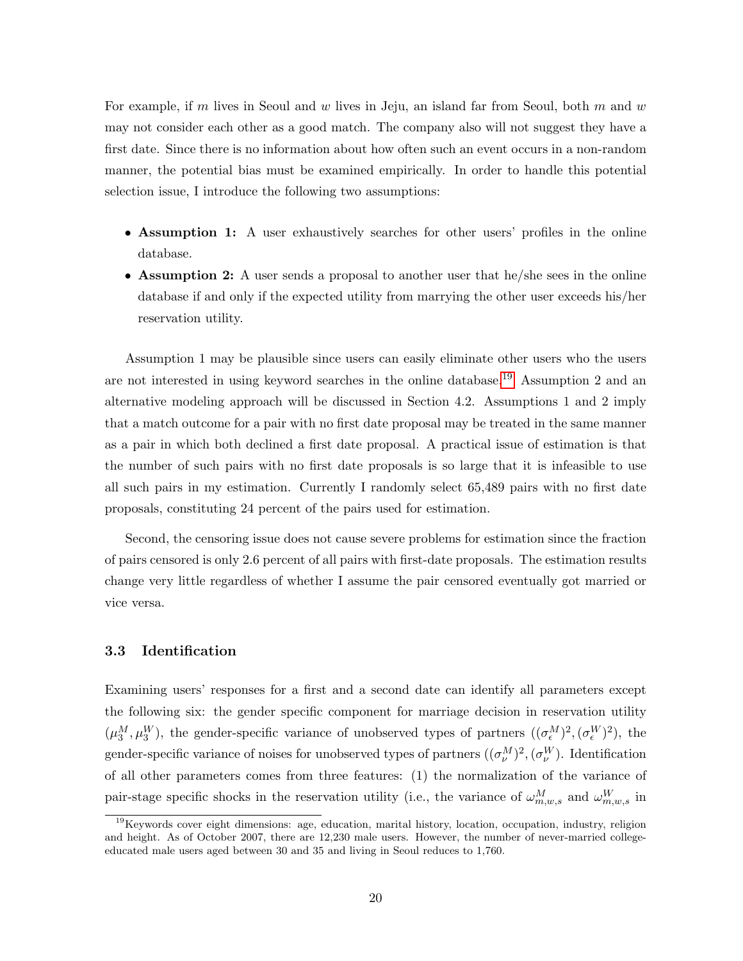For example, if m lives in Seoul and w lives in Jeju, an island far from Seoul, both m and  $w$ may not consider each other as a good match. The company also will not suggest they have a first date. Since there is no information about how often such an event occurs in a non-random manner, the potential bias must be examined empirically. In order to handle this potential selection issue, I introduce the following two assumptions:

- Assumption 1: A user exhaustively searches for other users' profiles in the online database.
- Assumption 2: A user sends a proposal to another user that he/she sees in the online database if and only if the expected utility from marrying the other user exceeds his/her reservation utility.

Assumption 1 may be plausible since users can easily eliminate other users who the users are not interested in using keyword searches in the online database.[19](#page-0-0) Assumption 2 and an alternative modeling approach will be discussed in Section 4.2. Assumptions 1 and 2 imply that a match outcome for a pair with no first date proposal may be treated in the same manner as a pair in which both declined a first date proposal. A practical issue of estimation is that the number of such pairs with no first date proposals is so large that it is infeasible to use all such pairs in my estimation. Currently I randomly select 65,489 pairs with no first date proposals, constituting 24 percent of the pairs used for estimation.

Second, the censoring issue does not cause severe problems for estimation since the fraction of pairs censored is only 2.6 percent of all pairs with first-date proposals. The estimation results change very little regardless of whether I assume the pair censored eventually got married or vice versa.

### 3.3 Identification

Examining users' responses for a first and a second date can identify all parameters except the following six: the gender specific component for marriage decision in reservation utility  $(\mu_3^M, \mu_3^W)$ , the gender-specific variance of unobserved types of partners  $((\sigma_{\epsilon}^M)^2, (\sigma_{\epsilon}^W)^2)$ , the gender-specific variance of noises for unobserved types of partners  $((\sigma_{\nu}^M)^2, (\sigma_{\nu}^W)$ . Identification of all other parameters comes from three features: (1) the normalization of the variance of pair-stage specific shocks in the reservation utility (i.e., the variance of  $\omega_{m,w,s}^M$  and  $\omega_{m,w,s}^W$  in

<sup>&</sup>lt;sup>19</sup>Keywords cover eight dimensions: age, education, marital history, location, occupation, industry, religion and height. As of October 2007, there are 12,230 male users. However, the number of never-married collegeeducated male users aged between 30 and 35 and living in Seoul reduces to 1,760.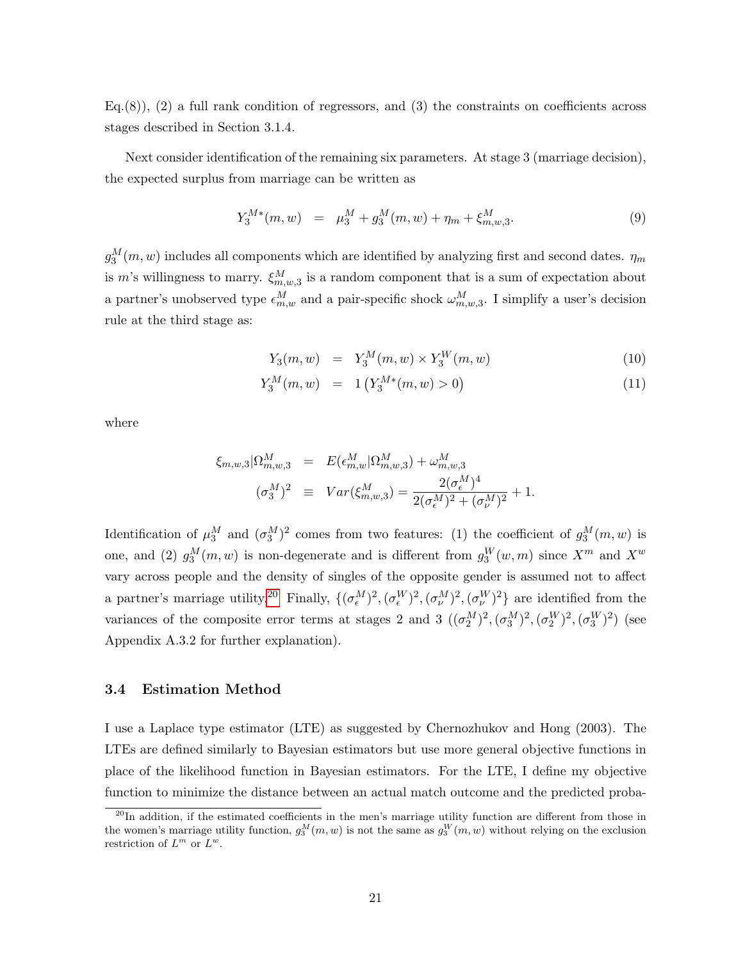$Eq.(8)$ ,  $(2)$  a full rank condition of regressors, and  $(3)$  the constraints on coefficients across stages described in Section 3.1.4.

Next consider identification of the remaining six parameters. At stage 3 (marriage decision), the expected surplus from marriage can be written as

$$
Y_3^{M*}(m, w) = \mu_3^M + g_3^M(m, w) + \eta_m + \xi_{m, w, 3}^M. \tag{9}
$$

 $g_3^M(m, w)$  includes all components which are identified by analyzing first and second dates.  $\eta_m$ is m's willingness to marry.  $\xi_{m,w,3}^{M}$  is a random component that is a sum of expectation about a partner's unobserved type  $\epsilon_{m,w}^M$  and a pair-specific shock  $\omega_{m,w,3}^M$ . I simplify a user's decision rule at the third stage as:

$$
Y_3(m, w) = Y_3^M(m, w) \times Y_3^W(m, w)
$$
\n(10)

$$
Y_3^M(m, w) = 1 \left( Y_3^{M*}(m, w) > 0 \right) \tag{11}
$$

where

$$
\xi_{m,w,3}|\Omega_{m,w,3}^M = E(\epsilon_{m,w}^M|\Omega_{m,w,3}^M) + \omega_{m,w,3}^M
$$
  

$$
(\sigma_3^M)^2 \equiv Var(\xi_{m,w,3}^M) = \frac{2(\sigma_{\epsilon}^M)^4}{2(\sigma_{\epsilon}^M)^2 + (\sigma_{\nu}^M)^2} + 1.
$$

Identification of  $\mu_3^M$  and  $(\sigma_3^M)^2$  comes from two features: (1) the coefficient of  $g_3^M(m, w)$  is one, and (2)  $g_3^M(m, w)$  is non-degenerate and is different from  $g_3^W(w, m)$  since  $X^m$  and  $X^w$ vary across people and the density of singles of the opposite gender is assumed not to affect a partner's marriage utility.<sup>[20](#page-0-0)</sup> Finally,  $\{(\sigma_{\epsilon}^M)^2, (\sigma_{\epsilon}^W)^2, (\sigma_{\nu}^W)^2, (\sigma_{\nu}^W)^2\}$  are identified from the variances of the composite error terms at stages 2 and 3  $((\sigma_2^M)^2, (\sigma_3^M)^2, (\sigma_2^W)^2, (\sigma_3^W)^2)$  (see Appendix A.3.2 for further explanation).

### 3.4 Estimation Method

I use a Laplace type estimator (LTE) as suggested by Chernozhukov and Hong (2003). The LTEs are defined similarly to Bayesian estimators but use more general objective functions in place of the likelihood function in Bayesian estimators. For the LTE, I define my objective function to minimize the distance between an actual match outcome and the predicted proba-

 $^{20}$ In addition, if the estimated coefficients in the men's marriage utility function are different from those in the women's marriage utility function,  $g_3^M(m, w)$  is not the same as  $g_3^W(m, w)$  without relying on the exclusion restriction of  $L^m$  or  $L^w$ .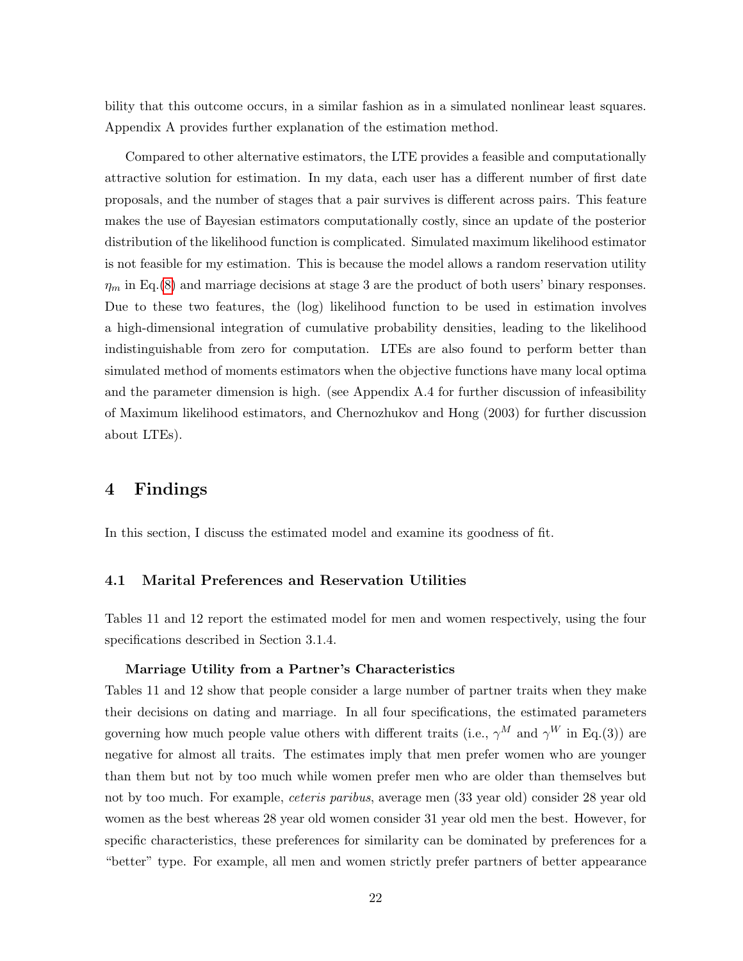bility that this outcome occurs, in a similar fashion as in a simulated nonlinear least squares. Appendix A provides further explanation of the estimation method.

Compared to other alternative estimators, the LTE provides a feasible and computationally attractive solution for estimation. In my data, each user has a different number of first date proposals, and the number of stages that a pair survives is different across pairs. This feature makes the use of Bayesian estimators computationally costly, since an update of the posterior distribution of the likelihood function is complicated. Simulated maximum likelihood estimator is not feasible for my estimation. This is because the model allows a random reservation utility  $\eta_m$  in Eq.[\(8\)](#page-19-0) and marriage decisions at stage 3 are the product of both users' binary responses. Due to these two features, the (log) likelihood function to be used in estimation involves a high-dimensional integration of cumulative probability densities, leading to the likelihood indistinguishable from zero for computation. LTEs are also found to perform better than simulated method of moments estimators when the objective functions have many local optima and the parameter dimension is high. (see Appendix A.4 for further discussion of infeasibility of Maximum likelihood estimators, and Chernozhukov and Hong (2003) for further discussion about LTEs).

# 4 Findings

In this section, I discuss the estimated model and examine its goodness of fit.

### 4.1 Marital Preferences and Reservation Utilities

Tables 11 and 12 report the estimated model for men and women respectively, using the four specifications described in Section 3.1.4.

### Marriage Utility from a Partner's Characteristics

Tables 11 and 12 show that people consider a large number of partner traits when they make their decisions on dating and marriage. In all four specifications, the estimated parameters governing how much people value others with different traits (i.e.,  $\gamma^M$  and  $\gamma^W$  in Eq.(3)) are negative for almost all traits. The estimates imply that men prefer women who are younger than them but not by too much while women prefer men who are older than themselves but not by too much. For example, *ceteris paribus*, average men (33 year old) consider 28 year old women as the best whereas 28 year old women consider 31 year old men the best. However, for specific characteristics, these preferences for similarity can be dominated by preferences for a "better" type. For example, all men and women strictly prefer partners of better appearance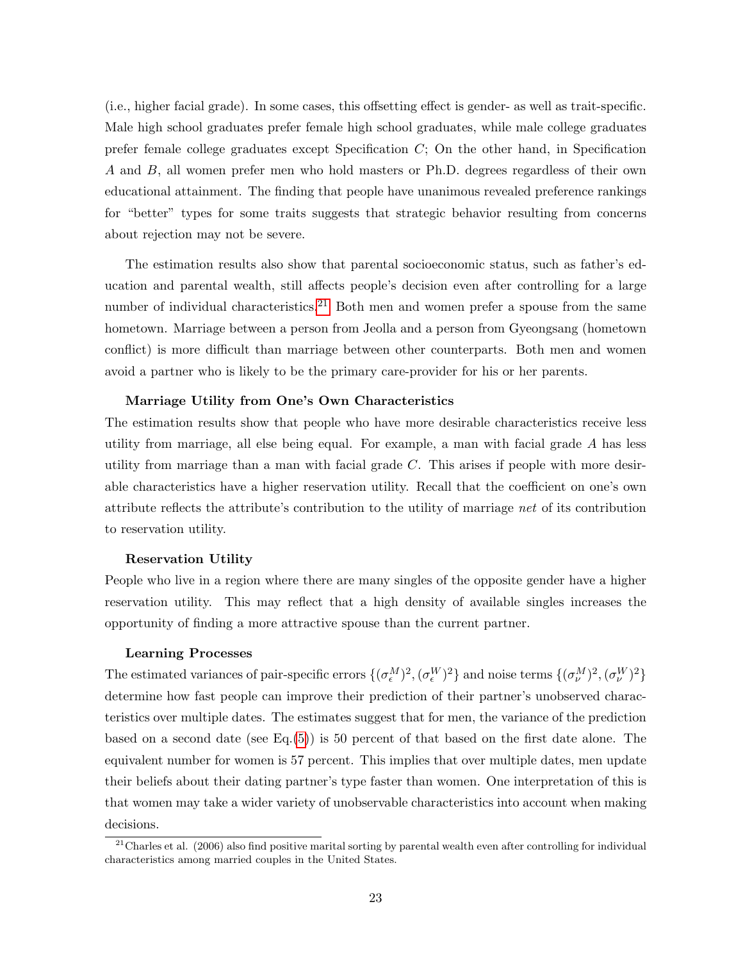(i.e., higher facial grade). In some cases, this offsetting effect is gender- as well as trait-specific. Male high school graduates prefer female high school graduates, while male college graduates prefer female college graduates except Specification C; On the other hand, in Specification A and B, all women prefer men who hold masters or Ph.D. degrees regardless of their own educational attainment. The finding that people have unanimous revealed preference rankings for "better" types for some traits suggests that strategic behavior resulting from concerns about rejection may not be severe.

The estimation results also show that parental socioeconomic status, such as father's education and parental wealth, still affects people's decision even after controlling for a large number of individual characteristics.<sup>[21](#page-0-0)</sup> Both men and women prefer a spouse from the same hometown. Marriage between a person from Jeolla and a person from Gyeongsang (hometown conflict) is more difficult than marriage between other counterparts. Both men and women avoid a partner who is likely to be the primary care-provider for his or her parents.

#### Marriage Utility from One's Own Characteristics

The estimation results show that people who have more desirable characteristics receive less utility from marriage, all else being equal. For example, a man with facial grade A has less utility from marriage than a man with facial grade  $C$ . This arises if people with more desirable characteristics have a higher reservation utility. Recall that the coefficient on one's own attribute reflects the attribute's contribution to the utility of marriage *net* of its contribution to reservation utility.

#### Reservation Utility

People who live in a region where there are many singles of the opposite gender have a higher reservation utility. This may reflect that a high density of available singles increases the opportunity of finding a more attractive spouse than the current partner.

#### Learning Processes

The estimated variances of pair-specific errors  $\{(\sigma_{\epsilon}^M)^2, (\sigma_{\epsilon}^W)^2\}$  and noise terms  $\{(\sigma_{\nu}^M)^2, (\sigma_{\nu}^W)^2\}$ determine how fast people can improve their prediction of their partner's unobserved characteristics over multiple dates. The estimates suggest that for men, the variance of the prediction based on a second date (see Eq.[\(5\)](#page-17-0)) is 50 percent of that based on the first date alone. The equivalent number for women is 57 percent. This implies that over multiple dates, men update their beliefs about their dating partner's type faster than women. One interpretation of this is that women may take a wider variety of unobservable characteristics into account when making decisions.

 $^{21}$ Charles et al. (2006) also find positive marital sorting by parental wealth even after controlling for individual characteristics among married couples in the United States.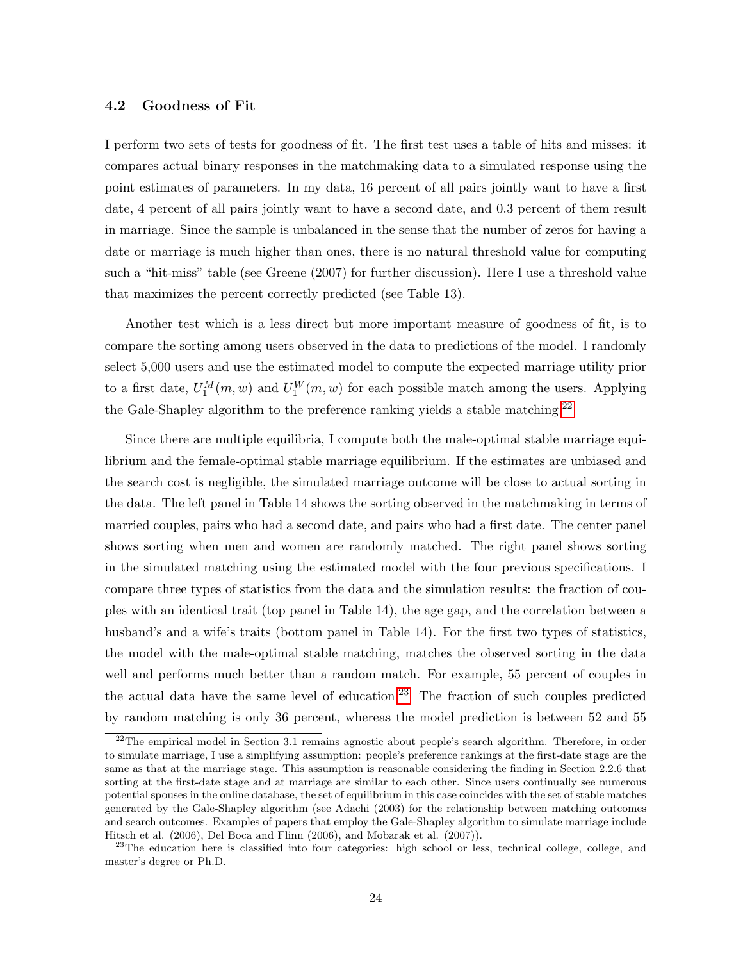### 4.2 Goodness of Fit

I perform two sets of tests for goodness of fit. The first test uses a table of hits and misses: it compares actual binary responses in the matchmaking data to a simulated response using the point estimates of parameters. In my data, 16 percent of all pairs jointly want to have a first date, 4 percent of all pairs jointly want to have a second date, and 0.3 percent of them result in marriage. Since the sample is unbalanced in the sense that the number of zeros for having a date or marriage is much higher than ones, there is no natural threshold value for computing such a "hit-miss" table (see Greene (2007) for further discussion). Here I use a threshold value that maximizes the percent correctly predicted (see Table 13).

Another test which is a less direct but more important measure of goodness of fit, is to compare the sorting among users observed in the data to predictions of the model. I randomly select 5,000 users and use the estimated model to compute the expected marriage utility prior to a first date,  $U_1^M(m, w)$  and  $U_1^W(m, w)$  for each possible match among the users. Applying the Gale-Shapley algorithm to the preference ranking yields a stable matching.<sup>[22](#page-0-0)</sup>

Since there are multiple equilibria, I compute both the male-optimal stable marriage equilibrium and the female-optimal stable marriage equilibrium. If the estimates are unbiased and the search cost is negligible, the simulated marriage outcome will be close to actual sorting in the data. The left panel in Table 14 shows the sorting observed in the matchmaking in terms of married couples, pairs who had a second date, and pairs who had a first date. The center panel shows sorting when men and women are randomly matched. The right panel shows sorting in the simulated matching using the estimated model with the four previous specifications. I compare three types of statistics from the data and the simulation results: the fraction of couples with an identical trait (top panel in Table 14), the age gap, and the correlation between a husband's and a wife's traits (bottom panel in Table 14). For the first two types of statistics, the model with the male-optimal stable matching, matches the observed sorting in the data well and performs much better than a random match. For example, 55 percent of couples in the actual data have the same level of education.<sup>[23](#page-0-0)</sup> The fraction of such couples predicted by random matching is only 36 percent, whereas the model prediction is between 52 and 55

 $^{22}$ The empirical model in Section 3.1 remains agnostic about people's search algorithm. Therefore, in order to simulate marriage, I use a simplifying assumption: people's preference rankings at the first-date stage are the same as that at the marriage stage. This assumption is reasonable considering the finding in Section 2.2.6 that sorting at the first-date stage and at marriage are similar to each other. Since users continually see numerous potential spouses in the online database, the set of equilibrium in this case coincides with the set of stable matches generated by the Gale-Shapley algorithm (see Adachi (2003) for the relationship between matching outcomes and search outcomes. Examples of papers that employ the Gale-Shapley algorithm to simulate marriage include Hitsch et al. (2006), Del Boca and Flinn (2006), and Mobarak et al. (2007)).

<sup>&</sup>lt;sup>23</sup>The education here is classified into four categories: high school or less, technical college, college, and master's degree or Ph.D.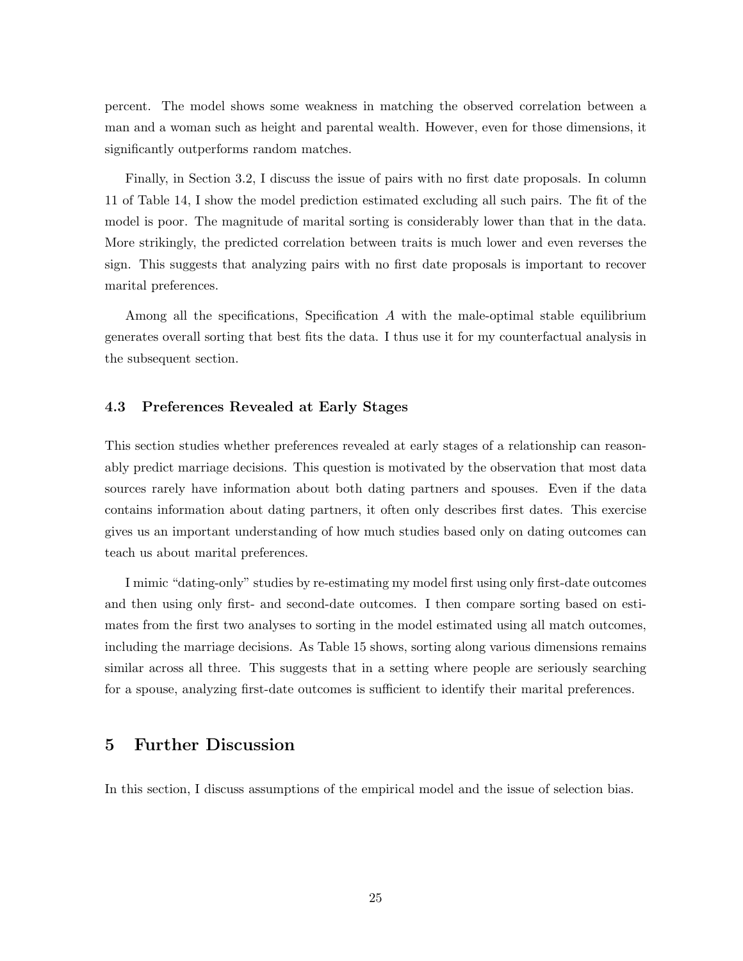percent. The model shows some weakness in matching the observed correlation between a man and a woman such as height and parental wealth. However, even for those dimensions, it significantly outperforms random matches.

Finally, in Section 3.2, I discuss the issue of pairs with no first date proposals. In column 11 of Table 14, I show the model prediction estimated excluding all such pairs. The fit of the model is poor. The magnitude of marital sorting is considerably lower than that in the data. More strikingly, the predicted correlation between traits is much lower and even reverses the sign. This suggests that analyzing pairs with no first date proposals is important to recover marital preferences.

Among all the specifications, Specification A with the male-optimal stable equilibrium generates overall sorting that best fits the data. I thus use it for my counterfactual analysis in the subsequent section.

### 4.3 Preferences Revealed at Early Stages

This section studies whether preferences revealed at early stages of a relationship can reasonably predict marriage decisions. This question is motivated by the observation that most data sources rarely have information about both dating partners and spouses. Even if the data contains information about dating partners, it often only describes first dates. This exercise gives us an important understanding of how much studies based only on dating outcomes can teach us about marital preferences.

I mimic "dating-only" studies by re-estimating my model first using only first-date outcomes and then using only first- and second-date outcomes. I then compare sorting based on estimates from the first two analyses to sorting in the model estimated using all match outcomes, including the marriage decisions. As Table 15 shows, sorting along various dimensions remains similar across all three. This suggests that in a setting where people are seriously searching for a spouse, analyzing first-date outcomes is sufficient to identify their marital preferences.

# 5 Further Discussion

In this section, I discuss assumptions of the empirical model and the issue of selection bias.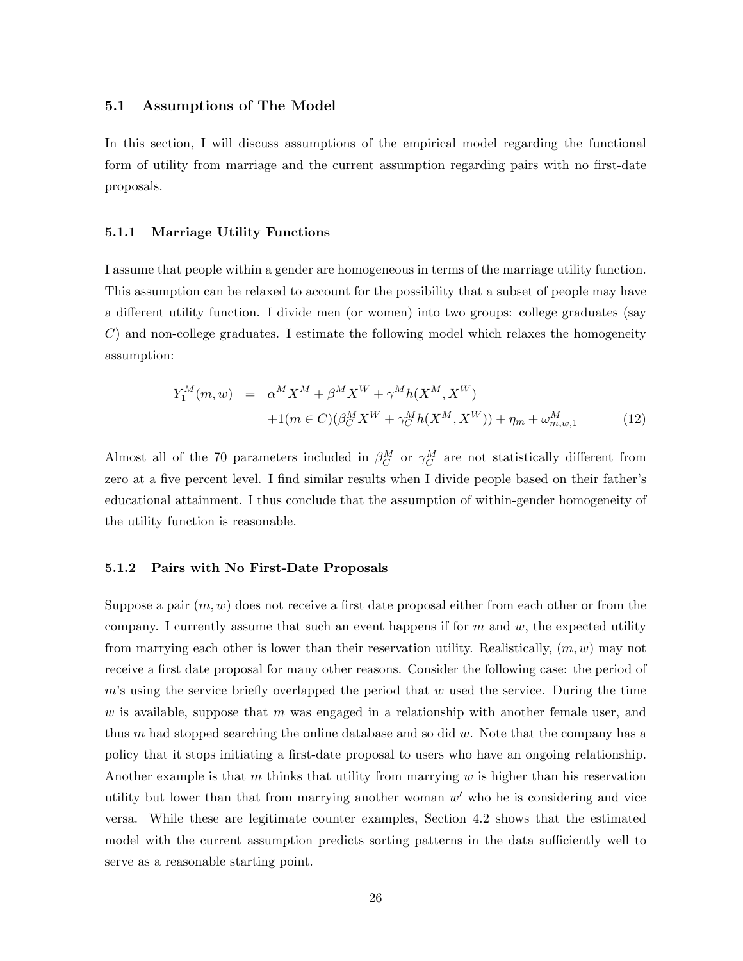### 5.1 Assumptions of The Model

In this section, I will discuss assumptions of the empirical model regarding the functional form of utility from marriage and the current assumption regarding pairs with no first-date proposals.

### 5.1.1 Marriage Utility Functions

I assume that people within a gender are homogeneous in terms of the marriage utility function. This assumption can be relaxed to account for the possibility that a subset of people may have a different utility function. I divide men (or women) into two groups: college graduates (say C) and non-college graduates. I estimate the following model which relaxes the homogeneity assumption:

$$
Y_1^M(m, w) = \alpha^M X^M + \beta^M X^W + \gamma^M h(X^M, X^W) + 1(m \in C)(\beta_C^M X^W + \gamma_C^M h(X^M, X^W)) + \eta_m + \omega_{m, w, 1}^M
$$
(12)

Almost all of the 70 parameters included in  $\beta_C^M$  or  $\gamma_C^M$  are not statistically different from zero at a five percent level. I find similar results when I divide people based on their father's educational attainment. I thus conclude that the assumption of within-gender homogeneity of the utility function is reasonable.

### 5.1.2 Pairs with No First-Date Proposals

Suppose a pair  $(m, w)$  does not receive a first date proposal either from each other or from the company. I currently assume that such an event happens if for  $m$  and  $w$ , the expected utility from marrying each other is lower than their reservation utility. Realistically,  $(m, w)$  may not receive a first date proposal for many other reasons. Consider the following case: the period of  $m$ 's using the service briefly overlapped the period that  $w$  used the service. During the time w is available, suppose that m was engaged in a relationship with another female user, and thus  $m$  had stopped searching the online database and so did  $w$ . Note that the company has a policy that it stops initiating a first-date proposal to users who have an ongoing relationship. Another example is that m thinks that utility from marrying  $w$  is higher than his reservation utility but lower than that from marrying another woman  $w'$  who he is considering and vice versa. While these are legitimate counter examples, Section 4.2 shows that the estimated model with the current assumption predicts sorting patterns in the data sufficiently well to serve as a reasonable starting point.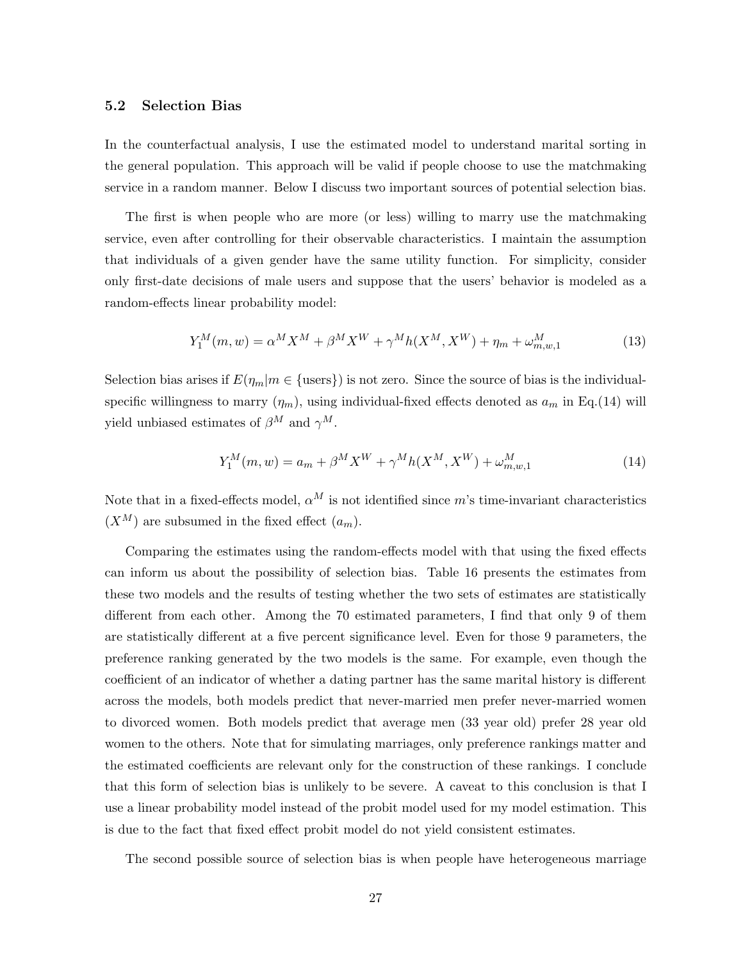### 5.2 Selection Bias

In the counterfactual analysis, I use the estimated model to understand marital sorting in the general population. This approach will be valid if people choose to use the matchmaking service in a random manner. Below I discuss two important sources of potential selection bias.

The first is when people who are more (or less) willing to marry use the matchmaking service, even after controlling for their observable characteristics. I maintain the assumption that individuals of a given gender have the same utility function. For simplicity, consider only first-date decisions of male users and suppose that the users' behavior is modeled as a random-effects linear probability model:

$$
Y_1^M(m, w) = \alpha^M X^M + \beta^M X^W + \gamma^M h(X^M, X^W) + \eta_m + \omega_{m, w, 1}^M
$$
 (13)

Selection bias arises if  $E(\eta_m|m \in \{\text{users}\})$  is not zero. Since the source of bias is the individualspecific willingness to marry  $(\eta_m)$ , using individual-fixed effects denoted as  $a_m$  in Eq.(14) will yield unbiased estimates of  $\beta^M$  and  $\gamma^M$ .

$$
Y_1^M(m, w) = a_m + \beta^M X^W + \gamma^M h(X^M, X^W) + \omega_{m, w, 1}^M
$$
\n(14)

Note that in a fixed-effects model,  $\alpha^M$  is not identified since m's time-invariant characteristics  $(X^M)$  are subsumed in the fixed effect  $(a_m)$ .

Comparing the estimates using the random-effects model with that using the fixed effects can inform us about the possibility of selection bias. Table 16 presents the estimates from these two models and the results of testing whether the two sets of estimates are statistically different from each other. Among the 70 estimated parameters, I find that only 9 of them are statistically different at a five percent significance level. Even for those 9 parameters, the preference ranking generated by the two models is the same. For example, even though the coefficient of an indicator of whether a dating partner has the same marital history is different across the models, both models predict that never-married men prefer never-married women to divorced women. Both models predict that average men (33 year old) prefer 28 year old women to the others. Note that for simulating marriages, only preference rankings matter and the estimated coefficients are relevant only for the construction of these rankings. I conclude that this form of selection bias is unlikely to be severe. A caveat to this conclusion is that I use a linear probability model instead of the probit model used for my model estimation. This is due to the fact that fixed effect probit model do not yield consistent estimates.

The second possible source of selection bias is when people have heterogeneous marriage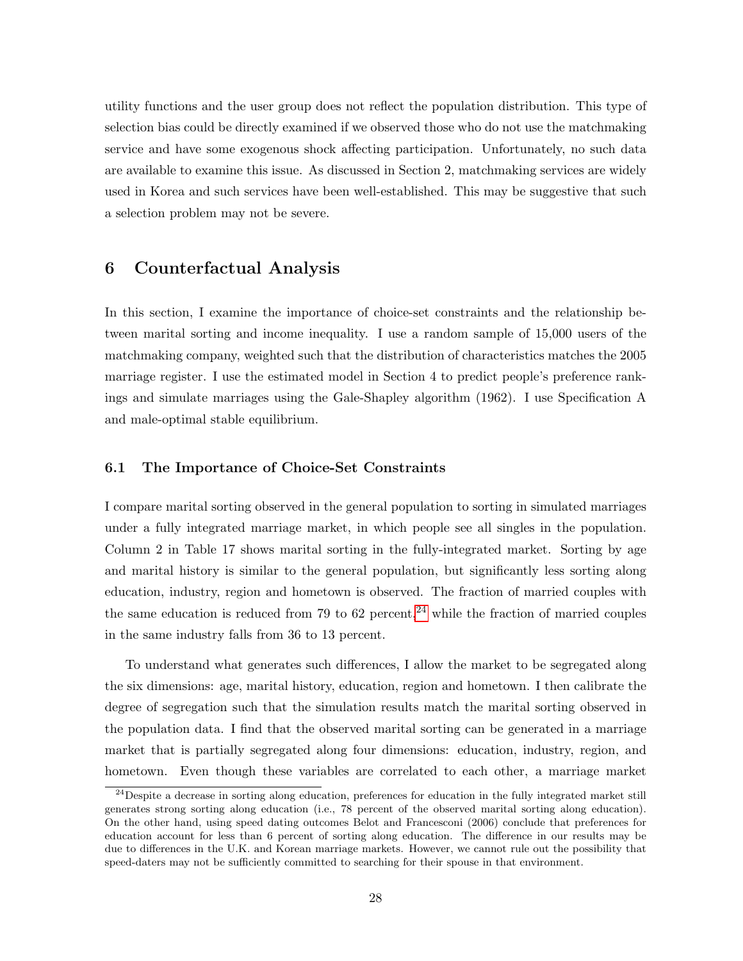utility functions and the user group does not reflect the population distribution. This type of selection bias could be directly examined if we observed those who do not use the matchmaking service and have some exogenous shock affecting participation. Unfortunately, no such data are available to examine this issue. As discussed in Section 2, matchmaking services are widely used in Korea and such services have been well-established. This may be suggestive that such a selection problem may not be severe.

# 6 Counterfactual Analysis

In this section, I examine the importance of choice-set constraints and the relationship between marital sorting and income inequality. I use a random sample of 15,000 users of the matchmaking company, weighted such that the distribution of characteristics matches the 2005 marriage register. I use the estimated model in Section 4 to predict people's preference rankings and simulate marriages using the Gale-Shapley algorithm (1962). I use Specification A and male-optimal stable equilibrium.

### 6.1 The Importance of Choice-Set Constraints

I compare marital sorting observed in the general population to sorting in simulated marriages under a fully integrated marriage market, in which people see all singles in the population. Column 2 in Table 17 shows marital sorting in the fully-integrated market. Sorting by age and marital history is similar to the general population, but significantly less sorting along education, industry, region and hometown is observed. The fraction of married couples with the same education is reduced from 79 to 62 percent,<sup>[24](#page-0-0)</sup> while the fraction of married couples in the same industry falls from 36 to 13 percent.

To understand what generates such differences, I allow the market to be segregated along the six dimensions: age, marital history, education, region and hometown. I then calibrate the degree of segregation such that the simulation results match the marital sorting observed in the population data. I find that the observed marital sorting can be generated in a marriage market that is partially segregated along four dimensions: education, industry, region, and hometown. Even though these variables are correlated to each other, a marriage market

 $^{24}$ Despite a decrease in sorting along education, preferences for education in the fully integrated market still generates strong sorting along education (i.e., 78 percent of the observed marital sorting along education). On the other hand, using speed dating outcomes Belot and Francesconi (2006) conclude that preferences for education account for less than 6 percent of sorting along education. The difference in our results may be due to differences in the U.K. and Korean marriage markets. However, we cannot rule out the possibility that speed-daters may not be sufficiently committed to searching for their spouse in that environment.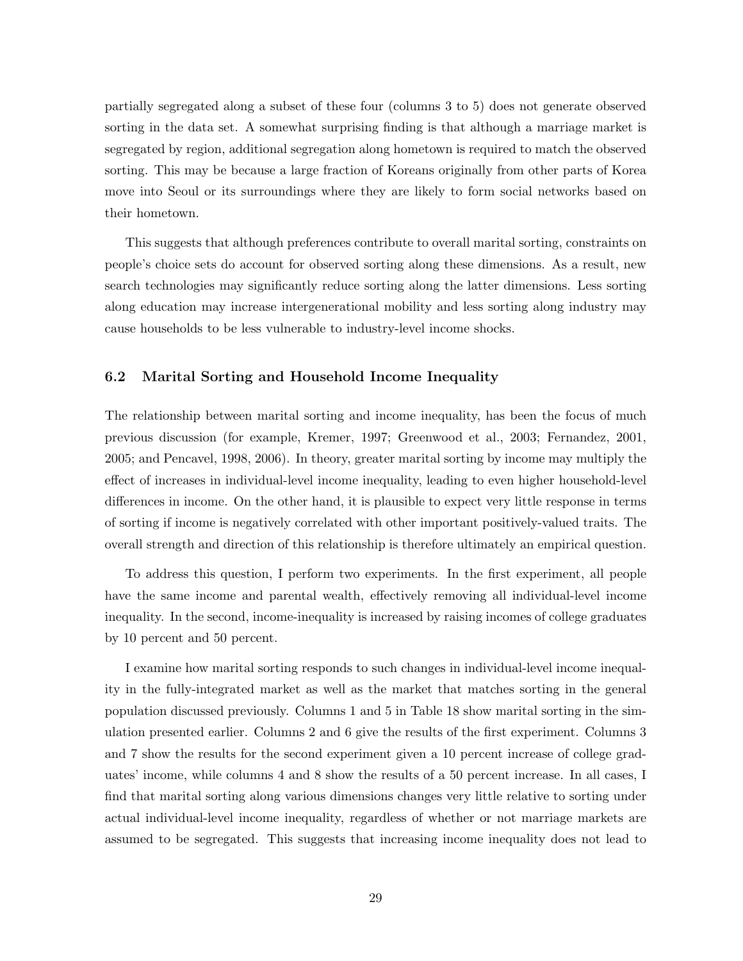partially segregated along a subset of these four (columns 3 to 5) does not generate observed sorting in the data set. A somewhat surprising finding is that although a marriage market is segregated by region, additional segregation along hometown is required to match the observed sorting. This may be because a large fraction of Koreans originally from other parts of Korea move into Seoul or its surroundings where they are likely to form social networks based on their hometown.

This suggests that although preferences contribute to overall marital sorting, constraints on people's choice sets do account for observed sorting along these dimensions. As a result, new search technologies may significantly reduce sorting along the latter dimensions. Less sorting along education may increase intergenerational mobility and less sorting along industry may cause households to be less vulnerable to industry-level income shocks.

### 6.2 Marital Sorting and Household Income Inequality

The relationship between marital sorting and income inequality, has been the focus of much previous discussion (for example, Kremer, 1997; Greenwood et al., 2003; Fernandez, 2001, 2005; and Pencavel, 1998, 2006). In theory, greater marital sorting by income may multiply the effect of increases in individual-level income inequality, leading to even higher household-level differences in income. On the other hand, it is plausible to expect very little response in terms of sorting if income is negatively correlated with other important positively-valued traits. The overall strength and direction of this relationship is therefore ultimately an empirical question.

To address this question, I perform two experiments. In the first experiment, all people have the same income and parental wealth, effectively removing all individual-level income inequality. In the second, income-inequality is increased by raising incomes of college graduates by 10 percent and 50 percent.

I examine how marital sorting responds to such changes in individual-level income inequality in the fully-integrated market as well as the market that matches sorting in the general population discussed previously. Columns 1 and 5 in Table 18 show marital sorting in the simulation presented earlier. Columns 2 and 6 give the results of the first experiment. Columns 3 and 7 show the results for the second experiment given a 10 percent increase of college graduates' income, while columns 4 and 8 show the results of a 50 percent increase. In all cases, I find that marital sorting along various dimensions changes very little relative to sorting under actual individual-level income inequality, regardless of whether or not marriage markets are assumed to be segregated. This suggests that increasing income inequality does not lead to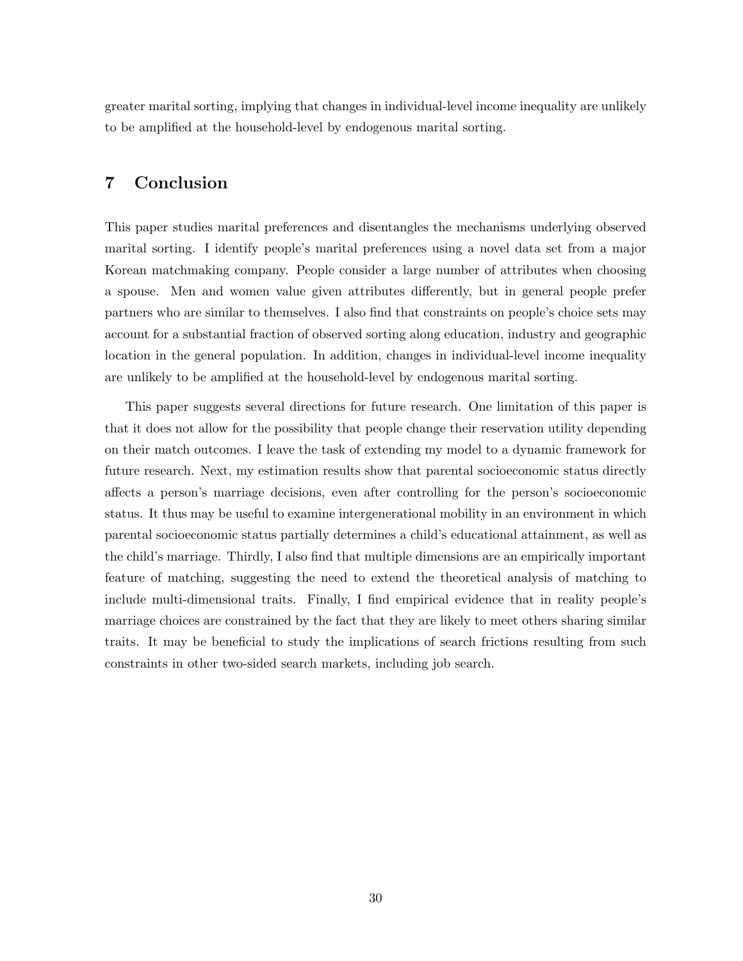greater marital sorting, implying that changes in individual-level income inequality are unlikely to be amplified at the household-level by endogenous marital sorting.

# 7 Conclusion

This paper studies marital preferences and disentangles the mechanisms underlying observed marital sorting. I identify people's marital preferences using a novel data set from a major Korean matchmaking company. People consider a large number of attributes when choosing a spouse. Men and women value given attributes differently, but in general people prefer partners who are similar to themselves. I also find that constraints on people's choice sets may account for a substantial fraction of observed sorting along education, industry and geographic location in the general population. In addition, changes in individual-level income inequality are unlikely to be amplified at the household-level by endogenous marital sorting.

This paper suggests several directions for future research. One limitation of this paper is that it does not allow for the possibility that people change their reservation utility depending on their match outcomes. I leave the task of extending my model to a dynamic framework for future research. Next, my estimation results show that parental socioeconomic status directly affects a person's marriage decisions, even after controlling for the person's socioeconomic status. It thus may be useful to examine intergenerational mobility in an environment in which parental socioeconomic status partially determines a child's educational attainment, as well as the child's marriage. Thirdly, I also find that multiple dimensions are an empirically important feature of matching, suggesting the need to extend the theoretical analysis of matching to include multi-dimensional traits. Finally, I find empirical evidence that in reality people's marriage choices are constrained by the fact that they are likely to meet others sharing similar traits. It may be beneficial to study the implications of search frictions resulting from such constraints in other two-sided search markets, including job search.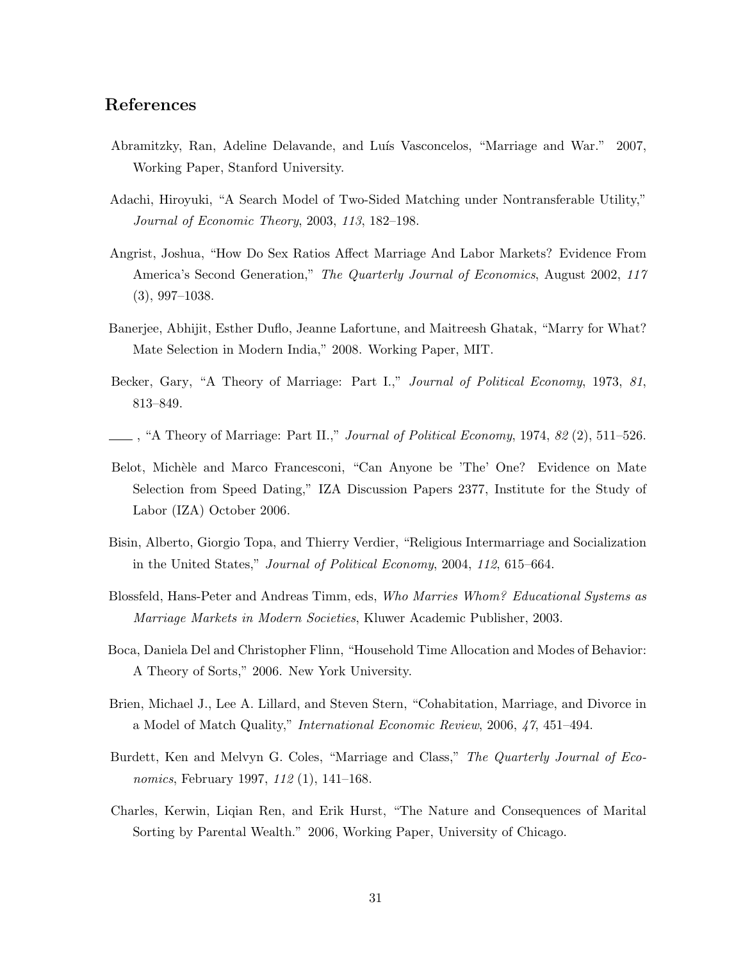## References

- Abramitzky, Ran, Adeline Delavande, and Luís Vasconcelos, "Marriage and War." 2007, Working Paper, Stanford University.
- Adachi, Hiroyuki, "A Search Model of Two-Sided Matching under Nontransferable Utility," *Journal of Economic Theory*, 2003, *113*, 182–198.
- Angrist, Joshua, "How Do Sex Ratios Affect Marriage And Labor Markets? Evidence From America's Second Generation," *The Quarterly Journal of Economics*, August 2002, *117* (3), 997–1038.
- Banerjee, Abhijit, Esther Duflo, Jeanne Lafortune, and Maitreesh Ghatak, "Marry for What? Mate Selection in Modern India," 2008. Working Paper, MIT.
- Becker, Gary, "A Theory of Marriage: Part I.," *Journal of Political Economy*, 1973, *81*, 813–849.
- , "A Theory of Marriage: Part II.," *Journal of Political Economy*, 1974, *82* (2), 511–526.
- Belot, Michèle and Marco Francesconi, "Can Anyone be 'The' One? Evidence on Mate Selection from Speed Dating," IZA Discussion Papers 2377, Institute for the Study of Labor (IZA) October 2006.
- Bisin, Alberto, Giorgio Topa, and Thierry Verdier, "Religious Intermarriage and Socialization in the United States," *Journal of Political Economy*, 2004, *112*, 615–664.
- Blossfeld, Hans-Peter and Andreas Timm, eds, *Who Marries Whom? Educational Systems as Marriage Markets in Modern Societies*, Kluwer Academic Publisher, 2003.
- Boca, Daniela Del and Christopher Flinn, "Household Time Allocation and Modes of Behavior: A Theory of Sorts," 2006. New York University.
- Brien, Michael J., Lee A. Lillard, and Steven Stern, "Cohabitation, Marriage, and Divorce in a Model of Match Quality," *International Economic Review*, 2006, *47*, 451–494.
- Burdett, Ken and Melvyn G. Coles, "Marriage and Class," *The Quarterly Journal of Economics*, February 1997, *112* (1), 141–168.
- Charles, Kerwin, Liqian Ren, and Erik Hurst, "The Nature and Consequences of Marital Sorting by Parental Wealth." 2006, Working Paper, University of Chicago.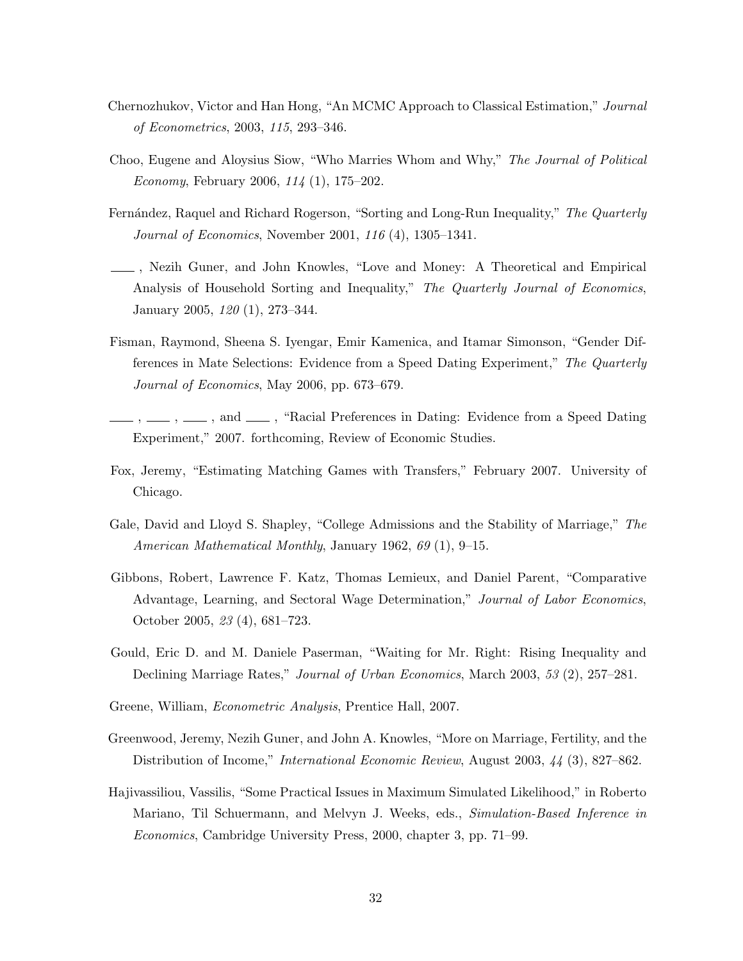- Chernozhukov, Victor and Han Hong, "An MCMC Approach to Classical Estimation," *Journal of Econometrics*, 2003, *115*, 293–346.
- Choo, Eugene and Aloysius Siow, "Who Marries Whom and Why," *The Journal of Political Economy*, February 2006, *114* (1), 175–202.
- Fern´andez, Raquel and Richard Rogerson, "Sorting and Long-Run Inequality," *The Quarterly Journal of Economics*, November 2001, *116* (4), 1305–1341.
- , Nezih Guner, and John Knowles, "Love and Money: A Theoretical and Empirical Analysis of Household Sorting and Inequality," *The Quarterly Journal of Economics*, January 2005, *120* (1), 273–344.
- Fisman, Raymond, Sheena S. Iyengar, Emir Kamenica, and Itamar Simonson, "Gender Differences in Mate Selections: Evidence from a Speed Dating Experiment," *The Quarterly Journal of Economics*, May 2006, pp. 673–679.
- $, \_\_\_\$ , and  $\_\_\_\$ , "Racial Preferences in Dating: Evidence from a Speed Dating Experiment," 2007. forthcoming, Review of Economic Studies.
- Fox, Jeremy, "Estimating Matching Games with Transfers," February 2007. University of Chicago.
- Gale, David and Lloyd S. Shapley, "College Admissions and the Stability of Marriage," *The American Mathematical Monthly*, January 1962, *69* (1), 9–15.
- Gibbons, Robert, Lawrence F. Katz, Thomas Lemieux, and Daniel Parent, "Comparative Advantage, Learning, and Sectoral Wage Determination," *Journal of Labor Economics*, October 2005, *23* (4), 681–723.
- Gould, Eric D. and M. Daniele Paserman, "Waiting for Mr. Right: Rising Inequality and Declining Marriage Rates," *Journal of Urban Economics*, March 2003, *53* (2), 257–281.
- Greene, William, *Econometric Analysis*, Prentice Hall, 2007.
- Greenwood, Jeremy, Nezih Guner, and John A. Knowles, "More on Marriage, Fertility, and the Distribution of Income," *International Economic Review*, August 2003, *44* (3), 827–862.
- Hajivassiliou, Vassilis, "Some Practical Issues in Maximum Simulated Likelihood," in Roberto Mariano, Til Schuermann, and Melvyn J. Weeks, eds., *Simulation-Based Inference in Economics*, Cambridge University Press, 2000, chapter 3, pp. 71–99.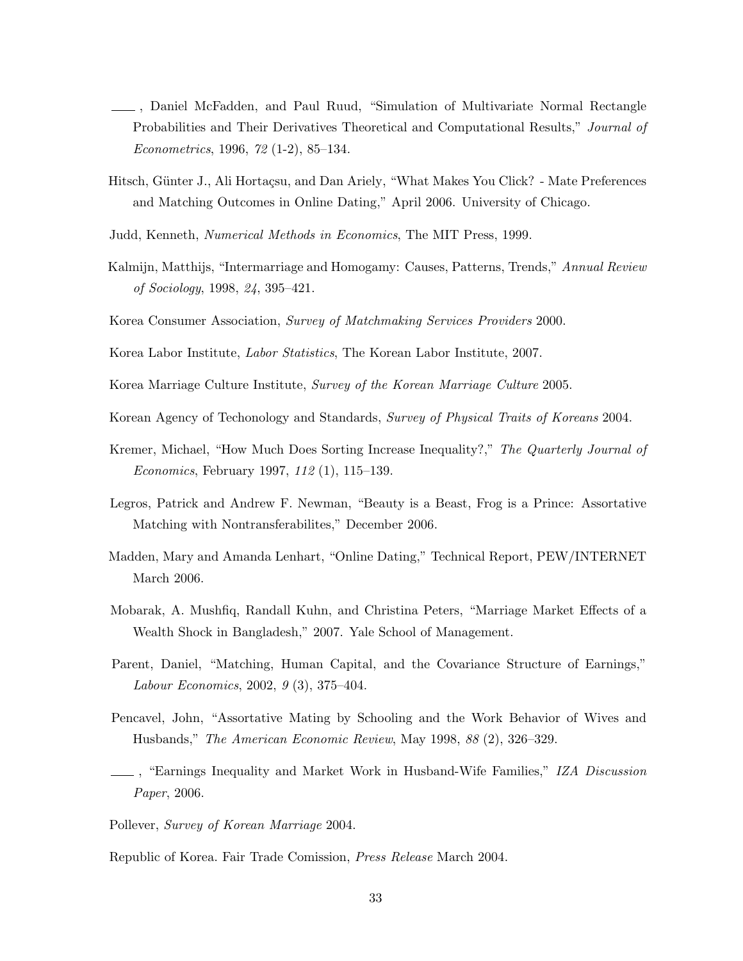- , Daniel McFadden, and Paul Ruud, "Simulation of Multivariate Normal Rectangle Probabilities and Their Derivatives Theoretical and Computational Results," *Journal of Econometrics*, 1996, *72* (1-2), 85–134.
- Hitsch, Günter J., Ali Hortaçsu, and Dan Ariely, "What Makes You Click? Mate Preferences and Matching Outcomes in Online Dating," April 2006. University of Chicago.
- Judd, Kenneth, *Numerical Methods in Economics*, The MIT Press, 1999.
- Kalmijn, Matthijs, "Intermarriage and Homogamy: Causes, Patterns, Trends," *Annual Review of Sociology*, 1998, *24*, 395–421.
- Korea Consumer Association, *Survey of Matchmaking Services Providers* 2000.
- Korea Labor Institute, *Labor Statistics*, The Korean Labor Institute, 2007.
- Korea Marriage Culture Institute, *Survey of the Korean Marriage Culture* 2005.
- Korean Agency of Techonology and Standards, *Survey of Physical Traits of Koreans* 2004.
- Kremer, Michael, "How Much Does Sorting Increase Inequality?," *The Quarterly Journal of Economics*, February 1997, *112* (1), 115–139.
- Legros, Patrick and Andrew F. Newman, "Beauty is a Beast, Frog is a Prince: Assortative Matching with Nontransferabilites," December 2006.
- Madden, Mary and Amanda Lenhart, "Online Dating," Technical Report, PEW/INTERNET March 2006.
- Mobarak, A. Mushfiq, Randall Kuhn, and Christina Peters, "Marriage Market Effects of a Wealth Shock in Bangladesh," 2007. Yale School of Management.
- Parent, Daniel, "Matching, Human Capital, and the Covariance Structure of Earnings," *Labour Economics*, 2002, *9* (3), 375–404.
- Pencavel, John, "Assortative Mating by Schooling and the Work Behavior of Wives and Husbands," *The American Economic Review*, May 1998, *88* (2), 326–329.
- , "Earnings Inequality and Market Work in Husband-Wife Families," *IZA Discussion Paper*, 2006.
- Pollever, *Survey of Korean Marriage* 2004.

Republic of Korea. Fair Trade Comission, *Press Release* March 2004.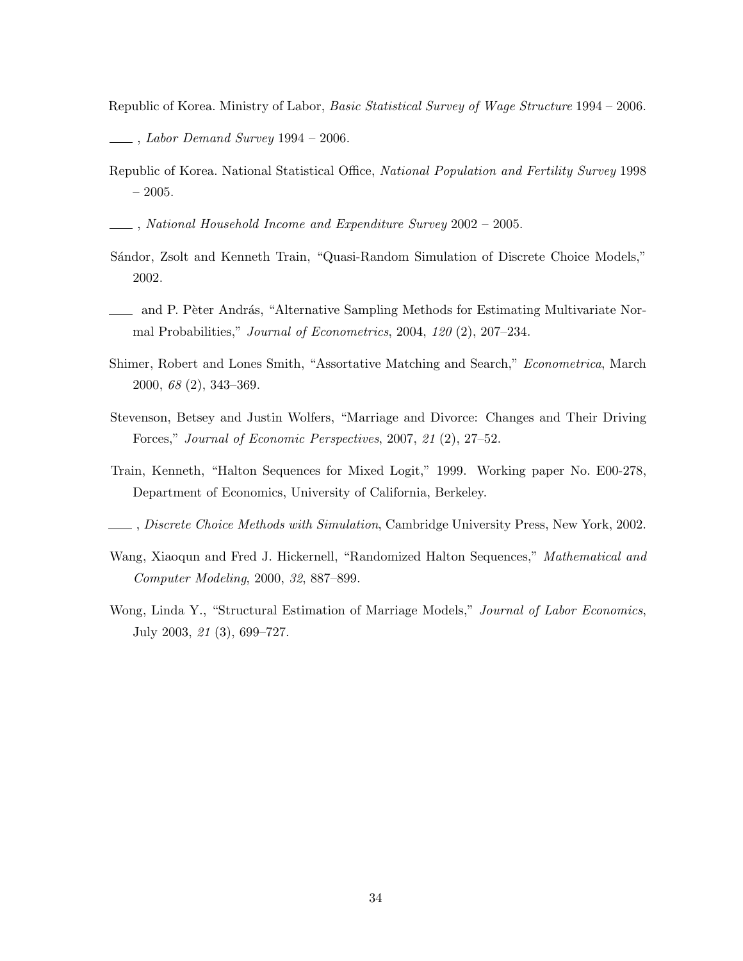Republic of Korea. Ministry of Labor, *Basic Statistical Survey of Wage Structure* 1994 – 2006.

- , *Labor Demand Survey* 1994 2006.
- Republic of Korea. National Statistical Office, *National Population and Fertility Survey* 1998 – 2005.

, *National Household Income and Expenditure Survey* 2002 – 2005.

- Sándor, Zsolt and Kenneth Train, "Quasi-Random Simulation of Discrete Choice Models," 2002.
- and P. Pèter András, "Alternative Sampling Methods for Estimating Multivariate Normal Probabilities," *Journal of Econometrics*, 2004, *120* (2), 207–234.
- Shimer, Robert and Lones Smith, "Assortative Matching and Search," *Econometrica*, March 2000, *68* (2), 343–369.
- Stevenson, Betsey and Justin Wolfers, "Marriage and Divorce: Changes and Their Driving Forces," *Journal of Economic Perspectives*, 2007, *21* (2), 27–52.
- Train, Kenneth, "Halton Sequences for Mixed Logit," 1999. Working paper No. E00-278, Department of Economics, University of California, Berkeley.
- , *Discrete Choice Methods with Simulation*, Cambridge University Press, New York, 2002.
- Wang, Xiaoqun and Fred J. Hickernell, "Randomized Halton Sequences," *Mathematical and Computer Modeling*, 2000, *32*, 887–899.
- Wong, Linda Y., "Structural Estimation of Marriage Models," *Journal of Labor Economics*, July 2003, *21* (3), 699–727.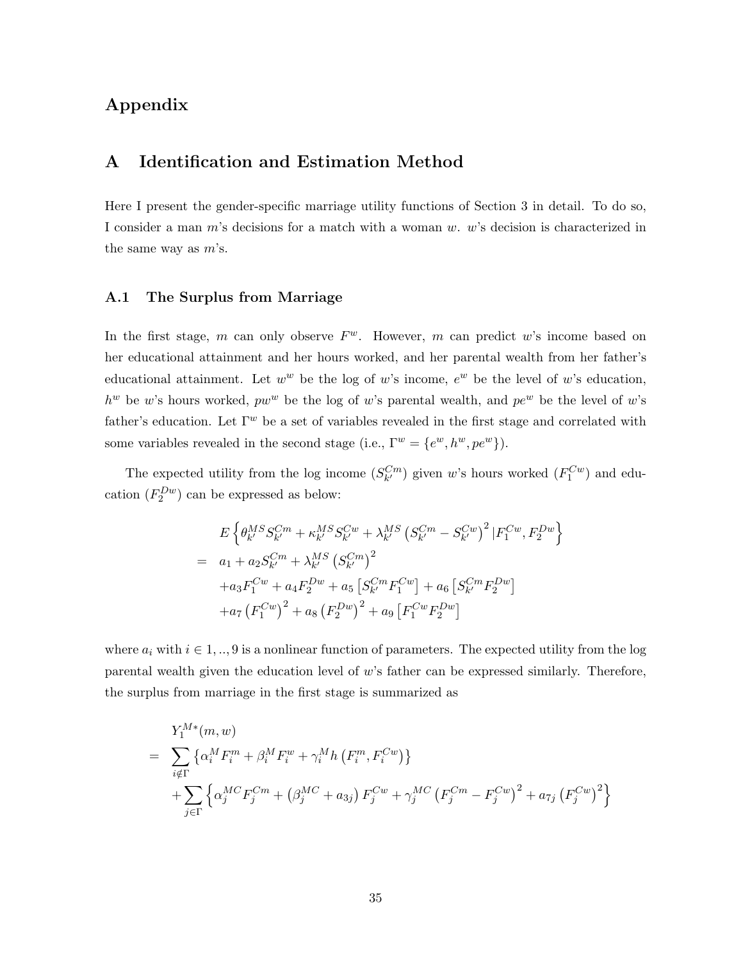# Appendix

# A Identification and Estimation Method

Here I present the gender-specific marriage utility functions of Section 3 in detail. To do so, I consider a man m's decisions for a match with a woman w. w's decision is characterized in the same way as  $m$ 's.

### A.1 The Surplus from Marriage

In the first stage, m can only observe  $F^w$ . However, m can predict w's income based on her educational attainment and her hours worked, and her parental wealth from her father's educational attainment. Let  $w^w$  be the log of w's income,  $e^w$  be the level of w's education,  $h^w$  be w's hours worked,  $pw^w$  be the log of w's parental wealth, and  $pe^w$  be the level of w's father's education. Let  $\Gamma^w$  be a set of variables revealed in the first stage and correlated with some variables revealed in the second stage (i.e.,  $\Gamma^w = \{e^w, h^w, pe^w\}$ ).

The expected utility from the log income  $(S_{k'}^{Cm})$  given w's hours worked  $(F_1^{Cw})$  and education  $(F_2^{Dw})$  can be expressed as below:

$$
E\left\{\theta_{k'}^{MS}S_{k'}^{Cm} + \kappa_{k'}^{MS}S_{k'}^{Cw} + \lambda_{k'}^{MS}\left(S_{k'}^{Cm} - S_{k'}^{Cw}\right)^2 | F_1^{Cw}, F_2^{Dw} \right\}
$$
  
=  $a_1 + a_2 S_{k'}^{Cm} + \lambda_{k'}^{MS} \left(S_{k'}^{Cm}\right)^2$   
 $+ a_3 F_1^{Cw} + a_4 F_2^{Dw} + a_5 \left[S_{k'}^{Cm} F_1^{Cw}\right] + a_6 \left[S_{k'}^{Cm} F_2^{Dw}\right]$   
 $+ a_7 \left(F_1^{Cw}\right)^2 + a_8 \left(F_2^{Dw}\right)^2 + a_9 \left[F_1^{Cw} F_2^{Dw}\right]$ 

where  $a_i$  with  $i \in 1, \ldots, 9$  is a nonlinear function of parameters. The expected utility from the log parental wealth given the education level of w's father can be expressed similarly. Therefore, the surplus from marriage in the first stage is summarized as

$$
Y_1^{M*}(m, w)
$$
  
= 
$$
\sum_{i \notin \Gamma} \{ \alpha_i^M F_i^m + \beta_i^M F_i^w + \gamma_i^M h \left( F_i^m, F_i^{Cw} \right) \}
$$
  
+ 
$$
\sum_{j \in \Gamma} \{ \alpha_j^{MC} F_j^{Cm} + (\beta_j^{MC} + a_{3j}) F_j^{Cw} + \gamma_j^{MC} \left( F_j^{Cm} - F_j^{Cw} \right)^2 + a_{7j} \left( F_j^{Cw} \right)^2 \}
$$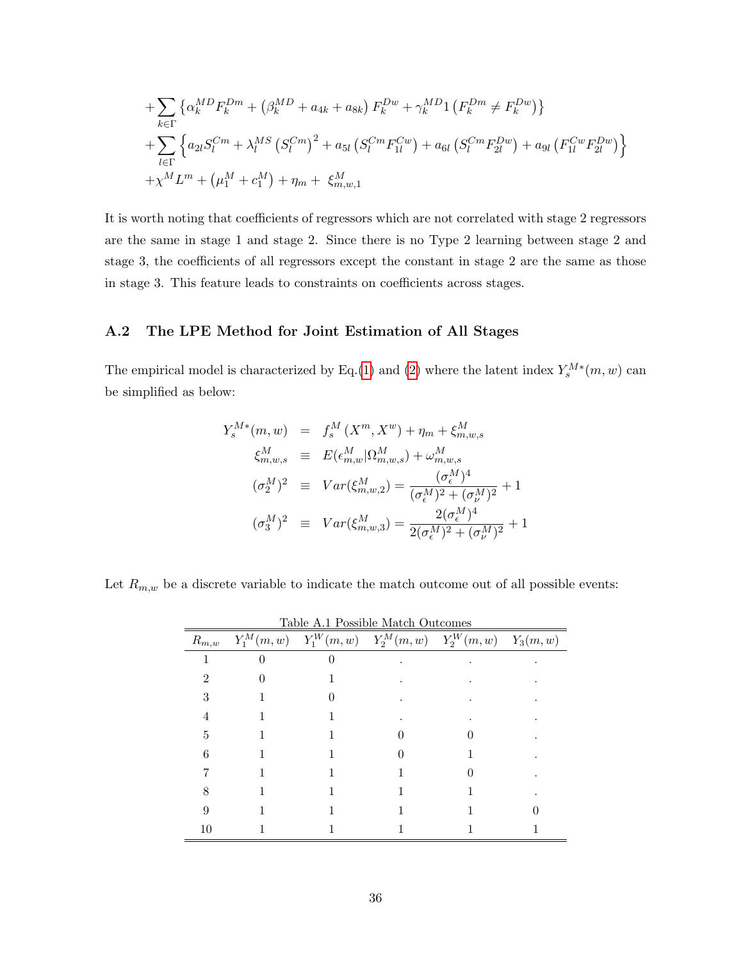+
$$
\sum_{k \in \Gamma} \left\{ \alpha_k^{MD} F_k^{Dm} + \left( \beta_k^{MD} + a_{4k} + a_{8k} \right) F_k^{Dw} + \gamma_k^{MD} \mathbf{1} \left( F_k^{Dm} \neq F_k^{Dw} \right) \right\} + \sum_{l \in \Gamma} \left\{ a_{2l} S_l^{Cm} + \lambda_l^{MS} \left( S_l^{Cm} \right)^2 + a_{5l} \left( S_l^{Cm} F_{1l}^{Cw} \right) + a_{6l} \left( S_l^{Cm} F_{2l}^{Dw} \right) + a_{9l} \left( F_{1l}^{Cw} F_{2l}^{Dw} \right) \right\} + \chi^M L^m + \left( \mu_1^M + c_1^M \right) + \eta_m + \xi_{m,w,1}^M
$$

It is worth noting that coefficients of regressors which are not correlated with stage 2 regressors are the same in stage 1 and stage 2. Since there is no Type 2 learning between stage 2 and stage 3, the coefficients of all regressors except the constant in stage 2 are the same as those in stage 3. This feature leads to constraints on coefficients across stages.

### A.2 The LPE Method for Joint Estimation of All Stages

The empirical model is characterized by Eq.[\(1\)](#page-15-1) and [\(2\)](#page-15-0) where the latent index  $Y_s^{M*}(m, w)$  can be simplified as below:

$$
Y_s^{M*}(m, w) = f_s^M(X^m, X^w) + \eta_m + \xi_{m, w, s}^M
$$
  
\n
$$
\xi_{m, w, s}^M \equiv E(\epsilon_{m, w}^M | \Omega_{m, w, s}^M) + \omega_{m, w, s}^M
$$
  
\n
$$
(\sigma_2^M)^2 \equiv Var(\xi_{m, w, 2}^M) = \frac{(\sigma_\epsilon^M)^4}{(\sigma_\epsilon^M)^2 + (\sigma_\nu^M)^2} + 1
$$
  
\n
$$
(\sigma_3^M)^2 \equiv Var(\xi_{m, w, 3}^M) = \frac{2(\sigma_\epsilon^M)^4}{2(\sigma_\epsilon^M)^2 + (\sigma_\nu^M)^2} + 1
$$

Let  $R_{m,w}$  be a discrete variable to indicate the match outcome out of all possible events:

| Table A.1 Possible Match Outcomes |  |                                                                     |  |  |  |  |  |  |  |
|-----------------------------------|--|---------------------------------------------------------------------|--|--|--|--|--|--|--|
| $R_{m,w}$                         |  | $Y_1^M(m, w)$ $Y_1^W(m, w)$ $Y_2^M(m, w)$ $Y_2^W(m, w)$ $Y_3(m, w)$ |  |  |  |  |  |  |  |
|                                   |  |                                                                     |  |  |  |  |  |  |  |
|                                   |  |                                                                     |  |  |  |  |  |  |  |
| 3                                 |  |                                                                     |  |  |  |  |  |  |  |
|                                   |  |                                                                     |  |  |  |  |  |  |  |
| 5                                 |  |                                                                     |  |  |  |  |  |  |  |
| 6                                 |  |                                                                     |  |  |  |  |  |  |  |
|                                   |  |                                                                     |  |  |  |  |  |  |  |
|                                   |  |                                                                     |  |  |  |  |  |  |  |
|                                   |  |                                                                     |  |  |  |  |  |  |  |
| 10                                |  |                                                                     |  |  |  |  |  |  |  |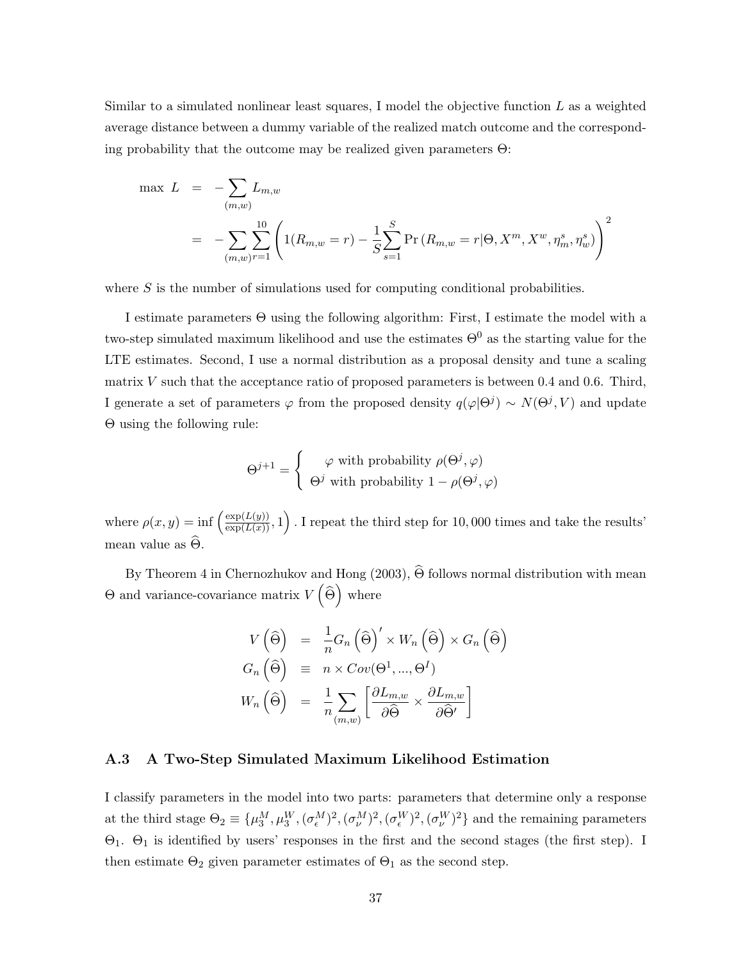Similar to a simulated nonlinear least squares, I model the objective function  $L$  as a weighted average distance between a dummy variable of the realized match outcome and the corresponding probability that the outcome may be realized given parameters  $\Theta$ :

$$
\max L = -\sum_{(m,w)} L_{m,w}
$$
  
= 
$$
-\sum_{(m,w)} \sum_{r=1}^{10} \left( 1(R_{m,w} = r) - \frac{1}{S} \sum_{s=1}^{S} \Pr(R_{m,w} = r | \Theta, X^{m}, X^{w}, \eta_{m}^{s}, \eta_{w}^{s}) \right)^{2}
$$

where  $S$  is the number of simulations used for computing conditional probabilities.

I estimate parameters Θ using the following algorithm: First, I estimate the model with a two-step simulated maximum likelihood and use the estimates  $\Theta^0$  as the starting value for the LTE estimates. Second, I use a normal distribution as a proposal density and tune a scaling matrix V such that the acceptance ratio of proposed parameters is between 0.4 and 0.6. Third, I generate a set of parameters  $\varphi$  from the proposed density  $q(\varphi|\Theta^j) \sim N(\Theta^j, V)$  and update Θ using the following rule:

$$
\Theta^{j+1} = \begin{cases} \varphi \text{ with probability } \rho(\Theta^j, \varphi) \\ \Theta^j \text{ with probability } 1 - \rho(\Theta^j, \varphi) \end{cases}
$$

where  $\rho(x,y) = \inf \left( \frac{\exp(L(y))}{\exp(L(x))}, 1 \right)$ . I repeat the third step for 10,000 times and take the results' mean value as  $\widehat{\Theta}$ .

By Theorem 4 in Chernozhukov and Hong (2003),  $\widehat{\Theta}$  follows normal distribution with mean  $\Theta$  and variance-covariance matrix  $V(\widehat{\Theta})$  where

$$
V(\hat{\Theta}) = \frac{1}{n} G_n(\hat{\Theta})' \times W_n(\hat{\Theta}) \times G_n(\hat{\Theta})
$$
  
\n
$$
G_n(\hat{\Theta}) \equiv n \times Cov(\Theta^1, ..., \Theta^I)
$$
  
\n
$$
W_n(\hat{\Theta}) = \frac{1}{n} \sum_{(m,w)} \left[ \frac{\partial L_{m,w}}{\partial \hat{\Theta}} \times \frac{\partial L_{m,w}}{\partial \hat{\Theta}'} \right]
$$

### A.3 A Two-Step Simulated Maximum Likelihood Estimation

I classify parameters in the model into two parts: parameters that determine only a response at the third stage  $\Theta_2 \equiv {\{\mu_3^M, \mu_3^W, (\sigma_\epsilon^M)^2, (\sigma_\nu^M)^2, (\sigma_\nu^W)^2, (\sigma_\nu^W)^2\}}$  and the remaining parameters Θ1. Θ<sup>1</sup> is identified by users' responses in the first and the second stages (the first step). I then estimate  $\Theta_2$  given parameter estimates of  $\Theta_1$  as the second step.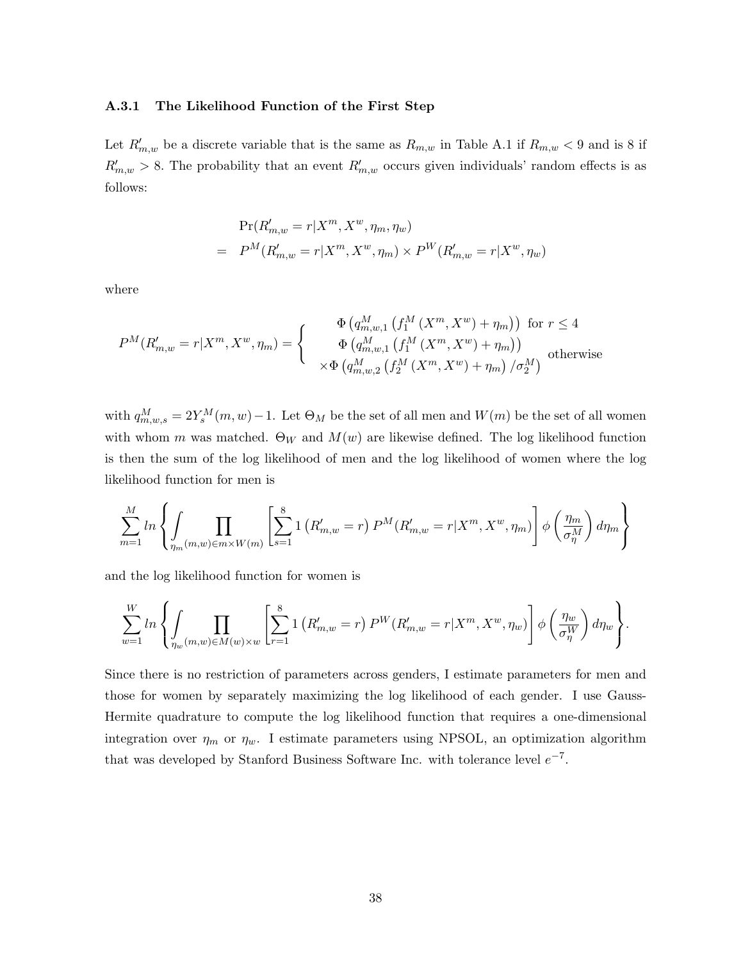### A.3.1 The Likelihood Function of the First Step

Let  $R'_{m,w}$  be a discrete variable that is the same as  $R_{m,w}$  in Table A.1 if  $R_{m,w}$  < 9 and is 8 if  $R'_{m,w} > 8$ . The probability that an event  $R'_{m,w}$  occurs given individuals' random effects is as follows:

$$
Pr(R'_{m,w} = r | X^m, X^w, \eta_m, \eta_w)
$$
  
= 
$$
P^M(R'_{m,w} = r | X^m, X^w, \eta_m) \times P^W(R'_{m,w} = r | X^w, \eta_w)
$$

where

$$
P^{M}(R'_{m,w} = r | X^{m}, X^{w}, \eta_{m}) = \begin{cases} \Phi\left(q_{m,w,1}^{M}\left(f_{1}^{M}\left(X^{m}, X^{w}\right) + \eta_{m}\right)\right) & \text{for } r \leq 4\\ \Phi\left(q_{m,w,1}^{M}\left(f_{1}^{M}\left(X^{m}, X^{w}\right) + \eta_{m}\right)\right) & \text{otherwise}\\ \times \Phi\left(q_{m,w,2}^{M}\left(f_{2}^{M}\left(X^{m}, X^{w}\right) + \eta_{m}\right) / \sigma_{2}^{M}\right) & \text{otherwise} \end{cases}
$$

with  $q_{m,w,s}^M = 2Y_s^M(m, w) - 1$ . Let  $\Theta_M$  be the set of all men and  $W(m)$  be the set of all women with whom m was matched.  $\Theta_W$  and  $M(w)$  are likewise defined. The log likelihood function is then the sum of the log likelihood of men and the log likelihood of women where the log likelihood function for men is

$$
\sum_{m=1}^{M} \ln \left\{ \int_{\eta_m(m,w) \in m \times W(m)} \left[ \sum_{s=1}^{8} \ln \left( R'_{m,w} = r \right) P^{M}(R'_{m,w} = r | X^{m}, X^{w}, \eta_m) \right] \phi \left( \frac{\eta_m}{\sigma_{\eta}^{M}} \right) d\eta_m \right\}
$$

and the log likelihood function for women is

$$
\sum_{w=1}^{W} \ln \left\{ \int_{\eta_w(m,w) \in M(w) \times w} \left[ \sum_{r=1}^{8} \mathbf{1} \left( R'_{m,w} = r \right) P^{W}(R'_{m,w} = r | X^m, X^w, \eta_w) \right] \phi \left( \frac{\eta_w}{\sigma_{\eta}^W} \right) d\eta_w \right\}.
$$

Since there is no restriction of parameters across genders, I estimate parameters for men and those for women by separately maximizing the log likelihood of each gender. I use Gauss-Hermite quadrature to compute the log likelihood function that requires a one-dimensional integration over  $\eta_m$  or  $\eta_w$ . I estimate parameters using NPSOL, an optimization algorithm that was developed by Stanford Business Software Inc. with tolerance level  $e^{-7}$ .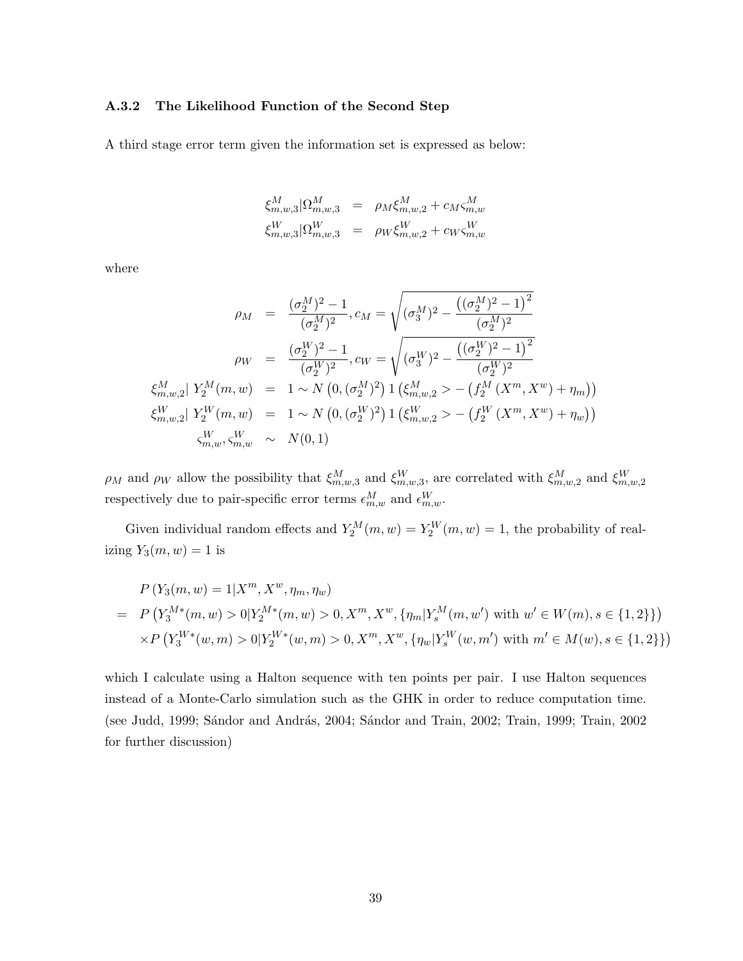### A.3.2 The Likelihood Function of the Second Step

A third stage error term given the information set is expressed as below:

$$
\xi_{m,w,3}^{M} | \Omega_{m,w,3}^{M} = \rho_M \xi_{m,w,2}^{M} + c_M \xi_{m,w}^{M}
$$
  

$$
\xi_{m,w,3}^{W} | \Omega_{m,w,3}^{W} = \rho_W \xi_{m,w,2}^{W} + c_W \xi_{m,w}^{W}
$$

where

$$
\rho_M = \frac{(\sigma_2^M)^2 - 1}{(\sigma_2^M)^2}, c_M = \sqrt{(\sigma_3^M)^2 - \frac{((\sigma_2^M)^2 - 1)^2}{(\sigma_2^M)^2}}
$$

$$
\rho_W = \frac{(\sigma_2^W)^2 - 1}{(\sigma_2^W)^2}, c_W = \sqrt{(\sigma_3^W)^2 - \frac{((\sigma_2^W)^2 - 1)^2}{(\sigma_2^W)^2}}
$$

$$
\xi_{m,w,2}^M | Y_2^M(m, w) = 1 \sim N \left(0, (\sigma_2^M)^2\right) 1 \left(\xi_{m,w,2}^M > - \left(f_2^M (X^m, X^w) + \eta_m\right)\right)
$$

$$
\xi_{m,w,2}^W | Y_2^W(m, w) = 1 \sim N \left(0, (\sigma_2^W)^2\right) 1 \left(\xi_{m,w,2}^W > - \left(f_2^W (X^m, X^w) + \eta_w\right)\right)
$$

$$
\zeta_{m,w}^W, \zeta_{m,w}^W \sim N(0, 1)
$$

 $\rho_M$  and  $\rho_W$  allow the possibility that  $\xi_{m,w,3}^M$  and  $\xi_{m,w,3}^W$ , are correlated with  $\xi_{m,w,2}^M$  and  $\xi_{m,w,2}^W$ respectively due to pair-specific error terms  $\epsilon_{m,w}^M$  and  $\epsilon_{m,w}^W$ .

Given individual random effects and  $Y_2^M(m, w) = Y_2^W(m, w) = 1$ , the probability of realizing  $Y_3(m, w) = 1$  is

$$
P(Y_3(m, w) = 1 | X^m, X^w, \eta_m, \eta_w)
$$
  
=  $P(Y_3^{M*}(m, w) > 0 | Y_2^{M*}(m, w) > 0, X^m, X^w, {\eta_m | Y_s^M(m, w') \text{ with } w' \in W(m), s \in \{1, 2\}\})$   
 $\times P(Y_3^{W*}(w, m) > 0 | Y_2^{W*}(w, m) > 0, X^m, X^w, {\eta_w | Y_s^W(w, m') \text{ with } m' \in M(w), s \in \{1, 2\}\})$ 

which I calculate using a Halton sequence with ten points per pair. I use Halton sequences instead of a Monte-Carlo simulation such as the GHK in order to reduce computation time. (see Judd, 1999; Sándor and András, 2004; Sándor and Train, 2002; Train, 1999; Train, 2002 for further discussion)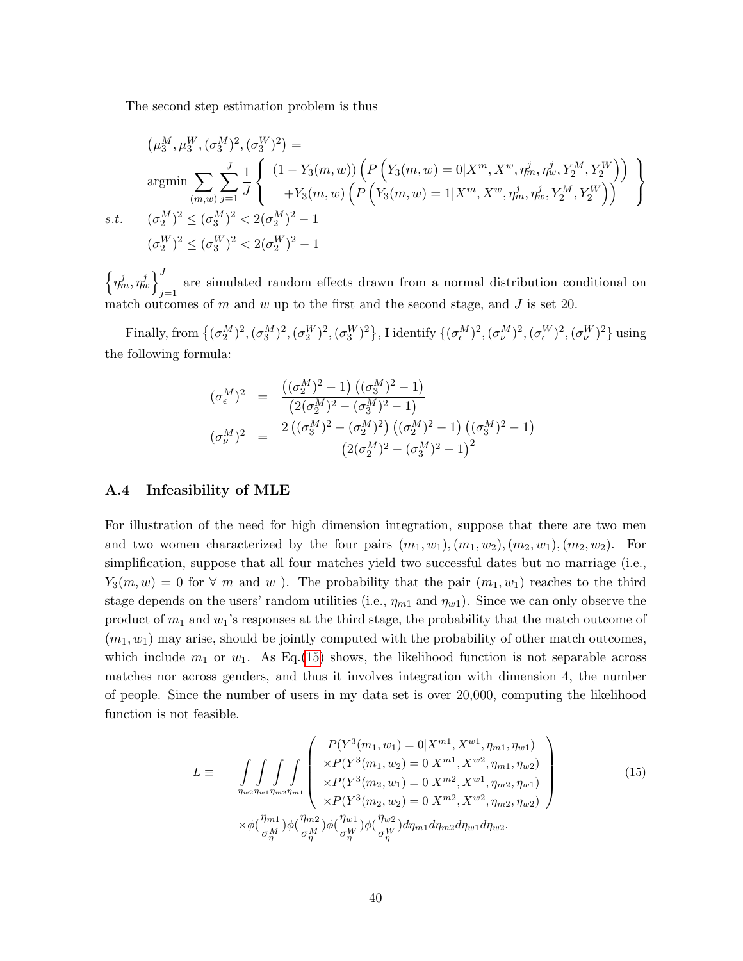The second step estimation problem is thus

$$
\left(\mu_3^M, \mu_3^W, (\sigma_3^M)^2, (\sigma_3^W)^2\right) =
$$
\n
$$
\operatorname*{argmin}_{(m,w)} \sum_{j=1}^J \frac{1}{J} \left\{ \begin{array}{l} (1 - Y_3(m,w)) \left( P\left(Y_3(m,w) = 0 | X^m, X^w, \eta_m^j, \eta_w^j, Y_2^M, Y_2^W\right) \right) \\ + Y_3(m,w) \left( P\left(Y_3(m,w) = 1 | X^m, X^w, \eta_m^j, \eta_w^j, Y_2^M, Y_2^W\right) \right) \end{array} \right\}
$$
\ns.t.\n
$$
(\sigma_2^M)^2 \leq (\sigma_3^M)^2 < 2(\sigma_2^M)^2 - 1
$$
\n
$$
(\sigma_2^W)^2 \leq (\sigma_3^W)^2 < 2(\sigma_2^W)^2 - 1
$$

 $\left\{\eta_m^j, \eta_w^j\right\}_{j=1}^J$  are simulated random effects drawn from a normal distribution conditional on match outcomes of  $m$  and  $w$  up to the first and the second stage, and  $J$  is set 20.

Finally, from  $\{(\sigma_2^M)^2,(\sigma_3^M)^2,(\sigma_2^W)^2,(\sigma_3^W)^2\}$ , I identify  $\{(\sigma_\epsilon^M)^2,(\sigma_\nu^W)^2,(\sigma_\epsilon^W)^2,(\sigma_\nu^W)^2\}$  using the following formula:

$$
\begin{array}{rcl} (\sigma_{\epsilon}^{M})^{2} & = & \displaystyle \frac{\left( (\sigma_{2}^{M})^{2} - 1 \right) \left( (\sigma_{3}^{M})^{2} - 1 \right)}{\left( 2 (\sigma_{2}^{M})^{2} - (\sigma_{3}^{M})^{2} - 1 \right)} \\ \\ (\sigma_{\nu}^{M})^{2} & = & \displaystyle \frac{2 \left( (\sigma_{3}^{M})^{2} - (\sigma_{2}^{M})^{2} \right) \left( (\sigma_{2}^{M})^{2} - 1 \right) \left( (\sigma_{3}^{M})^{2} - 1 \right)}{\left( 2 (\sigma_{2}^{M})^{2} - (\sigma_{3}^{M})^{2} - 1 \right)^{2}} \end{array}
$$

### A.4 Infeasibility of MLE

For illustration of the need for high dimension integration, suppose that there are two men and two women characterized by the four pairs  $(m_1, w_1), (m_1, w_2), (m_2, w_1), (m_2, w_2)$ . For simplification, suppose that all four matches yield two successful dates but no marriage (i.e.,  $Y_3(m, w) = 0$  for  $\forall m$  and w). The probability that the pair  $(m_1, w_1)$  reaches to the third stage depends on the users' random utilities (i.e.,  $\eta_{m1}$  and  $\eta_{w1}$ ). Since we can only observe the product of  $m_1$  and  $w_1$ 's responses at the third stage, the probability that the match outcome of  $(m_1, w_1)$  may arise, should be jointly computed with the probability of other match outcomes, which include  $m_1$  or  $w_1$ . As Eq.[\(15\)](#page-40-0) shows, the likelihood function is not separable across matches nor across genders, and thus it involves integration with dimension 4, the number of people. Since the number of users in my data set is over 20,000, computing the likelihood function is not feasible.

<span id="page-40-0"></span>
$$
L \equiv \int \int \int \int \int \int \left( \frac{P(Y^3(m_1, w_1) = 0 | X^{m1}, X^{w1}, \eta_{m1}, \eta_{w1})}{\times P(Y^3(m_1, w_2) = 0 | X^{m1}, X^{w2}, \eta_{m1}, \eta_{w2})} \right) \times P(Y^3(m_2, w_1) = 0 | X^{m2}, X^{w1}, \eta_{m2}, \eta_{w1}) \times P(Y^3(m_2, w_2) = 0 | X^{m2}, X^{w2}, \eta_{m2}, \eta_{w2}) \times \phi(\frac{\eta_{m1}}{\sigma_{\eta}^M}) \phi(\frac{\eta_{m2}}{\sigma_{\eta}^M}) \phi(\frac{\eta_{w1}}{\sigma_{\eta}^W}) \phi(\frac{\eta_{w2}}{\sigma_{\eta}^W}) d\eta_{m1} d\eta_{m2} d\eta_{w1} d\eta_{w2}.
$$
\n
$$
(15)
$$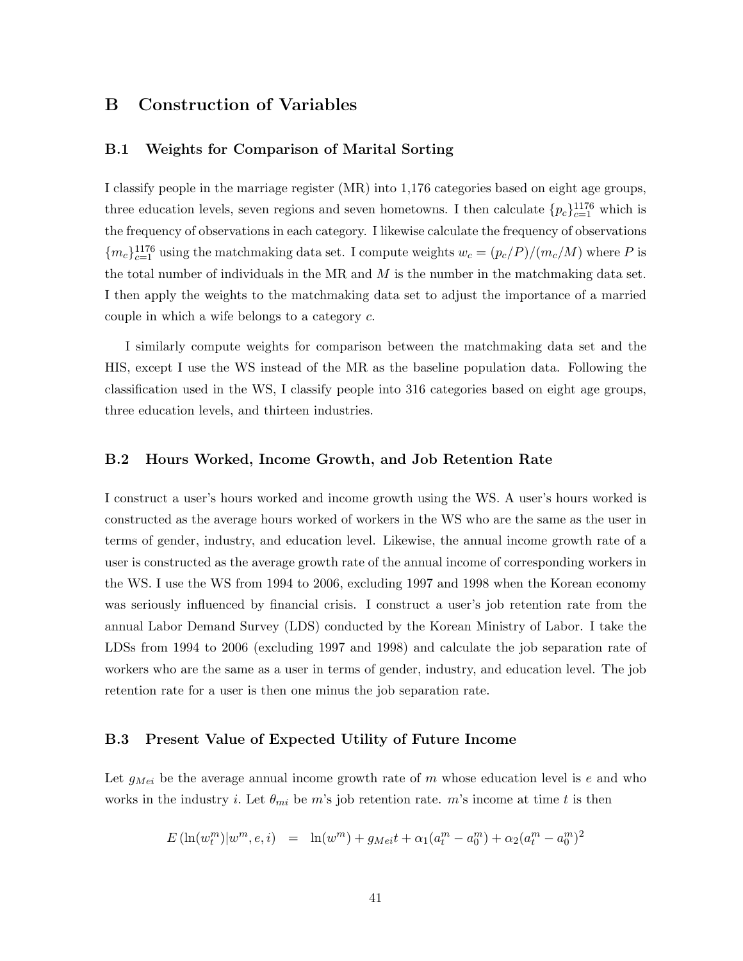### B Construction of Variables

### B.1 Weights for Comparison of Marital Sorting

I classify people in the marriage register (MR) into 1,176 categories based on eight age groups, three education levels, seven regions and seven hometowns. I then calculate  ${p_c}_{c=1}^{1176}$  which is the frequency of observations in each category. I likewise calculate the frequency of observations  ${m_c}_{c=1}^{1176}$  using the matchmaking data set. I compute weights  $w_c = (p_c/P)/(m_c/M)$  where P is the total number of individuals in the MR and  $M$  is the number in the matchmaking data set. I then apply the weights to the matchmaking data set to adjust the importance of a married couple in which a wife belongs to a category c.

I similarly compute weights for comparison between the matchmaking data set and the HIS, except I use the WS instead of the MR as the baseline population data. Following the classification used in the WS, I classify people into 316 categories based on eight age groups, three education levels, and thirteen industries.

### B.2 Hours Worked, Income Growth, and Job Retention Rate

I construct a user's hours worked and income growth using the WS. A user's hours worked is constructed as the average hours worked of workers in the WS who are the same as the user in terms of gender, industry, and education level. Likewise, the annual income growth rate of a user is constructed as the average growth rate of the annual income of corresponding workers in the WS. I use the WS from 1994 to 2006, excluding 1997 and 1998 when the Korean economy was seriously influenced by financial crisis. I construct a user's job retention rate from the annual Labor Demand Survey (LDS) conducted by the Korean Ministry of Labor. I take the LDSs from 1994 to 2006 (excluding 1997 and 1998) and calculate the job separation rate of workers who are the same as a user in terms of gender, industry, and education level. The job retention rate for a user is then one minus the job separation rate.

### B.3 Present Value of Expected Utility of Future Income

Let  $g_{Mei}$  be the average annual income growth rate of m whose education level is e and who works in the industry *i*. Let  $\theta_{mi}$  be m's job retention rate. m's income at time t is then

$$
E\left(\ln(w_t^m)|w^m, e, i\right) = \ln(w^m) + g_{Mei}t + \alpha_1(a_t^m - a_0^m) + \alpha_2(a_t^m - a_0^m)^2
$$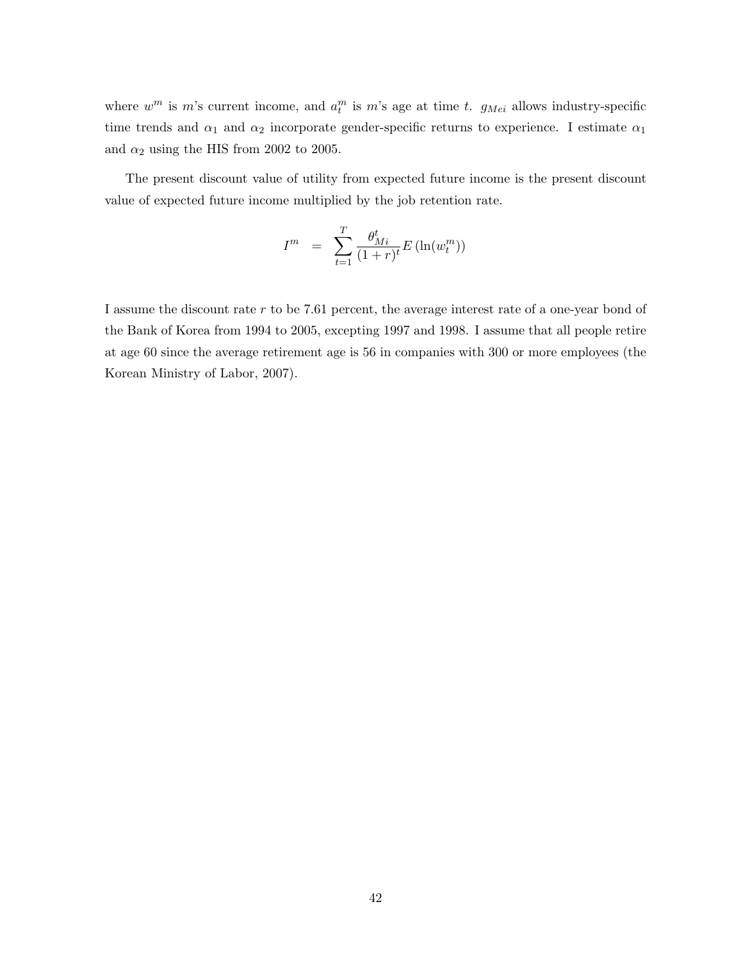where  $w^m$  is m's current income, and  $a_t^m$  is m's age at time t.  $g_{Mei}$  allows industry-specific time trends and  $\alpha_1$  and  $\alpha_2$  incorporate gender-specific returns to experience. I estimate  $\alpha_1$ and  $\alpha_2$  using the HIS from 2002 to 2005.

The present discount value of utility from expected future income is the present discount value of expected future income multiplied by the job retention rate.

$$
I^{m} = \sum_{t=1}^{T} \frac{\theta_{Mi}^{t}}{(1+r)^{t}} E\left(\ln(w_{t}^{m})\right)
$$

I assume the discount rate r to be 7.61 percent, the average interest rate of a one-year bond of the Bank of Korea from 1994 to 2005, excepting 1997 and 1998. I assume that all people retire at age 60 since the average retirement age is 56 in companies with 300 or more employees (the Korean Ministry of Labor, 2007).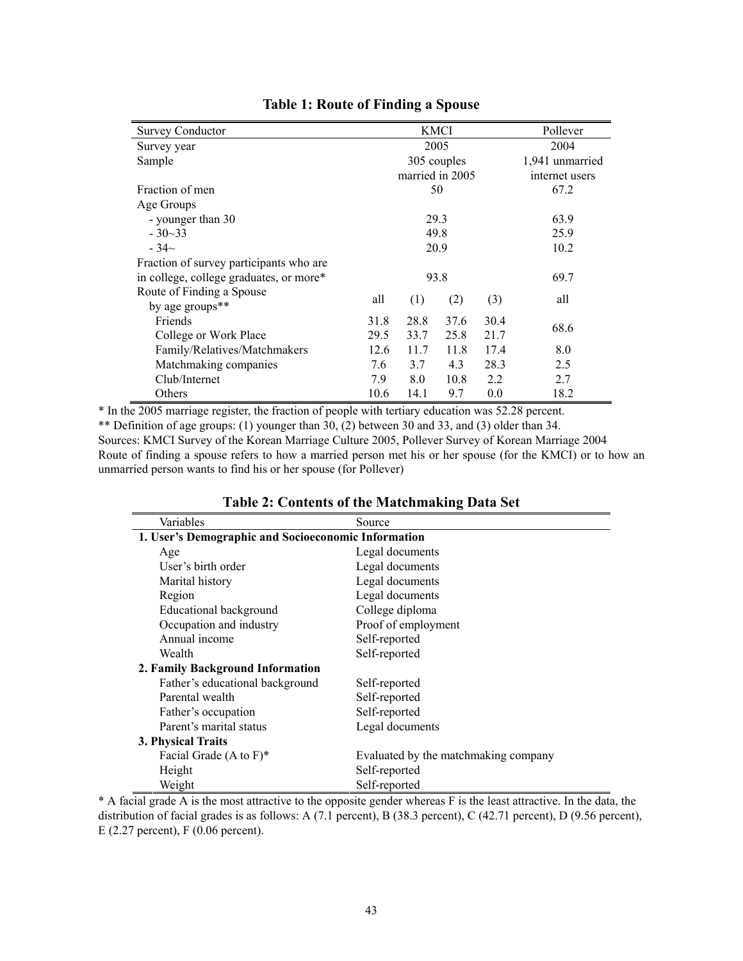| <b>Survey Conductor</b>                 |                              |                 | <b>KMCI</b> | Pollever |                 |
|-----------------------------------------|------------------------------|-----------------|-------------|----------|-----------------|
| Survey year                             |                              |                 | 2005        |          | 2004            |
| Sample                                  |                              |                 | 305 couples |          | 1,941 unmarried |
|                                         |                              | married in 2005 |             |          | internet users  |
| Fraction of men                         |                              |                 | 50          |          | 67.2            |
| Age Groups                              |                              |                 |             |          |                 |
| - younger than 30                       |                              |                 | 29.3        |          | 63.9            |
| $-30-33$                                |                              |                 | 49.8        |          | 25.9            |
| $-34\sim$                               |                              | 20.9            | 10.2        |          |                 |
| Fraction of survey participants who are |                              |                 |             |          |                 |
| in college, college graduates, or more* |                              |                 | 69.7        |          |                 |
| Route of Finding a Spouse               | all                          |                 |             |          | all             |
| by age groups <sup>**</sup>             |                              | (1)             | (2)         | (3)      |                 |
| Friends                                 | 31.8                         | 28.8            | 37.6        | 30.4     | 68.6            |
| College or Work Place                   | 29.5<br>33.7<br>25.8<br>21.7 |                 |             |          |                 |
| Family/Relatives/Matchmakers            | 12.6                         | 11.7            | 11.8        | 17.4     | 8.0             |
| Matchmaking companies                   | 7.6                          | 3.7             | 4.3         | 28.3     | 2.5             |
| Club/Internet                           | 7.9                          | 8.0             | 10.8        | 2.2      | 2.7             |
| Others                                  | 10.6                         | 14.1            | 9.7         | 0.0      | 18.2            |

# **Table 1: Route of Finding a Spouse**

\* In the 2005 marriage register, the fraction of people with tertiary education was 52.28 percent. \*\* Definition of age groups: (1) younger than 30, (2) between 30 and 33, and (3) older than 34. Sources: KMCI Survey of the Korean Marriage Culture 2005, Pollever Survey of Korean Marriage 2004 Route of finding a spouse refers to how a married person met his or her spouse (for the KMCI) or to how an unmarried person wants to find his or her spouse (for Pollever)

| Variables                                           | Source                               |
|-----------------------------------------------------|--------------------------------------|
| 1. User's Demographic and Socioeconomic Information |                                      |
| Age                                                 | Legal documents                      |
| User's birth order                                  | Legal documents                      |
| Marital history                                     | Legal documents                      |
| Region                                              | Legal documents                      |
| <b>Educational background</b>                       | College diploma                      |
| Occupation and industry                             | Proof of employment                  |
| Annual income                                       | Self-reported                        |
| Wealth                                              | Self-reported                        |
| 2. Family Background Information                    |                                      |
| Father's educational background                     | Self-reported                        |
| Parental wealth                                     | Self-reported                        |
| Father's occupation                                 | Self-reported                        |
| Parent's marital status                             | Legal documents                      |
| 3. Physical Traits                                  |                                      |
| Facial Grade $(A \text{ to } F)^*$                  | Evaluated by the matchmaking company |
| Height                                              | Self-reported                        |
| Weight                                              | Self-reported                        |

| Table 2: Contents of the Matchmaking Data Set |
|-----------------------------------------------|
|-----------------------------------------------|

\* A facial grade A is the most attractive to the opposite gender whereas F is the least attractive. In the data, the distribution of facial grades is as follows: A (7.1 percent), B (38.3 percent), C (42.71 percent), D (9.56 percent), E (2.27 percent), F (0.06 percent).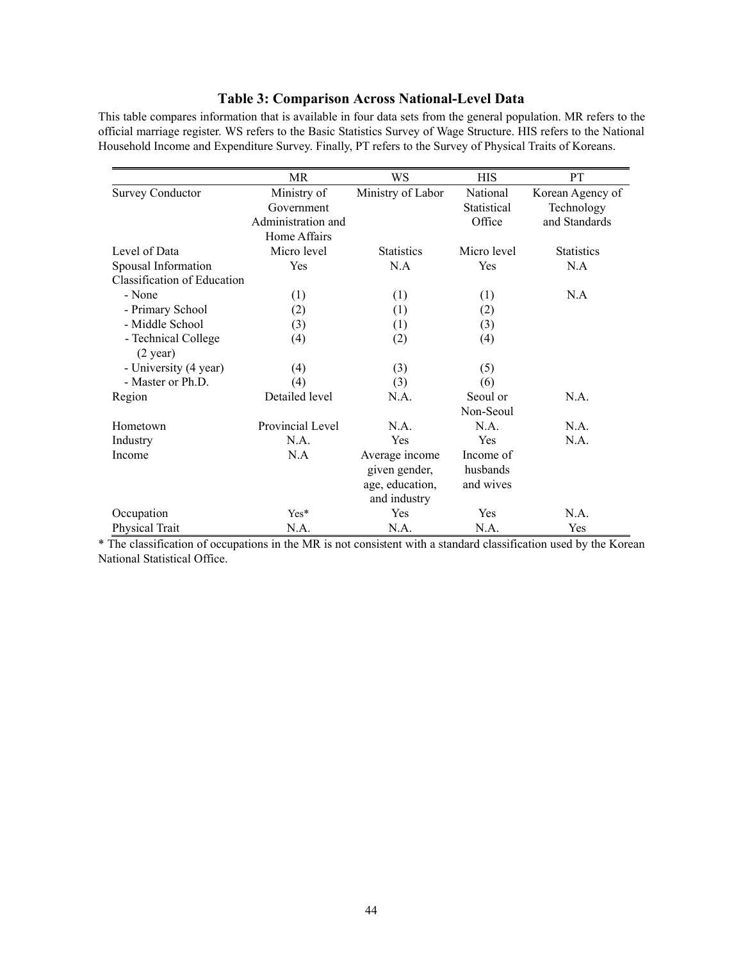# **Table 3: Comparison Across National-Level Data**

This table compares information that is available in four data sets from the general population. MR refers to the official marriage register. WS refers to the Basic Statistics Survey of Wage Structure. HIS refers to the National Household Income and Expenditure Survey. Finally, PT refers to the Survey of Physical Traits of Koreans.

|                             | MR.                | WS                | <b>HIS</b>  | <b>PT</b>         |
|-----------------------------|--------------------|-------------------|-------------|-------------------|
| <b>Survey Conductor</b>     | Ministry of        | Ministry of Labor | National    | Korean Agency of  |
|                             | Government         |                   | Statistical | Technology        |
|                             | Administration and |                   | Office      | and Standards     |
|                             | Home Affairs       |                   |             |                   |
| Level of Data               | Micro level        | <b>Statistics</b> | Micro level | <b>Statistics</b> |
| Spousal Information         | Yes                | N.A               | Yes         | N.A               |
| Classification of Education |                    |                   |             |                   |
| - None                      | (1)                | (1)               | (1)         | N.A               |
| - Primary School            | (2)                | (1)               | (2)         |                   |
| - Middle School             | (3)                | (1)               | (3)         |                   |
| - Technical College         | (4)                | (2)               | (4)         |                   |
| $(2 \text{ year})$          |                    |                   |             |                   |
| - University (4 year)       | (4)                | (3)               | (5)         |                   |
| - Master or Ph.D.           | (4)                | (3)               | (6)         |                   |
| Region                      | Detailed level     | N.A.              | Seoul or    | N.A.              |
|                             |                    |                   | Non-Seoul   |                   |
| Hometown                    | Provincial Level   | NA.               | N.A.        | N.A.              |
| Industry                    | N.A.               | Yes               | Yes         | N.A.              |
| Income                      | N.A                | Average income    | Income of   |                   |
|                             |                    | given gender,     | husbands    |                   |
|                             |                    | age, education,   | and wives   |                   |
|                             |                    | and industry      |             |                   |
| Occupation                  | Yes*               | Yes               | Yes         | N.A.              |
| Physical Trait              | N.A.               | N.A.              | N.A.        | Yes               |

\* The classification of occupations in the MR is not consistent with a standard classification used by the Korean National Statistical Office.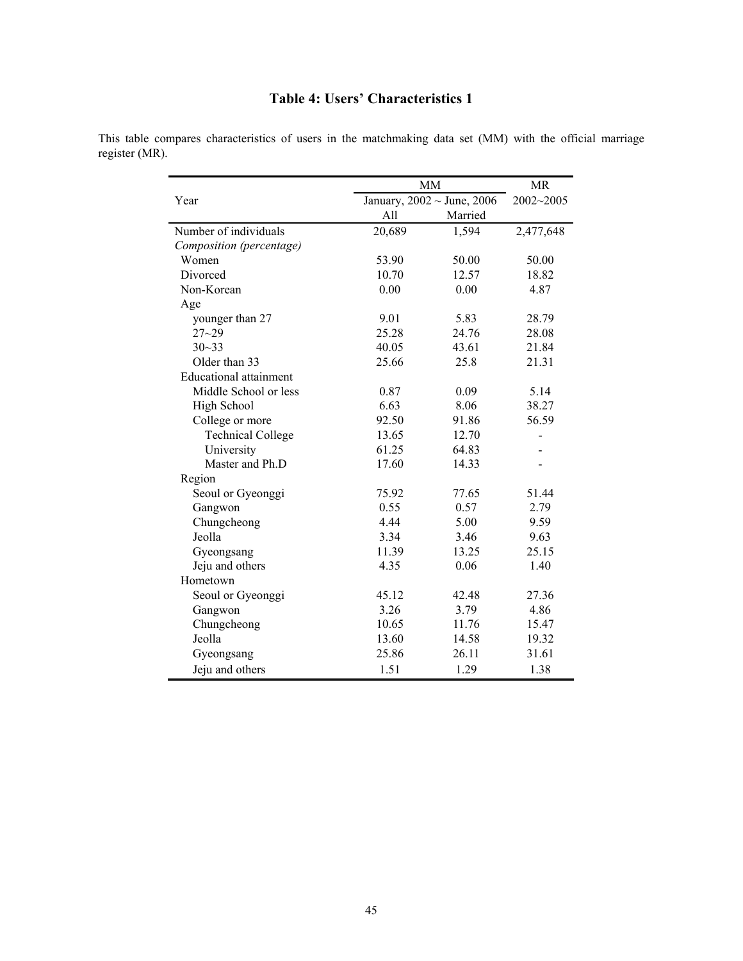# **Table 4: Users' Characteristics 1**

|                               | <b>MM</b> | <b>MR</b>                         |           |
|-------------------------------|-----------|-----------------------------------|-----------|
| Year                          |           | January, $2002 \sim$ June, $2006$ | 2002~2005 |
|                               | All       | Married                           |           |
| Number of individuals         | 20,689    | 1,594                             | 2,477,648 |
| Composition (percentage)      |           |                                   |           |
| Women                         | 53.90     | 50.00                             | 50.00     |
| Divorced                      | 10.70     | 12.57                             | 18.82     |
| Non-Korean                    | 0.00      | 0.00                              | 4.87      |
| Age                           |           |                                   |           |
| younger than 27               | 9.01      | 5.83                              | 28.79     |
| $27 - 29$                     | 25.28     | 24.76                             | 28.08     |
| $30 - 33$                     | 40.05     | 43.61                             | 21.84     |
| Older than 33                 | 25.66     | 25.8                              | 21.31     |
| <b>Educational attainment</b> |           |                                   |           |
| Middle School or less         | 0.87      | 0.09                              | 5.14      |
| High School                   | 6.63      | 8.06                              | 38.27     |
| College or more               | 92.50     | 91.86                             | 56.59     |
| <b>Technical College</b>      | 13.65     | 12.70                             |           |
| University                    | 61.25     | 64.83                             |           |
| Master and Ph.D               | 17.60     | 14.33                             |           |
| Region                        |           |                                   |           |
| Seoul or Gyeonggi             | 75.92     | 77.65                             | 51.44     |
| Gangwon                       | 0.55      | 0.57                              | 2.79      |
| Chungcheong                   | 4.44      | 5.00                              | 9.59      |
| Jeolla                        | 3.34      | 3.46                              | 9.63      |
| Gyeongsang                    | 11.39     | 13.25                             | 25.15     |
| Jeju and others               | 4.35      | 0.06                              | 1.40      |
| Hometown                      |           |                                   |           |
| Seoul or Gyeonggi             | 45.12     | 42.48                             | 27.36     |
| Gangwon                       | 3.26      | 3.79                              | 4.86      |
| Chungcheong                   | 10.65     | 11.76                             | 15.47     |
| Jeolla                        | 13.60     | 14.58                             | 19.32     |
| Gyeongsang                    | 25.86     | 26.11                             | 31.61     |
| Jeju and others               | 1.51      | 1.29                              | 1.38      |

This table compares characteristics of users in the matchmaking data set (MM) with the official marriage register (MR).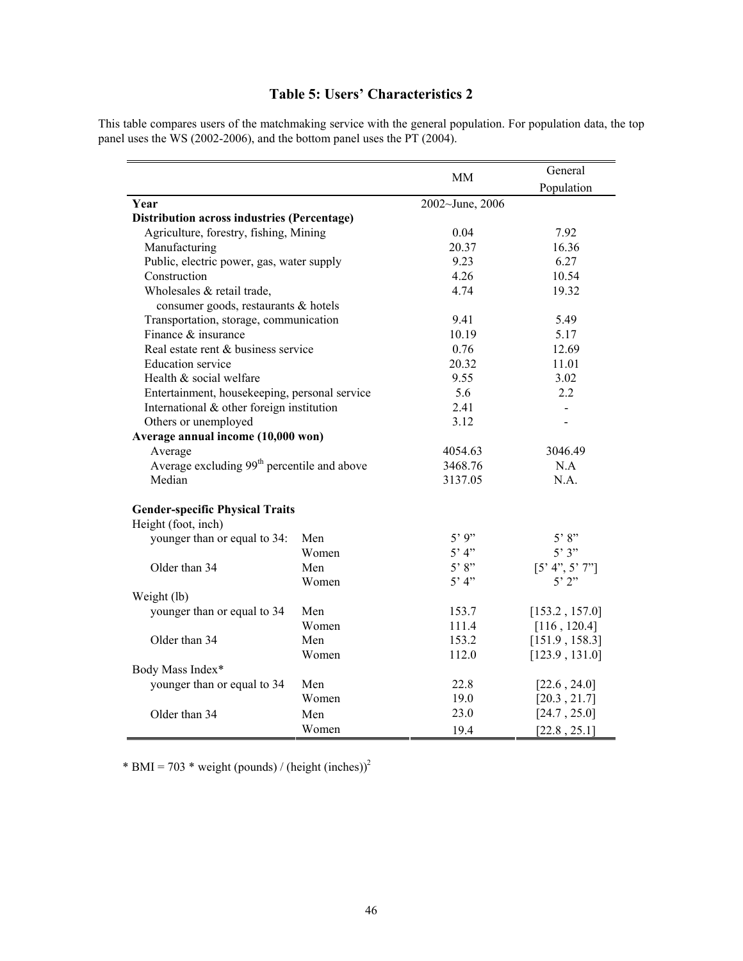# **Table 5: Users' Characteristics 2**

This table compares users of the matchmaking service with the general population. For population data, the top panel uses the WS (2002-2006), and the bottom panel uses the PT (2004).

|                                                         |       | MМ              | General        |
|---------------------------------------------------------|-------|-----------------|----------------|
|                                                         |       |                 | Population     |
| Year                                                    |       | 2002~June, 2006 |                |
| <b>Distribution across industries (Percentage)</b>      |       |                 |                |
| Agriculture, forestry, fishing, Mining                  |       | 0.04            | 7.92           |
| Manufacturing                                           |       | 20.37           | 16.36          |
| Public, electric power, gas, water supply               |       | 9.23            | 6.27           |
| Construction                                            |       | 4.26            | 10.54          |
| Wholesales & retail trade,                              |       | 4.74            | 19.32          |
| consumer goods, restaurants & hotels                    |       |                 |                |
| Transportation, storage, communication                  |       | 9.41            | 5.49           |
| Finance & insurance                                     |       | 10.19           | 5.17           |
| Real estate rent & business service                     |       | 0.76            | 12.69          |
| <b>Education</b> service                                |       | 20.32           | 11.01          |
| Health & social welfare                                 |       | 9.55            | 3.02           |
| Entertainment, housekeeping, personal service           |       | 5.6             | 2.2            |
| International & other foreign institution               |       | 2.41            | $\blacksquare$ |
| Others or unemployed                                    |       | 3.12            |                |
| Average annual income (10,000 won)                      |       |                 |                |
| Average                                                 |       | 4054.63         | 3046.49        |
| Average excluding 99 <sup>th</sup> percentile and above |       | 3468.76         | N.A            |
| Median                                                  |       | 3137.05         | N.A.           |
| <b>Gender-specific Physical Traits</b>                  |       |                 |                |
| Height (foot, inch)                                     |       |                 |                |
| younger than or equal to 34:                            | Men   | 5'9"            | 5'8"           |
|                                                         | Women | 5' 4"           | 5'3''          |
| Older than 34                                           | Men   | 5'8"            | [5' 4", 5' 7"] |
|                                                         | Women | $5'$ 4"         | $5'$ $2"$      |
| Weight (lb)                                             |       |                 |                |
| younger than or equal to 34                             | Men   | 153.7           | [153.2, 157.0] |
|                                                         | Women | 111.4           | [116, 120.4]   |
| Older than 34                                           | Men   | 153.2           | [151.9, 158.3] |
|                                                         | Women | 112.0           | [123.9, 131.0] |
| Body Mass Index*                                        |       |                 |                |
| younger than or equal to 34                             | Men   | 22.8            | [22.6, 24.0]   |
|                                                         | Women | 19.0            | [20.3, 21.7]   |
| Older than 34                                           | Men   | 23.0            | [24.7, 25.0]   |
|                                                         | Women | 19.4            | [22.8, 25.1]   |

\* BMI = 703 \* weight (pounds) / (height (inches))<sup>2</sup>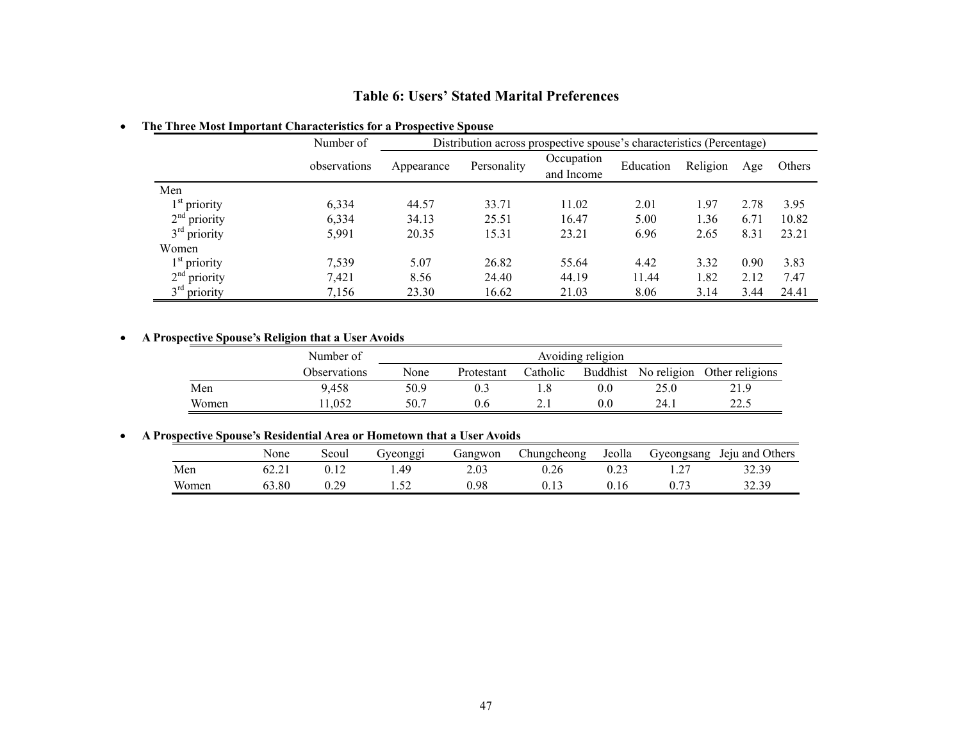# **Table 6: Users' Stated Marital Preferences**

### ! **The Three Most Important Characteristics for a Prospective Spouse**

|                | Number of    |            | Distribution across prospective spouse's characteristics (Percentage) |                          |           |          |      |        |  |
|----------------|--------------|------------|-----------------------------------------------------------------------|--------------------------|-----------|----------|------|--------|--|
|                | observations | Appearance | Personality                                                           | Occupation<br>and Income | Education | Religion | Age  | Others |  |
| Men            |              |            |                                                                       |                          |           |          |      |        |  |
| $1st$ priority | 6,334        | 44.57      | 33.71                                                                 | 11.02                    | 2.01      | 1.97     | 2.78 | 3.95   |  |
| $2nd$ priority | 6,334        | 34.13      | 25.51                                                                 | 16.47                    | 5.00      | 1.36     | 6.71 | 10.82  |  |
| $3rd$ priority | 5,991        | 20.35      | 15.31                                                                 | 23.21                    | 6.96      | 2.65     | 8.31 | 23.21  |  |
| Women          |              |            |                                                                       |                          |           |          |      |        |  |
| $1st$ priority | 7,539        | 5.07       | 26.82                                                                 | 55.64                    | 4.42      | 3.32     | 0.90 | 3.83   |  |
| $2nd$ priority | 7,421        | 8.56       | 24.40                                                                 | 44.19                    | 11.44     | 1.82     | 2.12 | 7.47   |  |
| $3rd$ priority | 7,156        | 23.30      | 16.62                                                                 | 21.03                    | 8.06      | 3.14     | 3.44 | 24.41  |  |

### ! **A Prospective Spouse's Religion that a User Avoids**

|       | Number of           | Avoiding religion |            |          |                 |             |                 |
|-------|---------------------|-------------------|------------|----------|-----------------|-------------|-----------------|
|       | <b>Observations</b> | None              | Protestant | Catholic | <b>Buddhist</b> | No religion | Other religions |
| Men   | 9.458               | 50.9              |            |          | 0.0             | 25.0        | 21.9            |
| Women | 1.052               | 50.7              | 0.6        |          | 0.0             | 24.1        | າາ ເ<br>44.J    |

# ! **A Prospective Spouse's Residential Area or Hometown that a User Avoids**

| rospectrye Spouse s retsiuential Area or Trometown that a Osci Avoius |       |       |          |         |             |        |            |                 |  |
|-----------------------------------------------------------------------|-------|-------|----------|---------|-------------|--------|------------|-----------------|--|
|                                                                       | None  | Seoul | jveonggi | Gangwon | Chungcheong | Jeolla | Gyeongsang | Jeju and Others |  |
| Men                                                                   | 62.21 |       | .49      | 2.03    | ).26        |        |            | 32.39           |  |
| Women                                                                 | 63.80 | 0.29  |          | 0.98    |             | J.16   |            | 32.39           |  |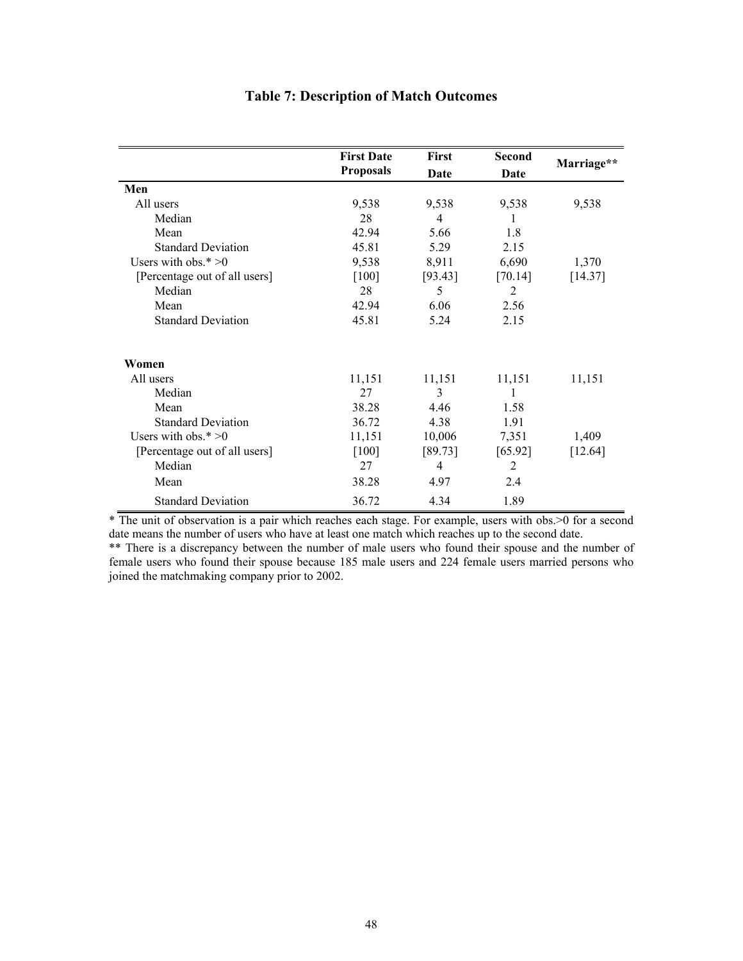|                               | <b>First Date</b> | First   | <b>Second</b> |            |
|-------------------------------|-------------------|---------|---------------|------------|
|                               | <b>Proposals</b>  | Date    | Date          | Marriage** |
| Men                           |                   |         |               |            |
| All users                     | 9,538             | 9,538   | 9,538         | 9,538      |
| Median                        | 28                | 4       | T             |            |
| Mean                          | 42.94             | 5.66    | 1.8           |            |
| <b>Standard Deviation</b>     | 45.81             | 5.29    | 2.15          |            |
| Users with obs. $* > 0$       | 9,538             | 8,911   | 6,690         | 1,370      |
| [Percentage out of all users] | $[100]$           | [93.43] | [70.14]       | [14.37]    |
| Median                        | 28                | 5       | 2             |            |
| Mean                          | 42.94             | 6.06    | 2.56          |            |
| <b>Standard Deviation</b>     | 45.81             | 5.24    | 2.15          |            |
| Women                         |                   |         |               |            |
| All users                     | 11,151            | 11,151  | 11,151        | 11,151     |
| Median                        | 27                | 3       |               |            |
| Mean                          | 38.28             | 4.46    | 1.58          |            |
| <b>Standard Deviation</b>     | 36.72             | 4.38    | 1.91          |            |
| Users with obs. $* > 0$       | 11,151            | 10,006  | 7,351         | 1,409      |
| [Percentage out of all users] | $[100]$           | [89.73] | [65.92]       | [12.64]    |
| Median                        | 27                | 4       | 2             |            |
| Mean                          | 38.28             | 4.97    | 2.4           |            |
| <b>Standard Deviation</b>     | 36.72             | 4.34    | 1.89          |            |

# **Table 7: Description of Match Outcomes**

\* The unit of observation is a pair which reaches each stage. For example, users with obs.>0 for a second date means the number of users who have at least one match which reaches up to the second date.

\*\* There is a discrepancy between the number of male users who found their spouse and the number of female users who found their spouse because 185 male users and 224 female users married persons who joined the matchmaking company prior to 2002.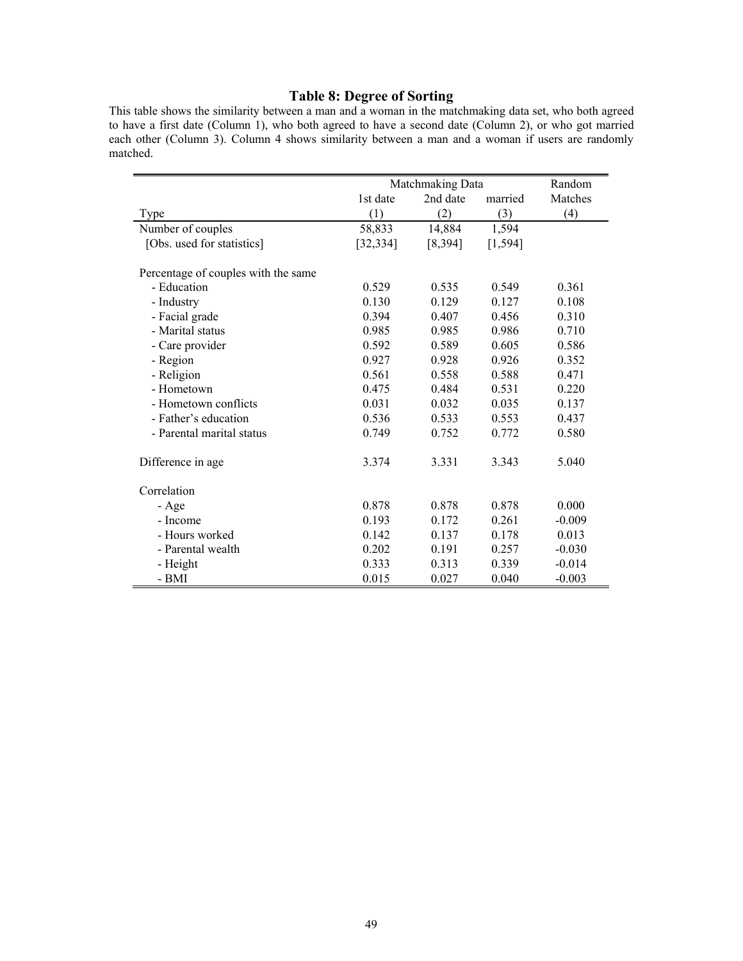# **Table 8: Degree of Sorting**

This table shows the similarity between a man and a woman in the matchmaking data set, who both agreed to have a first date (Column 1), who both agreed to have a second date (Column 2), or who got married each other (Column 3). Column 4 shows similarity between a man and a woman if users are randomly matched.

|                                     | Matchmaking Data | Random   |          |          |
|-------------------------------------|------------------|----------|----------|----------|
|                                     | 1st date         | 2nd date | married  | Matches  |
| Type                                | (1)              | (2)      | (3)      | (4)      |
| Number of couples                   | 58,833           | 14,884   | 1,594    |          |
| [Obs. used for statistics]          | [32, 334]        | [8, 394] | [1, 594] |          |
| Percentage of couples with the same |                  |          |          |          |
| - Education                         | 0.529            | 0.535    | 0.549    | 0.361    |
| - Industry                          | 0.130            | 0.129    | 0.127    | 0.108    |
| - Facial grade                      | 0.394            | 0.407    | 0.456    | 0.310    |
| - Marital status                    | 0.985            | 0.985    | 0.986    | 0.710    |
| - Care provider                     | 0.592            | 0.589    | 0.605    | 0.586    |
| - Region                            | 0.927            | 0.928    | 0.926    | 0.352    |
| - Religion                          | 0.561            | 0.558    | 0.588    | 0.471    |
| - Hometown                          | 0.475            | 0.484    | 0.531    | 0.220    |
| - Hometown conflicts                | 0.031            | 0.032    | 0.035    | 0.137    |
| - Father's education                | 0.536            | 0.533    | 0.553    | 0.437    |
| - Parental marital status           | 0.749            | 0.752    | 0.772    | 0.580    |
| Difference in age                   | 3.374            | 3.331    | 3.343    | 5.040    |
| Correlation                         |                  |          |          |          |
| - Age                               | 0.878            | 0.878    | 0.878    | 0.000    |
| - Income                            | 0.193            | 0.172    | 0.261    | $-0.009$ |
| - Hours worked                      | 0.142            | 0.137    | 0.178    | 0.013    |
| - Parental wealth                   | 0.202            | 0.191    | 0.257    | $-0.030$ |
| - Height                            | 0.333            | 0.313    | 0.339    | $-0.014$ |
| - BMI                               | 0.015            | 0.027    | 0.040    | $-0.003$ |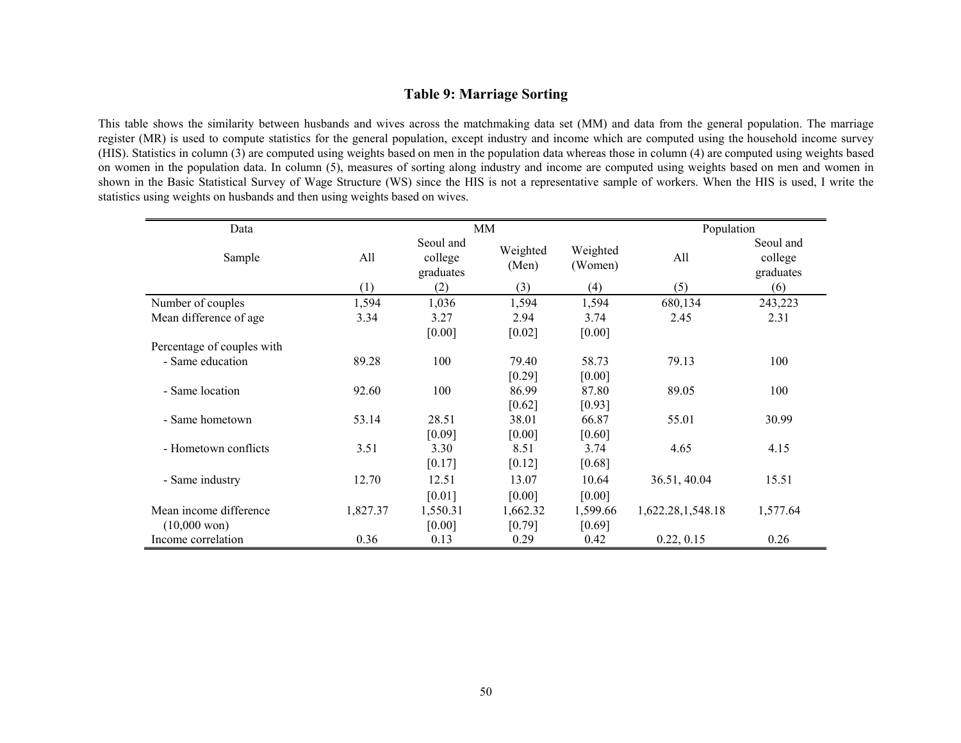# **Table 9: Marriage Sorting**

This table shows the similarity between husbands and wives across the matchmaking data set (MM) and data from the general population. The marriage register (MR) is used to compute statistics for the general population, except industry and income which are computed using the household income survey (HIS). Statistics in column (3) are computed using weights based on men in the population data whereas those in column (4) are computed using weights based on women in the population data. In column (5), measures of sorting along industry and income are computed using weights based on men and women in shown in the Basic Statistical Survey of Wage Structure (WS) since the HIS is not a representative sample of workers. When the HIS is used, I write the statistics using weights on husbands and then using weights based on wives.

| Data                       |          |                                   | MM                |                     | Population        |                                   |
|----------------------------|----------|-----------------------------------|-------------------|---------------------|-------------------|-----------------------------------|
| Sample                     | All      | Seoul and<br>college<br>graduates | Weighted<br>(Men) | Weighted<br>(Women) | All               | Seoul and<br>college<br>graduates |
|                            | (1)      | (2)                               | (3)               | (4)                 | (5)               | (6)                               |
| Number of couples          | 1,594    | 1,036                             | 1,594             | 1,594               | 680,134           | 243,223                           |
| Mean difference of age     | 3.34     | 3.27                              | 2.94              | 3.74                | 2.45              | 2.31                              |
|                            |          | [0.00]                            | [0.02]            | [0.00]              |                   |                                   |
| Percentage of couples with |          |                                   |                   |                     |                   |                                   |
| - Same education           | 89.28    | 100                               | 79.40             | 58.73               | 79.13             | 100                               |
|                            |          |                                   | [0.29]            | [0.00]              |                   |                                   |
| - Same location            | 92.60    | 100                               | 86.99             | 87.80               | 89.05             | 100                               |
|                            |          |                                   | $[0.62]$          | [0.93]              |                   |                                   |
| - Same hometown            | 53.14    | 28.51                             | 38.01             | 66.87               | 55.01             | 30.99                             |
|                            |          | [0.09]                            | [0.00]            | [0.60]              |                   |                                   |
| - Hometown conflicts       | 3.51     | 3.30                              | 8.51              | 3.74                | 4.65              | 4.15                              |
|                            |          | [0.17]                            | [0.12]            | [0.68]              |                   |                                   |
| - Same industry            | 12.70    | 12.51                             | 13.07             | 10.64               | 36.51, 40.04      | 15.51                             |
|                            |          | [0.01]                            | [0.00]            | [0.00]              |                   |                                   |
| Mean income difference     | 1,827.37 | 1,550.31                          | 1,662.32          | 1,599.66            | 1,622.28,1,548.18 | 1,577.64                          |
| $(10,000 \text{ won})$     |          | [0.00]                            | [0.79]            | [0.69]              |                   |                                   |
| Income correlation         | 0.36     | 0.13                              | 0.29              | 0.42                | 0.22, 0.15        | 0.26                              |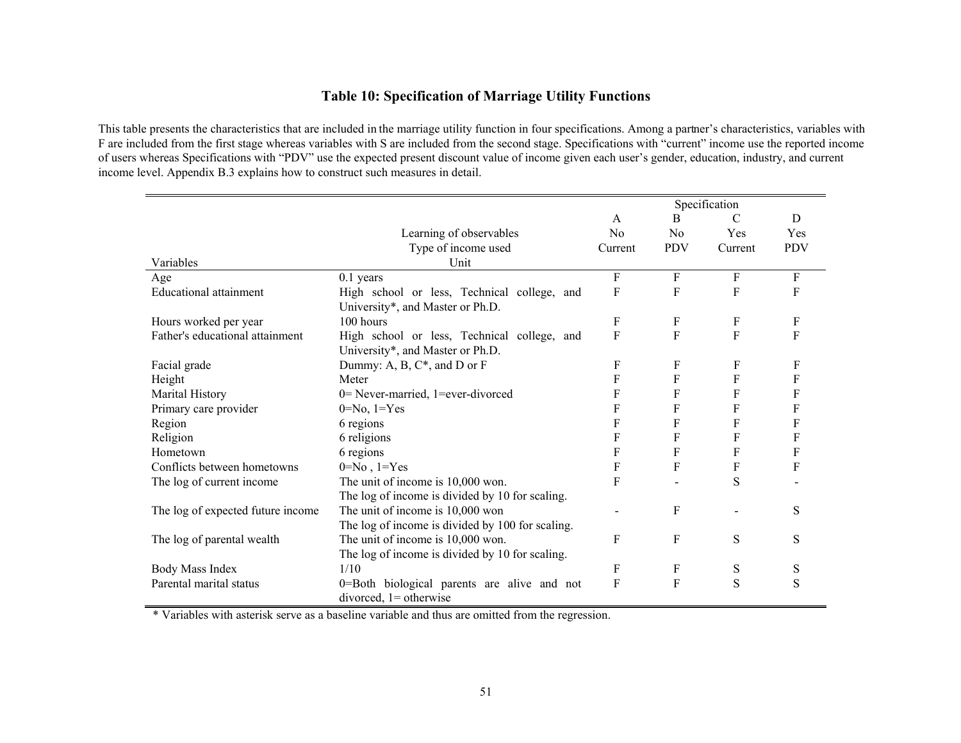# **Table 10: Specification of Marriage Utility Functions**

This table presents the characteristics that are included in the marriage utility function in four specifications. Among a partner's characteristics, variables with F are included from the first stage whereas variables with S are included from the second stage. Specifications with "current" income use the reported income of users whereas Specifications with "PDV" use the expected present discount value of income given each user's gender, education, industry, and current income level. Appendix B.3 explains how to construct such measures in detail.

|                                   |                                                  |                |            | Specification |            |
|-----------------------------------|--------------------------------------------------|----------------|------------|---------------|------------|
|                                   |                                                  | $\mathbf{A}$   | B          | $\mathcal{C}$ | D          |
|                                   | Learning of observables                          | N <sub>0</sub> | No         | Yes           | Yes        |
|                                   | Type of income used                              | Current        | <b>PDV</b> | Current       | <b>PDV</b> |
| Variables                         | Unit                                             |                |            |               |            |
| Age                               | $0.1$ years                                      | F              | F          | F             | F          |
| <b>Educational attainment</b>     | High school or less, Technical college, and      | F              | F          | F             | F          |
|                                   | University*, and Master or Ph.D.                 |                |            |               |            |
| Hours worked per year             | 100 hours                                        | F              | F          | F             | F          |
| Father's educational attainment   | High school or less, Technical college, and      | $\mathbf F$    | F          | F             | F          |
|                                   | University*, and Master or Ph.D.                 |                |            |               |            |
| Facial grade                      | Dummy: A, B, $C^*$ , and D or F                  | F              | F          | F             | F          |
| Height                            | Meter                                            | F              | F          | F             | F          |
| Marital History                   | 0= Never-married, 1=ever-divorced                | F              | F          | F             | F          |
| Primary care provider             | $0 = No$ , $1 = Yes$                             | F              | F          | F             | F          |
| Region                            | 6 regions                                        | F              | F          | F             | F          |
| Religion                          | 6 religions                                      | F              | F          | F             | F          |
| Hometown                          | 6 regions                                        | F              | F          | F             | F          |
| Conflicts between hometowns       | $0 = No$ , $1 = Yes$                             | F              | F          | F             | F          |
| The log of current income         | The unit of income is 10,000 won.                | $\overline{F}$ |            | S             |            |
|                                   | The log of income is divided by 10 for scaling.  |                |            |               |            |
| The log of expected future income | The unit of income is 10,000 won                 |                | F          |               | S          |
|                                   | The log of income is divided by 100 for scaling. |                |            |               |            |
| The log of parental wealth        | The unit of income is 10,000 won.                | F              | F          | S             | S          |
|                                   | The log of income is divided by 10 for scaling.  |                |            |               |            |
| Body Mass Index                   | 1/10                                             | F              | F          | S             | S          |
| Parental marital status           | 0=Both biological parents are alive and not      | $\mathbf F$    | F          | S             | S          |
|                                   | divorced, $1 =$ otherwise                        |                |            |               |            |

\* Variables with asterisk serve as a baseline variable and thus are omitted from the regression.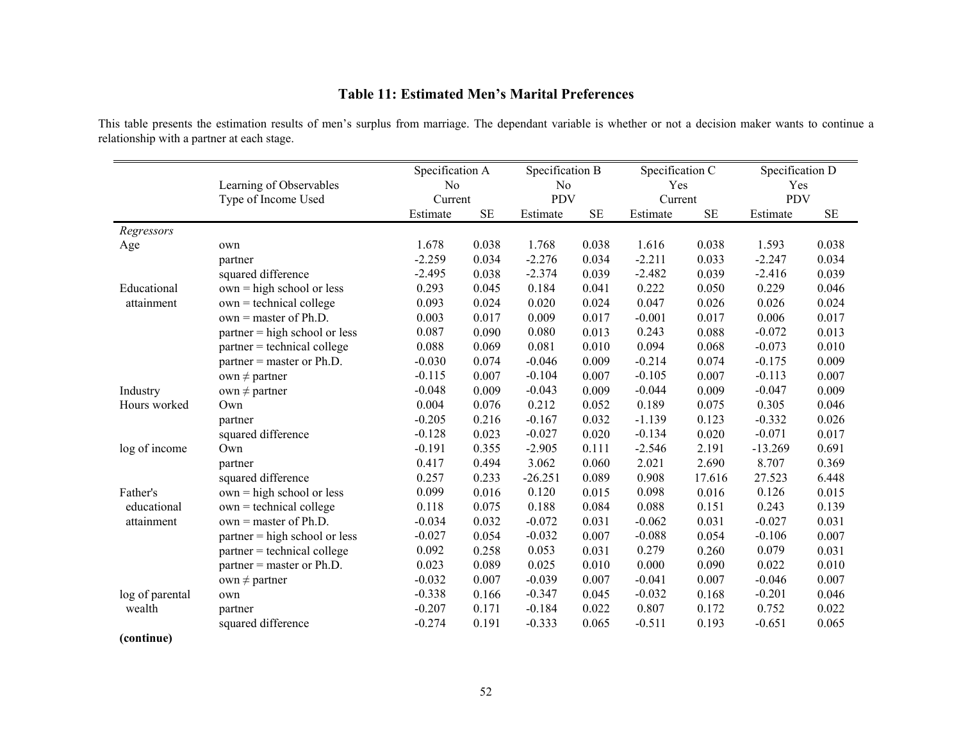# **Table 11: Estimated Men's Marital Preferences**

This table presents the estimation results of men's surplus from marriage. The dependant variable is whether or not a decision maker wants to continue a relationship with a partner at each stage.

|                 |                                 | Specification A |           | Specification B |           | Specification C |           | Specification D |           |
|-----------------|---------------------------------|-----------------|-----------|-----------------|-----------|-----------------|-----------|-----------------|-----------|
|                 | Learning of Observables         | No              |           | N <sub>0</sub>  |           | Yes             |           | Yes             |           |
|                 | Type of Income Used             | Current         |           | <b>PDV</b>      |           | Current         |           | <b>PDV</b>      |           |
|                 |                                 | Estimate        | <b>SE</b> | Estimate        | <b>SE</b> | Estimate        | <b>SE</b> | Estimate        | <b>SE</b> |
| Regressors      |                                 |                 |           |                 |           |                 |           |                 |           |
| Age             | own                             | 1.678           | 0.038     | 1.768           | 0.038     | 1.616           | 0.038     | 1.593           | 0.038     |
|                 | partner                         | $-2.259$        | 0.034     | $-2.276$        | 0.034     | $-2.211$        | 0.033     | $-2.247$        | 0.034     |
|                 | squared difference              | $-2.495$        | 0.038     | $-2.374$        | 0.039     | $-2.482$        | 0.039     | $-2.416$        | 0.039     |
| Educational     | $own = high school or less$     | 0.293           | 0.045     | 0.184           | 0.041     | 0.222           | 0.050     | 0.229           | 0.046     |
| attainment      | $own = technical college$       | 0.093           | 0.024     | 0.020           | 0.024     | 0.047           | 0.026     | 0.026           | 0.024     |
|                 | $own = master of Ph.D.$         | 0.003           | 0.017     | 0.009           | 0.017     | $-0.001$        | 0.017     | 0.006           | 0.017     |
|                 | $partner = high school or less$ | 0.087           | 0.090     | 0.080           | 0.013     | 0.243           | 0.088     | $-0.072$        | 0.013     |
|                 | $partner = technical college$   | 0.088           | 0.069     | 0.081           | 0.010     | 0.094           | 0.068     | $-0.073$        | 0.010     |
|                 | $partner = master$ or $Ph.D.$   | $-0.030$        | 0.074     | $-0.046$        | 0.009     | $-0.214$        | 0.074     | $-0.175$        | 0.009     |
|                 | own $\neq$ partner              | $-0.115$        | 0.007     | $-0.104$        | 0.007     | $-0.105$        | 0.007     | $-0.113$        | 0.007     |
| Industry        | own $\neq$ partner              | $-0.048$        | 0.009     | $-0.043$        | 0.009     | $-0.044$        | 0.009     | $-0.047$        | 0.009     |
| Hours worked    | Own                             | 0.004           | 0.076     | 0.212           | 0.052     | 0.189           | 0.075     | 0.305           | 0.046     |
|                 | partner                         | $-0.205$        | 0.216     | $-0.167$        | 0.032     | $-1.139$        | 0.123     | $-0.332$        | 0.026     |
|                 | squared difference              | $-0.128$        | 0.023     | $-0.027$        | 0.020     | $-0.134$        | 0.020     | $-0.071$        | 0.017     |
| log of income   | Own                             | $-0.191$        | 0.355     | $-2.905$        | 0.111     | $-2.546$        | 2.191     | $-13.269$       | 0.691     |
|                 | partner                         | 0.417           | 0.494     | 3.062           | 0.060     | 2.021           | 2.690     | 8.707           | 0.369     |
|                 | squared difference              | 0.257           | 0.233     | $-26.251$       | 0.089     | 0.908           | 17.616    | 27.523          | 6.448     |
| Father's        | $own = high school or less$     | 0.099           | 0.016     | 0.120           | 0.015     | 0.098           | 0.016     | 0.126           | 0.015     |
| educational     | $own = technical college$       | 0.118           | 0.075     | 0.188           | 0.084     | 0.088           | 0.151     | 0.243           | 0.139     |
| attainment      | $own = master of Ph.D.$         | $-0.034$        | 0.032     | $-0.072$        | 0.031     | $-0.062$        | 0.031     | $-0.027$        | 0.031     |
|                 | $partner = high school or less$ | $-0.027$        | 0.054     | $-0.032$        | 0.007     | $-0.088$        | 0.054     | $-0.106$        | 0.007     |
|                 | partner = technical college     | 0.092           | 0.258     | 0.053           | 0.031     | 0.279           | 0.260     | 0.079           | 0.031     |
|                 | $partner = master$ or $Ph.D.$   | 0.023           | 0.089     | 0.025           | 0.010     | 0.000           | 0.090     | 0.022           | 0.010     |
|                 | own $\neq$ partner              | $-0.032$        | 0.007     | $-0.039$        | 0.007     | $-0.041$        | 0.007     | $-0.046$        | 0.007     |
| log of parental | own                             | $-0.338$        | 0.166     | $-0.347$        | 0.045     | $-0.032$        | 0.168     | $-0.201$        | 0.046     |
| wealth          | partner                         | $-0.207$        | 0.171     | $-0.184$        | 0.022     | 0.807           | 0.172     | 0.752           | 0.022     |
|                 | squared difference              | $-0.274$        | 0.191     | $-0.333$        | 0.065     | $-0.511$        | 0.193     | $-0.651$        | 0.065     |
| (continue)      |                                 |                 |           |                 |           |                 |           |                 |           |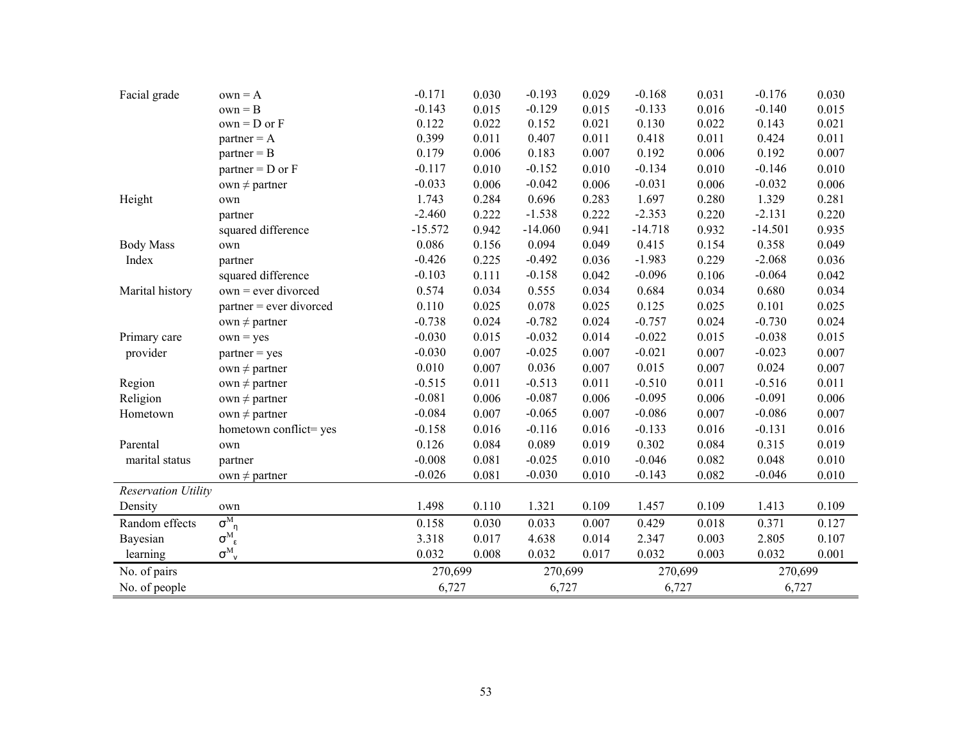| Facial grade               | $own = A$                                                              | $-0.171$  | 0.030 | $-0.193$  | 0.029 | $-0.168$  | 0.031 | $-0.176$  | 0.030 |
|----------------------------|------------------------------------------------------------------------|-----------|-------|-----------|-------|-----------|-------|-----------|-------|
|                            | $own = B$                                                              | $-0.143$  | 0.015 | $-0.129$  | 0.015 | $-0.133$  | 0.016 | $-0.140$  | 0.015 |
|                            | $own = D$ or $F$                                                       | 0.122     | 0.022 | 0.152     | 0.021 | 0.130     | 0.022 | 0.143     | 0.021 |
|                            | $partner = A$                                                          | 0.399     | 0.011 | 0.407     | 0.011 | 0.418     | 0.011 | 0.424     | 0.011 |
|                            | $partner = B$                                                          | 0.179     | 0.006 | 0.183     | 0.007 | 0.192     | 0.006 | 0.192     | 0.007 |
|                            | $partner = D$ or $F$                                                   | $-0.117$  | 0.010 | $-0.152$  | 0.010 | $-0.134$  | 0.010 | $-0.146$  | 0.010 |
|                            | own $\neq$ partner                                                     | $-0.033$  | 0.006 | $-0.042$  | 0.006 | $-0.031$  | 0.006 | $-0.032$  | 0.006 |
| Height                     | own                                                                    | 1.743     | 0.284 | 0.696     | 0.283 | 1.697     | 0.280 | 1.329     | 0.281 |
|                            | partner                                                                | $-2.460$  | 0.222 | $-1.538$  | 0.222 | $-2.353$  | 0.220 | $-2.131$  | 0.220 |
|                            | squared difference                                                     | $-15.572$ | 0.942 | $-14.060$ | 0.941 | $-14.718$ | 0.932 | $-14.501$ | 0.935 |
| <b>Body Mass</b>           | own                                                                    | 0.086     | 0.156 | 0.094     | 0.049 | 0.415     | 0.154 | 0.358     | 0.049 |
| Index                      | partner                                                                | $-0.426$  | 0.225 | $-0.492$  | 0.036 | $-1.983$  | 0.229 | $-2.068$  | 0.036 |
|                            | squared difference                                                     | $-0.103$  | 0.111 | $-0.158$  | 0.042 | $-0.096$  | 0.106 | $-0.064$  | 0.042 |
| Marital history            | $own = ever$ divorced                                                  | 0.574     | 0.034 | 0.555     | 0.034 | 0.684     | 0.034 | 0.680     | 0.034 |
|                            | $partner = ever$ divorced                                              | 0.110     | 0.025 | 0.078     | 0.025 | 0.125     | 0.025 | 0.101     | 0.025 |
|                            | own $\neq$ partner                                                     | $-0.738$  | 0.024 | $-0.782$  | 0.024 | $-0.757$  | 0.024 | $-0.730$  | 0.024 |
| Primary care               | $own = yes$                                                            | $-0.030$  | 0.015 | $-0.032$  | 0.014 | $-0.022$  | 0.015 | $-0.038$  | 0.015 |
| provider                   | $partner = yes$                                                        | $-0.030$  | 0.007 | $-0.025$  | 0.007 | $-0.021$  | 0.007 | $-0.023$  | 0.007 |
|                            | own $\neq$ partner                                                     | 0.010     | 0.007 | 0.036     | 0.007 | 0.015     | 0.007 | 0.024     | 0.007 |
| Region                     | own $\neq$ partner                                                     | $-0.515$  | 0.011 | $-0.513$  | 0.011 | $-0.510$  | 0.011 | $-0.516$  | 0.011 |
| Religion                   | own $\neq$ partner                                                     | $-0.081$  | 0.006 | $-0.087$  | 0.006 | $-0.095$  | 0.006 | $-0.091$  | 0.006 |
| Hometown                   | $own \neq partner$                                                     | $-0.084$  | 0.007 | $-0.065$  | 0.007 | $-0.086$  | 0.007 | $-0.086$  | 0.007 |
|                            | hometown conflict= yes                                                 | $-0.158$  | 0.016 | $-0.116$  | 0.016 | $-0.133$  | 0.016 | $-0.131$  | 0.016 |
| Parental                   | own                                                                    | 0.126     | 0.084 | 0.089     | 0.019 | 0.302     | 0.084 | 0.315     | 0.019 |
| marital status             | partner                                                                | $-0.008$  | 0.081 | $-0.025$  | 0.010 | $-0.046$  | 0.082 | 0.048     | 0.010 |
|                            | own $\neq$ partner                                                     | $-0.026$  | 0.081 | $-0.030$  | 0.010 | $-0.143$  | 0.082 | $-0.046$  | 0.010 |
| <b>Reservation Utility</b> |                                                                        |           |       |           |       |           |       |           |       |
| Density                    | own                                                                    | 1.498     | 0.110 | 1.321     | 0.109 | 1.457     | 0.109 | 1.413     | 0.109 |
| Random effects             | $\overline{\sigma^{\scriptscriptstyle{{\rm M}}}}_{\eta}$               | 0.158     | 0.030 | 0.033     | 0.007 | 0.429     | 0.018 | 0.371     | 0.127 |
| Bayesian                   | $\sigma^{\scriptscriptstyle{{\rm M}}}_{\ \ \epsilon}$                  | 3.318     | 0.017 | 4.638     | 0.014 | 2.347     | 0.003 | 2.805     | 0.107 |
| learning                   | $\sigma^{\scriptscriptstyle{{\rm M}}}_{\ \ \scriptscriptstyle{\rm V}}$ | 0.032     | 0.008 | 0.032     | 0.017 | 0.032     | 0.003 | 0.032     | 0.001 |
| No. of pairs               |                                                                        | 270,699   |       | 270,699   |       | 270,699   |       | 270,699   |       |
| No. of people              |                                                                        | 6,727     |       | 6,727     |       | 6,727     |       | 6,727     |       |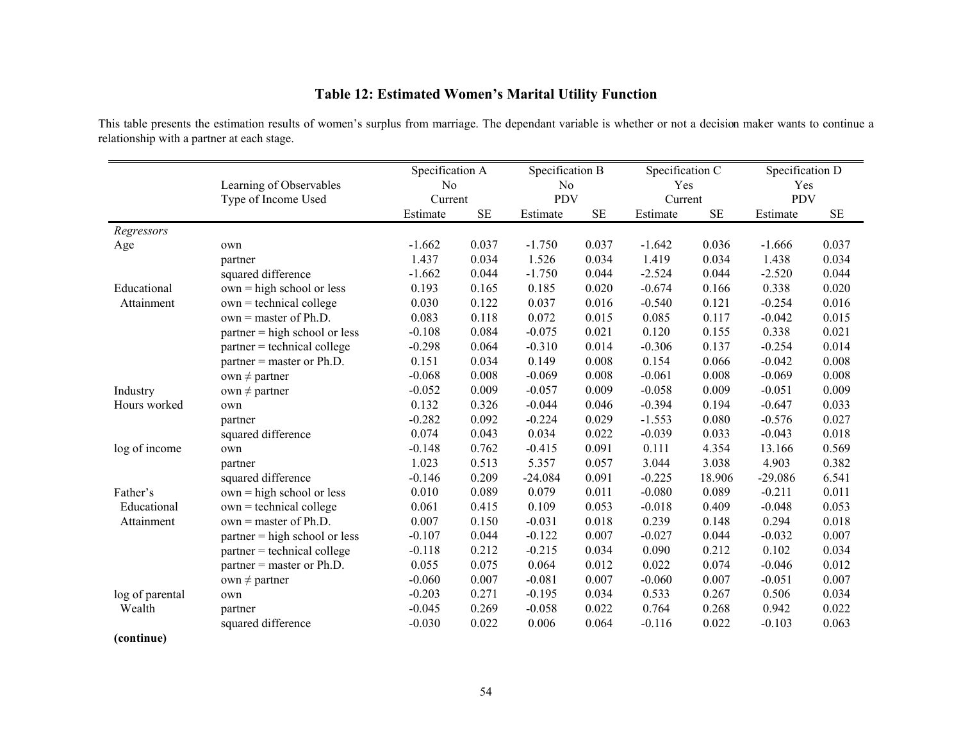# **Table 12: Estimated Women's Marital Utility Function**

This table presents the estimation results of women's surplus from marriage. The dependant variable is whether or not a decision maker wants to continue a relationship with a partner at each stage.

|                 |                                 | Specification A |          | Specification B |           | Specification C |           | Specification D |          |
|-----------------|---------------------------------|-----------------|----------|-----------------|-----------|-----------------|-----------|-----------------|----------|
|                 | Learning of Observables         | No              |          | N <sub>0</sub>  |           | Yes             |           | Yes             |          |
|                 | Type of Income Used             | Current         |          | <b>PDV</b>      |           | Current         |           | <b>PDV</b>      |          |
|                 |                                 | Estimate        | $\rm SE$ | Estimate        | <b>SE</b> | Estimate        | <b>SE</b> | Estimate        | $\rm SE$ |
| Regressors      |                                 |                 |          |                 |           |                 |           |                 |          |
| Age             | own                             | $-1.662$        | 0.037    | $-1.750$        | 0.037     | $-1.642$        | 0.036     | $-1.666$        | 0.037    |
|                 | partner                         | 1.437           | 0.034    | 1.526           | 0.034     | 1.419           | 0.034     | 1.438           | 0.034    |
|                 | squared difference              | $-1.662$        | 0.044    | $-1.750$        | 0.044     | $-2.524$        | 0.044     | $-2.520$        | 0.044    |
| Educational     | $own = high school or less$     | 0.193           | 0.165    | 0.185           | 0.020     | $-0.674$        | 0.166     | 0.338           | 0.020    |
| Attainment      | $own = technical college$       | 0.030           | 0.122    | 0.037           | 0.016     | $-0.540$        | 0.121     | $-0.254$        | 0.016    |
|                 | $own = master of Ph.D.$         | 0.083           | 0.118    | 0.072           | 0.015     | 0.085           | 0.117     | $-0.042$        | 0.015    |
|                 | $partner = high school or less$ | $-0.108$        | 0.084    | $-0.075$        | 0.021     | 0.120           | 0.155     | 0.338           | 0.021    |
|                 | partner = technical college     | $-0.298$        | 0.064    | $-0.310$        | 0.014     | $-0.306$        | 0.137     | $-0.254$        | 0.014    |
|                 | $partner = master$ or $Ph.D.$   | 0.151           | 0.034    | 0.149           | 0.008     | 0.154           | 0.066     | $-0.042$        | 0.008    |
|                 | own $\neq$ partner              | $-0.068$        | 0.008    | $-0.069$        | 0.008     | $-0.061$        | 0.008     | $-0.069$        | 0.008    |
| Industry        | $own \neq partner$              | $-0.052$        | 0.009    | $-0.057$        | 0.009     | $-0.058$        | 0.009     | $-0.051$        | 0.009    |
| Hours worked    | own                             | 0.132           | 0.326    | $-0.044$        | 0.046     | $-0.394$        | 0.194     | $-0.647$        | 0.033    |
|                 | partner                         | $-0.282$        | 0.092    | $-0.224$        | 0.029     | $-1.553$        | 0.080     | $-0.576$        | 0.027    |
|                 | squared difference              | 0.074           | 0.043    | 0.034           | 0.022     | $-0.039$        | 0.033     | $-0.043$        | 0.018    |
| log of income   | own                             | $-0.148$        | 0.762    | $-0.415$        | 0.091     | 0.111           | 4.354     | 13.166          | 0.569    |
|                 | partner                         | 1.023           | 0.513    | 5.357           | 0.057     | 3.044           | 3.038     | 4.903           | 0.382    |
|                 | squared difference              | $-0.146$        | 0.209    | $-24.084$       | 0.091     | $-0.225$        | 18.906    | $-29.086$       | 6.541    |
| Father's        | $own = high school or less$     | 0.010           | 0.089    | 0.079           | 0.011     | $-0.080$        | 0.089     | $-0.211$        | 0.011    |
| Educational     | $own = technical college$       | 0.061           | 0.415    | 0.109           | 0.053     | $-0.018$        | 0.409     | $-0.048$        | 0.053    |
| Attainment      | $own = master of Ph.D.$         | 0.007           | 0.150    | $-0.031$        | 0.018     | 0.239           | 0.148     | 0.294           | 0.018    |
|                 | $partner = high school or less$ | $-0.107$        | 0.044    | $-0.122$        | 0.007     | $-0.027$        | 0.044     | $-0.032$        | 0.007    |
|                 | $partner = technical college$   | $-0.118$        | 0.212    | $-0.215$        | 0.034     | 0.090           | 0.212     | 0.102           | 0.034    |
|                 | $partner = master$ or $Ph.D.$   | 0.055           | 0.075    | 0.064           | 0.012     | 0.022           | 0.074     | $-0.046$        | 0.012    |
|                 | own $\neq$ partner              | $-0.060$        | 0.007    | $-0.081$        | 0.007     | $-0.060$        | 0.007     | $-0.051$        | 0.007    |
| log of parental | own                             | $-0.203$        | 0.271    | $-0.195$        | 0.034     | 0.533           | 0.267     | 0.506           | 0.034    |
| Wealth          | partner                         | $-0.045$        | 0.269    | $-0.058$        | 0.022     | 0.764           | 0.268     | 0.942           | 0.022    |
|                 | squared difference              | $-0.030$        | 0.022    | 0.006           | 0.064     | $-0.116$        | 0.022     | $-0.103$        | 0.063    |
| (continue)      |                                 |                 |          |                 |           |                 |           |                 |          |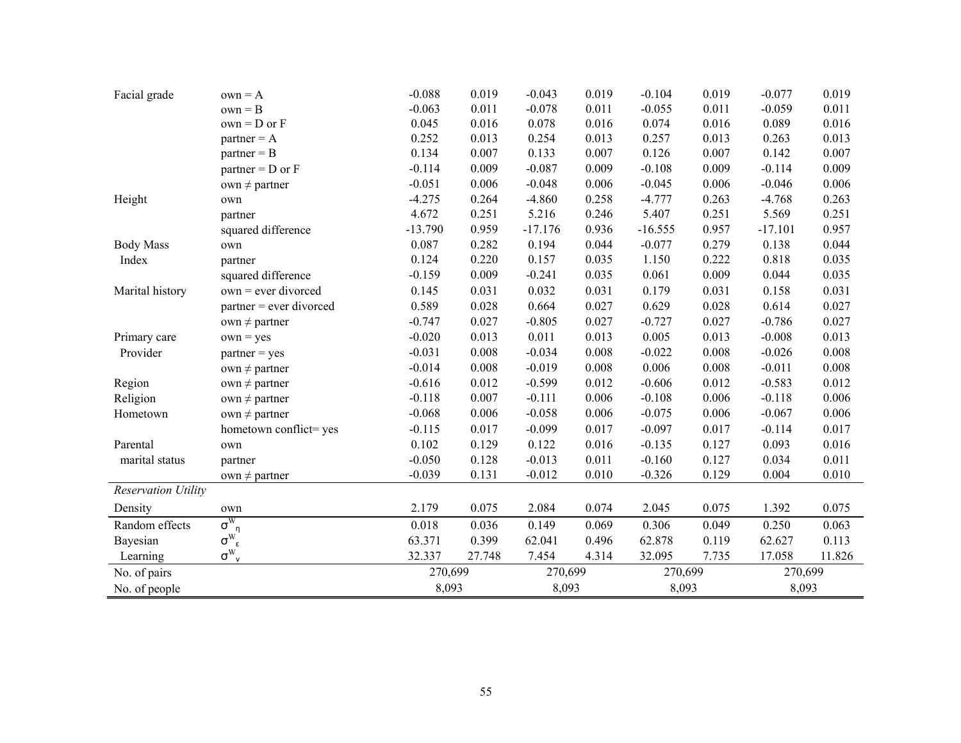| Facial grade               | $own = A$                                      | $-0.088$  | 0.019  | $-0.043$  | 0.019 | $-0.104$  | 0.019 | $-0.077$  | 0.019  |
|----------------------------|------------------------------------------------|-----------|--------|-----------|-------|-----------|-------|-----------|--------|
|                            | $own = B$                                      | $-0.063$  | 0.011  | $-0.078$  | 0.011 | $-0.055$  | 0.011 | $-0.059$  | 0.011  |
|                            | $own = D$ or $F$                               | 0.045     | 0.016  | 0.078     | 0.016 | 0.074     | 0.016 | 0.089     | 0.016  |
|                            | $partner = A$                                  | 0.252     | 0.013  | 0.254     | 0.013 | 0.257     | 0.013 | 0.263     | 0.013  |
|                            | $partner = B$                                  | 0.134     | 0.007  | 0.133     | 0.007 | 0.126     | 0.007 | 0.142     | 0.007  |
|                            | $partner = D$ or $F$                           | $-0.114$  | 0.009  | $-0.087$  | 0.009 | $-0.108$  | 0.009 | $-0.114$  | 0.009  |
|                            | own $\neq$ partner                             | $-0.051$  | 0.006  | $-0.048$  | 0.006 | $-0.045$  | 0.006 | $-0.046$  | 0.006  |
| Height                     | own                                            | $-4.275$  | 0.264  | $-4.860$  | 0.258 | $-4.777$  | 0.263 | $-4.768$  | 0.263  |
|                            | partner                                        | 4.672     | 0.251  | 5.216     | 0.246 | 5.407     | 0.251 | 5.569     | 0.251  |
|                            | squared difference                             | $-13.790$ | 0.959  | $-17.176$ | 0.936 | $-16.555$ | 0.957 | $-17.101$ | 0.957  |
| <b>Body Mass</b>           | own                                            | 0.087     | 0.282  | 0.194     | 0.044 | $-0.077$  | 0.279 | 0.138     | 0.044  |
| Index                      | partner                                        | 0.124     | 0.220  | 0.157     | 0.035 | 1.150     | 0.222 | 0.818     | 0.035  |
|                            | squared difference                             | $-0.159$  | 0.009  | $-0.241$  | 0.035 | 0.061     | 0.009 | 0.044     | 0.035  |
| Marital history            | $own = ever$ divorced                          | 0.145     | 0.031  | 0.032     | 0.031 | 0.179     | 0.031 | 0.158     | 0.031  |
|                            | $partner = ever$ divorced                      | 0.589     | 0.028  | 0.664     | 0.027 | 0.629     | 0.028 | 0.614     | 0.027  |
|                            | own $\neq$ partner                             | $-0.747$  | 0.027  | $-0.805$  | 0.027 | $-0.727$  | 0.027 | $-0.786$  | 0.027  |
| Primary care               | $own = yes$                                    | $-0.020$  | 0.013  | 0.011     | 0.013 | 0.005     | 0.013 | $-0.008$  | 0.013  |
| Provider                   | $partner = yes$                                | $-0.031$  | 0.008  | $-0.034$  | 0.008 | $-0.022$  | 0.008 | $-0.026$  | 0.008  |
|                            | own $\neq$ partner                             | $-0.014$  | 0.008  | $-0.019$  | 0.008 | 0.006     | 0.008 | $-0.011$  | 0.008  |
| Region                     | own $\neq$ partner                             | $-0.616$  | 0.012  | $-0.599$  | 0.012 | $-0.606$  | 0.012 | $-0.583$  | 0.012  |
| Religion                   | own $\neq$ partner                             | $-0.118$  | 0.007  | $-0.111$  | 0.006 | $-0.108$  | 0.006 | $-0.118$  | 0.006  |
| Hometown                   | own $\neq$ partner                             | $-0.068$  | 0.006  | $-0.058$  | 0.006 | $-0.075$  | 0.006 | $-0.067$  | 0.006  |
|                            | hometown conflict=yes                          | $-0.115$  | 0.017  | $-0.099$  | 0.017 | $-0.097$  | 0.017 | $-0.114$  | 0.017  |
| Parental                   | own                                            | 0.102     | 0.129  | 0.122     | 0.016 | $-0.135$  | 0.127 | 0.093     | 0.016  |
| marital status             | partner                                        | $-0.050$  | 0.128  | $-0.013$  | 0.011 | $-0.160$  | 0.127 | 0.034     | 0.011  |
|                            | own $\neq$ partner                             | $-0.039$  | 0.131  | $-0.012$  | 0.010 | $-0.326$  | 0.129 | 0.004     | 0.010  |
| <b>Reservation Utility</b> |                                                |           |        |           |       |           |       |           |        |
| Density                    | own                                            | 2.179     | 0.075  | 2.084     | 0.074 | 2.045     | 0.075 | 1.392     | 0.075  |
| Random effects             | $\sigma^{\rm w}$<br>n                          | 0.018     | 0.036  | 0.149     | 0.069 | 0.306     | 0.049 | 0.250     | 0.063  |
| Bayesian                   | $\sigma^{\scriptscriptstyle W}_{\ \ \epsilon}$ | 63.371    | 0.399  | 62.041    | 0.496 | 62.878    | 0.119 | 62.627    | 0.113  |
| Learning                   | $\sigma^{\rm w}$<br>$\mathsf{v}$               | 32.337    | 27.748 | 7.454     | 4.314 | 32.095    | 7.735 | 17.058    | 11.826 |
| No. of pairs               |                                                | 270,699   |        | 270,699   |       | 270,699   |       | 270,699   |        |
| No. of people              |                                                | 8,093     |        | 8,093     |       | 8,093     |       | 8,093     |        |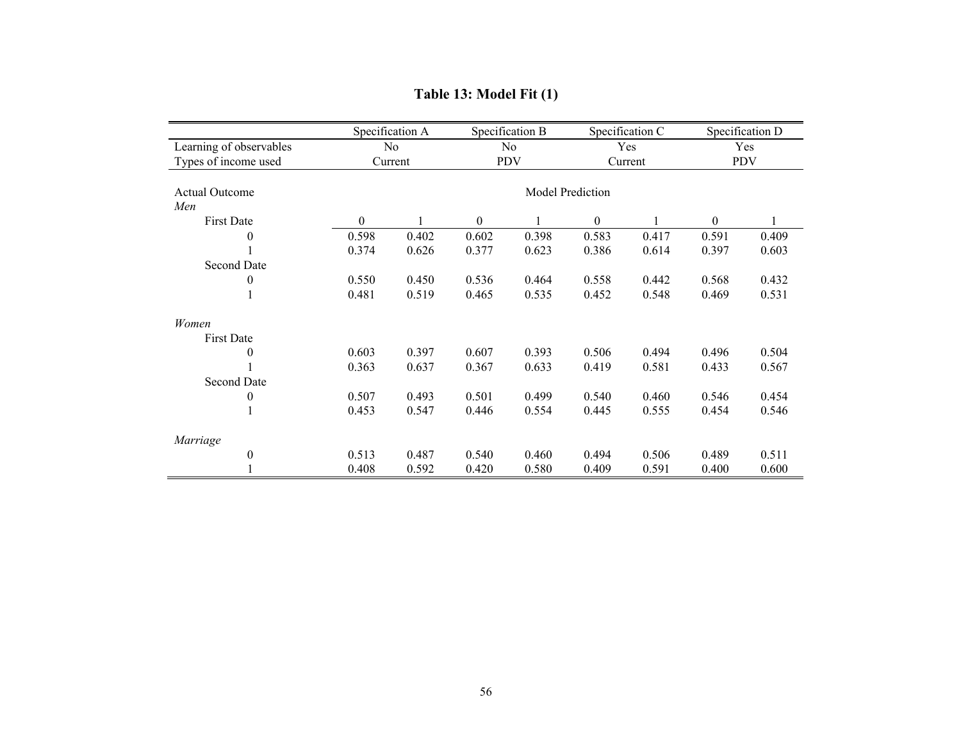|                            |          | Specification A |                  | Specification B |                  | Specification C |          | Specification D |  |  |
|----------------------------|----------|-----------------|------------------|-----------------|------------------|-----------------|----------|-----------------|--|--|
| Learning of observables    |          | No              |                  | No              |                  | Yes             |          | Yes             |  |  |
| Types of income used       |          | Current         | <b>PDV</b>       |                 |                  | Current         |          | <b>PDV</b>      |  |  |
|                            |          |                 |                  |                 |                  |                 |          |                 |  |  |
| <b>Actual Outcome</b>      |          |                 | Model Prediction |                 |                  |                 |          |                 |  |  |
| Men                        |          |                 |                  |                 |                  |                 |          |                 |  |  |
| <b>First Date</b>          | $\theta$ |                 | $\Omega$         |                 | $\boldsymbol{0}$ |                 | $\theta$ |                 |  |  |
| $\overline{0}$             | 0.598    | 0.402           | 0.602            | 0.398           | 0.583            | 0.417           | 0.591    | 0.409           |  |  |
|                            | 0.374    | 0.626           | 0.377            | 0.623           | 0.386            | 0.614           | 0.397    | 0.603           |  |  |
| <b>Second Date</b>         |          |                 |                  |                 |                  |                 |          |                 |  |  |
| 0                          | 0.550    | 0.450           | 0.536            | 0.464           | 0.558            | 0.442           | 0.568    | 0.432           |  |  |
|                            | 0.481    | 0.519           | 0.465            | 0.535           | 0.452            | 0.548           | 0.469    | 0.531           |  |  |
| Women                      |          |                 |                  |                 |                  |                 |          |                 |  |  |
| <b>First Date</b>          |          |                 |                  |                 |                  |                 |          |                 |  |  |
| $\overline{0}$             | 0.603    | 0.397           | 0.607            | 0.393           | 0.506            | 0.494           | 0.496    | 0.504           |  |  |
|                            | 0.363    | 0.637           | 0.367            | 0.633           | 0.419            | 0.581           | 0.433    | 0.567           |  |  |
| <b>Second Date</b>         |          |                 |                  |                 |                  |                 |          |                 |  |  |
| 0                          | 0.507    | 0.493           | 0.501            | 0.499           | 0.540            | 0.460           | 0.546    | 0.454           |  |  |
|                            | 0.453    | 0.547           | 0.446            | 0.554           | 0.445            | 0.555           | 0.454    | 0.546           |  |  |
|                            |          |                 |                  |                 |                  |                 |          |                 |  |  |
| Marriage<br>$\overline{0}$ | 0.513    | 0.487           | 0.540            | 0.460           | 0.494            | 0.506           | 0.489    | 0.511           |  |  |
|                            | 0.408    | 0.592           | 0.420            | 0.580           | 0.409            | 0.591           | 0.400    | 0.600           |  |  |
|                            |          |                 |                  |                 |                  |                 |          |                 |  |  |

# **Table 13: Model Fit (1)**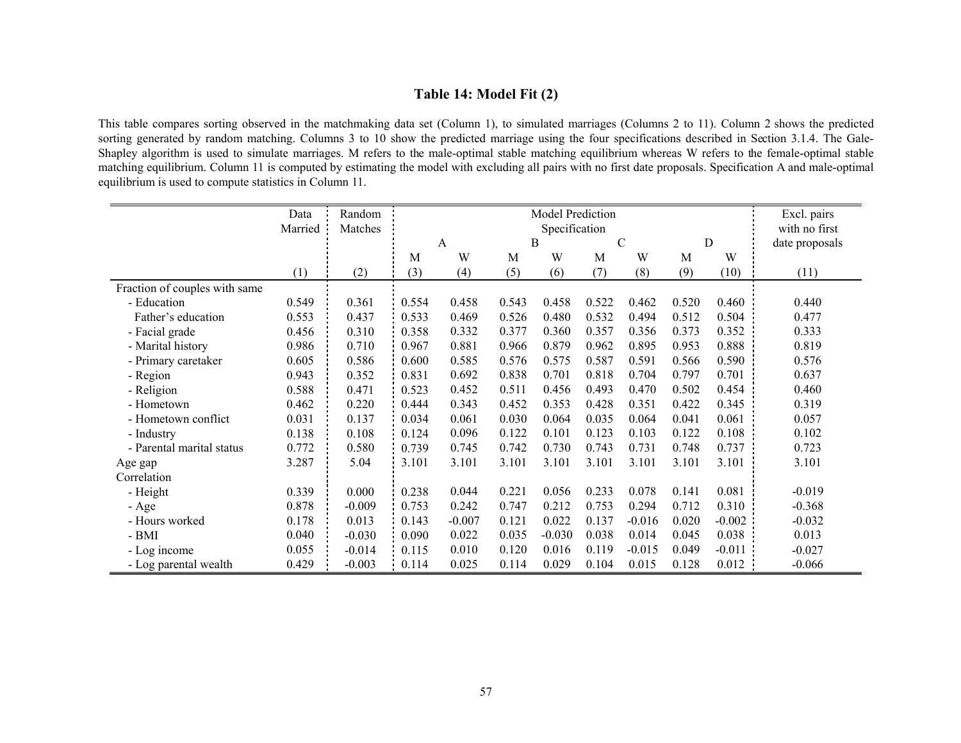## **Table 14: Model Fit (2)**

This table compares sorting observed in the matchmaking data set (Column 1), to simulated marriages (Columns 2 to 11). Column 2 shows the predicted sorting generated by random matching. Columns 3 to 10 show the predicted marriage using the four specifications described in Section 3.1.4. The Gale-Shapley algorithm is used to simulate marriages. M refers to the male-optimal stable matching equilibrium whereas W refers to the female-optimal stable matching equilibrium. Column 11 is computed by estimating the model with excluding all pairs with no first date proposals. Specification A and male-optimal equilibrium is used to compute statistics in Column 11.

|                               | Data    | Random   |       |          |       | Excl. pairs   |       |               |       |          |                |
|-------------------------------|---------|----------|-------|----------|-------|---------------|-------|---------------|-------|----------|----------------|
|                               | Married | Matches  |       |          |       | Specification |       |               |       |          | with no first  |
|                               |         |          |       | A        |       | B             |       | $\mathcal{C}$ |       | D        | date proposals |
|                               |         |          | М     | W        | M     | W             | M     | W             | M     | W        |                |
|                               | (1)     | (2)      | (3)   | (4)      | (5)   | (6)           | (7)   | (8)           | (9)   | (10)     | (11)           |
| Fraction of couples with same |         |          |       |          |       |               |       |               |       |          |                |
| - Education                   | 0.549   | 0.361    | 0.554 | 0.458    | 0.543 | 0.458         | 0.522 | 0.462         | 0.520 | 0.460    | 0.440          |
| Father's education            | 0.553   | 0.437    | 0.533 | 0.469    | 0.526 | 0.480         | 0.532 | 0.494         | 0.512 | 0.504    | 0.477          |
| - Facial grade                | 0.456   | 0.310    | 0.358 | 0.332    | 0.377 | 0.360         | 0.357 | 0.356         | 0.373 | 0.352    | 0.333          |
| - Marital history             | 0.986   | 0.710    | 0.967 | 0.881    | 0.966 | 0.879         | 0.962 | 0.895         | 0.953 | 0.888    | 0.819          |
| - Primary caretaker           | 0.605   | 0.586    | 0.600 | 0.585    | 0.576 | 0.575         | 0.587 | 0.591         | 0.566 | 0.590    | 0.576          |
| - Region                      | 0.943   | 0.352    | 0.831 | 0.692    | 0.838 | 0.701         | 0.818 | 0.704         | 0.797 | 0.701    | 0.637          |
| - Religion                    | 0.588   | 0.471    | 0.523 | 0.452    | 0.511 | 0.456         | 0.493 | 0.470         | 0.502 | 0.454    | 0.460          |
| - Hometown                    | 0.462   | 0.220    | 0.444 | 0.343    | 0.452 | 0.353         | 0.428 | 0.351         | 0.422 | 0.345    | 0.319          |
| - Hometown conflict           | 0.031   | 0.137    | 0.034 | 0.061    | 0.030 | 0.064         | 0.035 | 0.064         | 0.041 | 0.061    | 0.057          |
| - Industry                    | 0.138   | 0.108    | 0.124 | 0.096    | 0.122 | 0.101         | 0.123 | 0.103         | 0.122 | 0.108    | 0.102          |
| - Parental marital status     | 0.772   | 0.580    | 0.739 | 0.745    | 0.742 | 0.730         | 0.743 | 0.731         | 0.748 | 0.737    | 0.723          |
| Age gap                       | 3.287   | 5.04     | 3.101 | 3.101    | 3.101 | 3.101         | 3.101 | 3.101         | 3.101 | 3.101    | 3.101          |
| Correlation                   |         |          |       |          |       |               |       |               |       |          |                |
| - Height                      | 0.339   | 0.000    | 0.238 | 0.044    | 0.221 | 0.056         | 0.233 | 0.078         | 0.141 | 0.081    | $-0.019$       |
| - Age                         | 0.878   | $-0.009$ | 0.753 | 0.242    | 0.747 | 0.212         | 0.753 | 0.294         | 0.712 | 0.310    | $-0.368$       |
| - Hours worked                | 0.178   | 0.013    | 0.143 | $-0.007$ | 0.121 | 0.022         | 0.137 | $-0.016$      | 0.020 | $-0.002$ | $-0.032$       |
| - BMI                         | 0.040   | $-0.030$ | 0.090 | 0.022    | 0.035 | $-0.030$      | 0.038 | 0.014         | 0.045 | 0.038    | 0.013          |
| - Log income                  | 0.055   | $-0.014$ | 0.115 | 0.010    | 0.120 | 0.016         | 0.119 | $-0.015$      | 0.049 | $-0.011$ | $-0.027$       |
| - Log parental wealth         | 0.429   | $-0.003$ | 0.114 | 0.025    | 0.114 | 0.029         | 0.104 | 0.015         | 0.128 | 0.012    | $-0.066$       |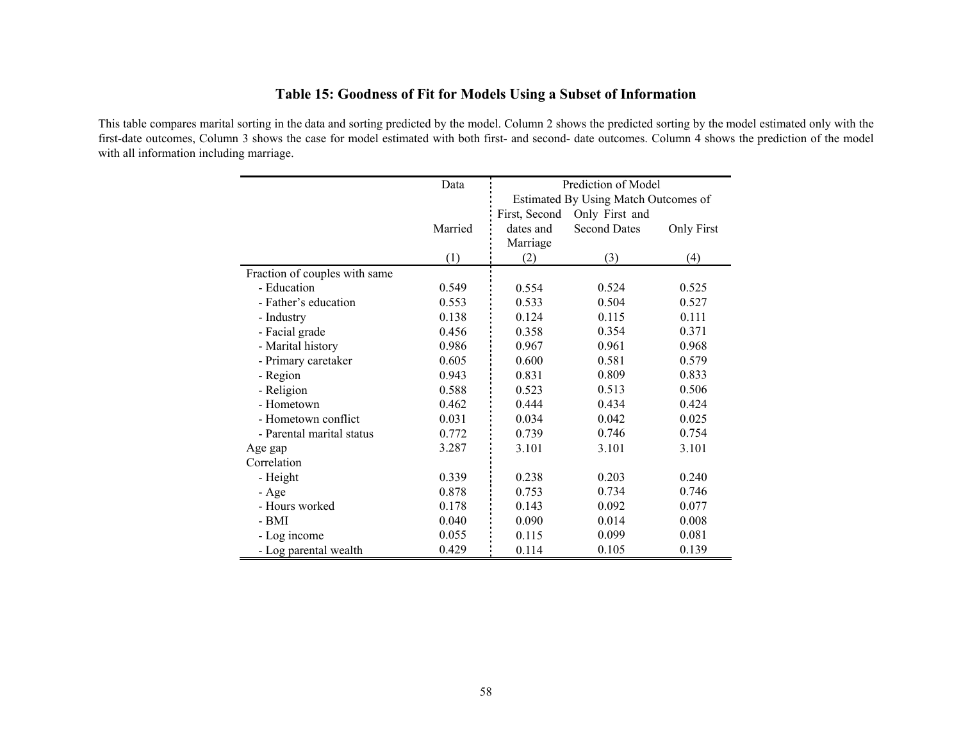# **Table 15: Goodness of Fit for Models Using a Subset of Information**

This table compares marital sorting in the data and sorting predicted by the model. Column 2 shows the predicted sorting by the model estimated only with the first-date outcomes, Column 3 shows the case for model estimated with both first- and second- date outcomes. Column 4 shows the prediction of the model with all information including marriage.

|                               | Data    | Prediction of Model<br>Estimated By Using Match Outcomes of |                     |                   |  |  |  |  |  |
|-------------------------------|---------|-------------------------------------------------------------|---------------------|-------------------|--|--|--|--|--|
|                               |         |                                                             |                     |                   |  |  |  |  |  |
|                               |         | First, Second                                               | Only First and      |                   |  |  |  |  |  |
|                               | Married | dates and                                                   | <b>Second Dates</b> | <b>Only First</b> |  |  |  |  |  |
|                               |         | Marriage                                                    |                     |                   |  |  |  |  |  |
|                               | (1)     | (2)                                                         | (3)                 | (4)               |  |  |  |  |  |
| Fraction of couples with same |         |                                                             |                     |                   |  |  |  |  |  |
| - Education                   | 0.549   | 0.554                                                       | 0.524               | 0.525             |  |  |  |  |  |
| - Father's education          | 0.553   | 0.533                                                       | 0.504               | 0.527             |  |  |  |  |  |
| - Industry                    | 0.138   | 0.124                                                       | 0.115               | 0.111             |  |  |  |  |  |
| - Facial grade                | 0.456   | 0.358                                                       | 0.354               | 0.371             |  |  |  |  |  |
| - Marital history             | 0.986   | 0.967                                                       | 0.961               | 0.968             |  |  |  |  |  |
| - Primary caretaker           | 0.605   | 0.600                                                       | 0.581               | 0.579             |  |  |  |  |  |
| - Region                      | 0.943   | 0.831                                                       | 0.809               | 0.833             |  |  |  |  |  |
| - Religion                    | 0.588   | 0.523                                                       | 0.513               | 0.506             |  |  |  |  |  |
| - Hometown                    | 0.462   | 0.444                                                       | 0.434               | 0.424             |  |  |  |  |  |
| - Hometown conflict           | 0.031   | 0.034                                                       | 0.042               | 0.025             |  |  |  |  |  |
| - Parental marital status     | 0.772   | 0.739                                                       | 0.746               | 0.754             |  |  |  |  |  |
| Age gap                       | 3.287   | 3.101                                                       | 3.101               | 3.101             |  |  |  |  |  |
| Correlation                   |         |                                                             |                     |                   |  |  |  |  |  |
| - Height                      | 0.339   | 0.238                                                       | 0.203               | 0.240             |  |  |  |  |  |
| - Age                         | 0.878   | 0.753                                                       | 0.734               | 0.746             |  |  |  |  |  |
| - Hours worked                | 0.178   | 0.143                                                       | 0.092               | 0.077             |  |  |  |  |  |
| - BMI                         | 0.040   | 0.090                                                       | 0.014               | 0.008             |  |  |  |  |  |
| - Log income                  | 0.055   | 0.115                                                       | 0.099               | 0.081             |  |  |  |  |  |
| - Log parental wealth         | 0.429   | 0.114                                                       | 0.105               | 0.139             |  |  |  |  |  |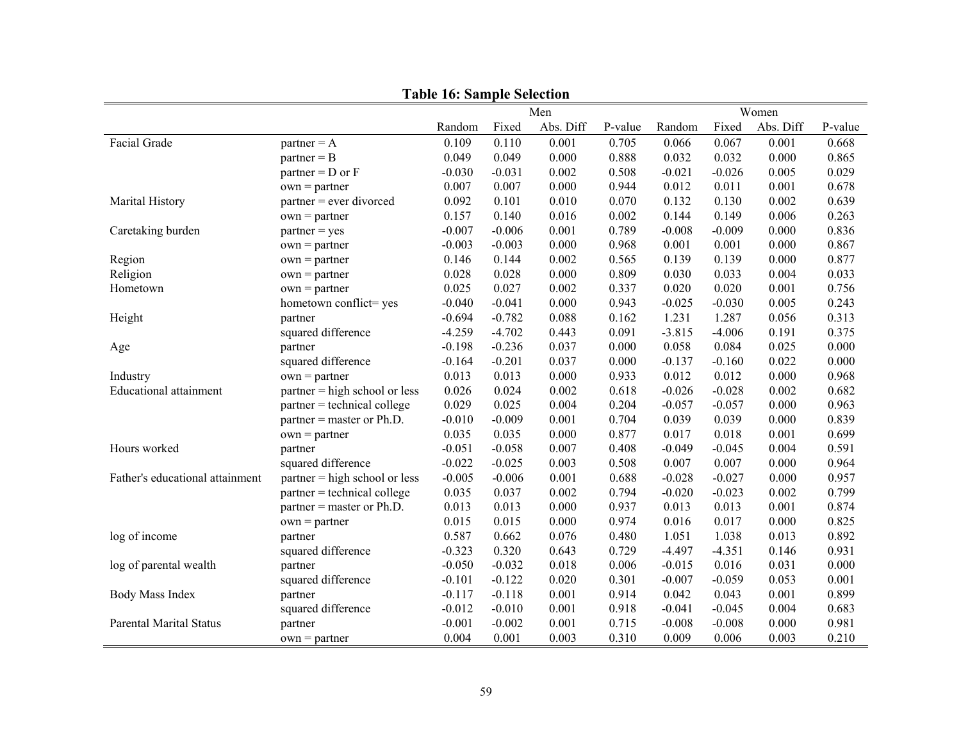|                                 |                                 | тари то, защри эсиссион<br>Women<br>Men |          |           |         |          |          |           |         |
|---------------------------------|---------------------------------|-----------------------------------------|----------|-----------|---------|----------|----------|-----------|---------|
|                                 |                                 | Random                                  | Fixed    | Abs. Diff | P-value | Random   | Fixed    | Abs. Diff | P-value |
| Facial Grade                    | $partner = A$                   | 0.109                                   | 0.110    | 0.001     | 0.705   | 0.066    | 0.067    | 0.001     | 0.668   |
|                                 | $partner = B$                   | 0.049                                   | 0.049    | 0.000     | 0.888   | 0.032    | 0.032    | 0.000     | 0.865   |
|                                 | $partner = D$ or $F$            | $-0.030$                                | $-0.031$ | 0.002     | 0.508   | $-0.021$ | $-0.026$ | 0.005     | 0.029   |
|                                 | $own = partner$                 | 0.007                                   | 0.007    | 0.000     | 0.944   | 0.012    | 0.011    | 0.001     | 0.678   |
| Marital History                 | $partner = ever$ divorced       | 0.092                                   | 0.101    | 0.010     | 0.070   | 0.132    | 0.130    | 0.002     | 0.639   |
|                                 | $own = partner$                 | 0.157                                   | 0.140    | 0.016     | 0.002   | 0.144    | 0.149    | 0.006     | 0.263   |
| Caretaking burden               | $partner = yes$                 | $-0.007$                                | $-0.006$ | 0.001     | 0.789   | $-0.008$ | $-0.009$ | 0.000     | 0.836   |
|                                 | $own = partner$                 | $-0.003$                                | $-0.003$ | 0.000     | 0.968   | 0.001    | 0.001    | 0.000     | 0.867   |
| Region                          | $own = partner$                 | 0.146                                   | 0.144    | 0.002     | 0.565   | 0.139    | 0.139    | 0.000     | 0.877   |
| Religion                        | $own = partner$                 | 0.028                                   | 0.028    | $0.000\,$ | 0.809   | 0.030    | 0.033    | 0.004     | 0.033   |
| Hometown                        | $own = partner$                 | 0.025                                   | 0.027    | 0.002     | 0.337   | 0.020    | 0.020    | 0.001     | 0.756   |
|                                 | hometown conflict=yes           | $-0.040$                                | $-0.041$ | 0.000     | 0.943   | $-0.025$ | $-0.030$ | 0.005     | 0.243   |
| Height                          | partner                         | $-0.694$                                | $-0.782$ | 0.088     | 0.162   | 1.231    | 1.287    | 0.056     | 0.313   |
|                                 | squared difference              | $-4.259$                                | $-4.702$ | 0.443     | 0.091   | $-3.815$ | $-4.006$ | 0.191     | 0.375   |
| Age                             | partner                         | $-0.198$                                | $-0.236$ | 0.037     | 0.000   | 0.058    | 0.084    | 0.025     | 0.000   |
|                                 | squared difference              | $-0.164$                                | $-0.201$ | 0.037     | 0.000   | $-0.137$ | $-0.160$ | 0.022     | 0.000   |
| Industry                        | $own = partner$                 | 0.013                                   | 0.013    | 0.000     | 0.933   | 0.012    | 0.012    | 0.000     | 0.968   |
| <b>Educational attainment</b>   | $partner = high school or less$ | 0.026                                   | 0.024    | 0.002     | 0.618   | $-0.026$ | $-0.028$ | 0.002     | 0.682   |
|                                 | $partner = technical college$   | 0.029                                   | 0.025    | 0.004     | 0.204   | $-0.057$ | $-0.057$ | 0.000     | 0.963   |
|                                 | $partner = master$ or $Ph.D.$   | $-0.010$                                | $-0.009$ | 0.001     | 0.704   | 0.039    | 0.039    | 0.000     | 0.839   |
|                                 | $own = partner$                 | 0.035                                   | 0.035    | 0.000     | 0.877   | 0.017    | 0.018    | 0.001     | 0.699   |
| Hours worked                    | partner                         | $-0.051$                                | $-0.058$ | 0.007     | 0.408   | $-0.049$ | $-0.045$ | 0.004     | 0.591   |
|                                 | squared difference              | $-0.022$                                | $-0.025$ | 0.003     | 0.508   | 0.007    | 0.007    | 0.000     | 0.964   |
| Father's educational attainment | $partner = high school or less$ | $-0.005$                                | $-0.006$ | 0.001     | 0.688   | $-0.028$ | $-0.027$ | 0.000     | 0.957   |
|                                 | partner = technical college     | 0.035                                   | 0.037    | 0.002     | 0.794   | $-0.020$ | $-0.023$ | 0.002     | 0.799   |
|                                 | $partner = master$ or $Ph.D.$   | 0.013                                   | 0.013    | 0.000     | 0.937   | 0.013    | 0.013    | 0.001     | 0.874   |
|                                 | $own = partner$                 | 0.015                                   | 0.015    | 0.000     | 0.974   | 0.016    | 0.017    | 0.000     | 0.825   |
| log of income                   | partner                         | 0.587                                   | 0.662    | 0.076     | 0.480   | 1.051    | 1.038    | 0.013     | 0.892   |
|                                 | squared difference              | $-0.323$                                | 0.320    | 0.643     | 0.729   | $-4.497$ | $-4.351$ | 0.146     | 0.931   |
| log of parental wealth          | partner                         | $-0.050$                                | $-0.032$ | 0.018     | 0.006   | $-0.015$ | 0.016    | 0.031     | 0.000   |
|                                 | squared difference              | $-0.101$                                | $-0.122$ | 0.020     | 0.301   | $-0.007$ | $-0.059$ | 0.053     | 0.001   |
| Body Mass Index                 | partner                         | $-0.117$                                | $-0.118$ | 0.001     | 0.914   | 0.042    | 0.043    | 0.001     | 0.899   |
|                                 | squared difference              | $-0.012$                                | $-0.010$ | 0.001     | 0.918   | $-0.041$ | $-0.045$ | 0.004     | 0.683   |
| <b>Parental Marital Status</b>  | partner                         | $-0.001$                                | $-0.002$ | 0.001     | 0.715   | $-0.008$ | $-0.008$ | 0.000     | 0.981   |
|                                 | $own = partner$                 | 0.004                                   | 0.001    | 0.003     | 0.310   | 0.009    | 0.006    | 0.003     | 0.210   |

**Table 16: Sample Selection**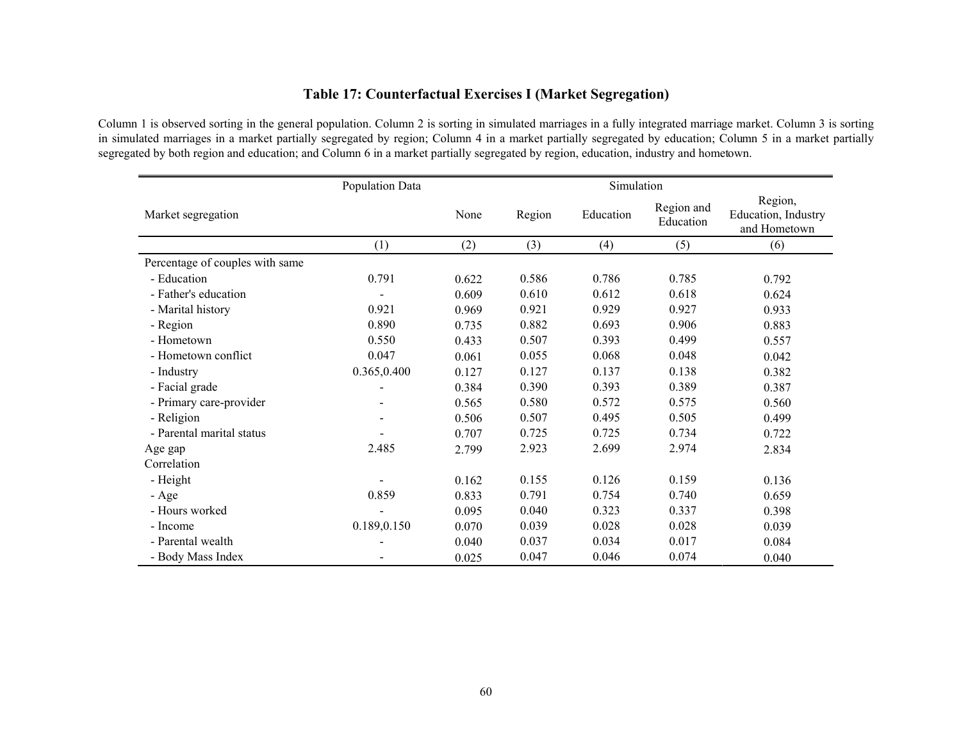# **Table 17: Counterfactual Exercises I (Market Segregation)**

Column 1 is observed sorting in the general population. Column 2 is sorting in simulated marriages in a fully integrated marriage market. Column 3 is sorting in simulated marriages in a market partially segregated by region; Column 4 in a market partially segregated by education; Column 5 in a market partially segregated by both region and education; and Column 6 in a market partially segregated by region, education, industry and hometown.

|                                 | Population Data |       |        | Simulation |                         |                                                |
|---------------------------------|-----------------|-------|--------|------------|-------------------------|------------------------------------------------|
| Market segregation              |                 | None  | Region | Education  | Region and<br>Education | Region,<br>Education, Industry<br>and Hometown |
|                                 | (1)             | (2)   | (3)    | (4)        | (5)                     | (6)                                            |
| Percentage of couples with same |                 |       |        |            |                         |                                                |
| - Education                     | 0.791           | 0.622 | 0.586  | 0.786      | 0.785                   | 0.792                                          |
| - Father's education            |                 | 0.609 | 0.610  | 0.612      | 0.618                   | 0.624                                          |
| - Marital history               | 0.921           | 0.969 | 0.921  | 0.929      | 0.927                   | 0.933                                          |
| - Region                        | 0.890           | 0.735 | 0.882  | 0.693      | 0.906                   | 0.883                                          |
| - Hometown                      | 0.550           | 0.433 | 0.507  | 0.393      | 0.499                   | 0.557                                          |
| - Hometown conflict             | 0.047           | 0.061 | 0.055  | 0.068      | 0.048                   | 0.042                                          |
| - Industry                      | 0.365,0.400     | 0.127 | 0.127  | 0.137      | 0.138                   | 0.382                                          |
| - Facial grade                  |                 | 0.384 | 0.390  | 0.393      | 0.389                   | 0.387                                          |
| - Primary care-provider         |                 | 0.565 | 0.580  | 0.572      | 0.575                   | 0.560                                          |
| - Religion                      |                 | 0.506 | 0.507  | 0.495      | 0.505                   | 0.499                                          |
| - Parental marital status       |                 | 0.707 | 0.725  | 0.725      | 0.734                   | 0.722                                          |
| Age gap                         | 2.485           | 2.799 | 2.923  | 2.699      | 2.974                   | 2.834                                          |
| Correlation                     |                 |       |        |            |                         |                                                |
| - Height                        |                 | 0.162 | 0.155  | 0.126      | 0.159                   | 0.136                                          |
| - Age                           | 0.859           | 0.833 | 0.791  | 0.754      | 0.740                   | 0.659                                          |
| - Hours worked                  |                 | 0.095 | 0.040  | 0.323      | 0.337                   | 0.398                                          |
| - Income                        | 0.189,0.150     | 0.070 | 0.039  | 0.028      | 0.028                   | 0.039                                          |
| - Parental wealth               |                 | 0.040 | 0.037  | 0.034      | 0.017                   | 0.084                                          |
| - Body Mass Index               |                 | 0.025 | 0.047  | 0.046      | 0.074                   | 0.040                                          |